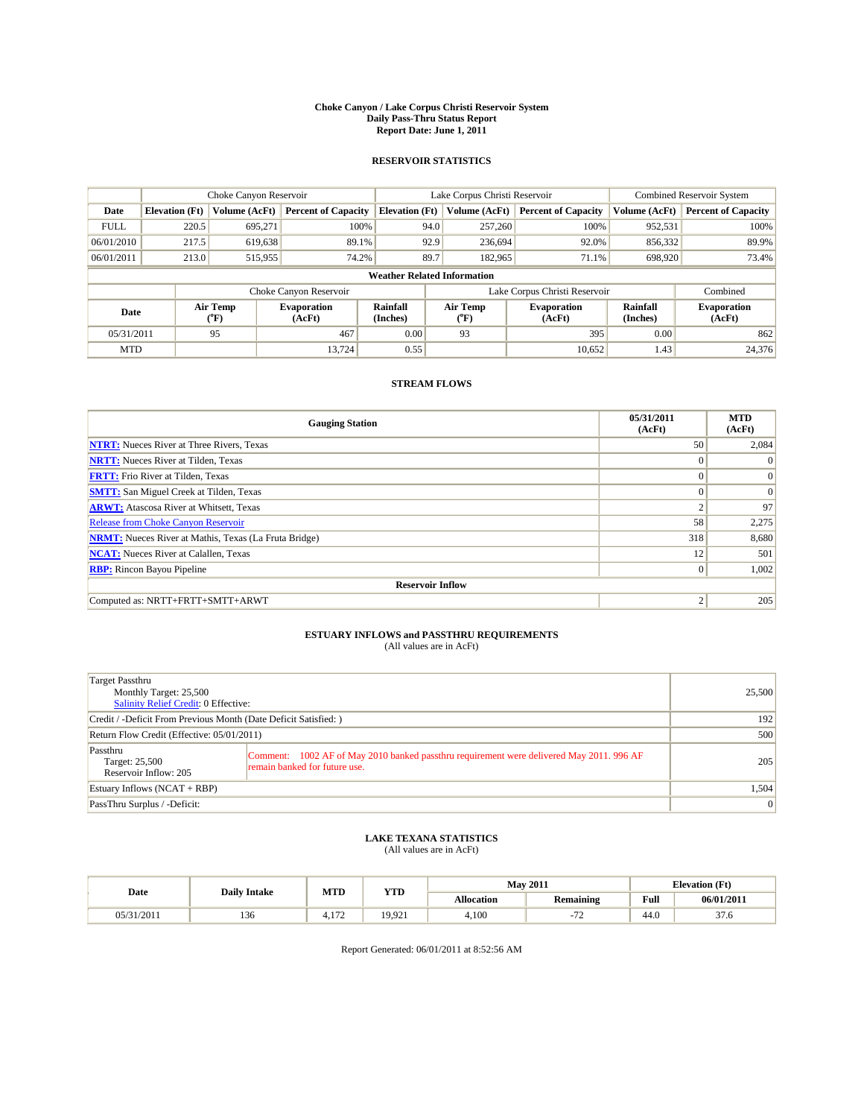#### **Choke Canyon / Lake Corpus Christi Reservoir System Daily Pass-Thru Status Report Report Date: June 1, 2011**

#### **RESERVOIR STATISTICS**

|             | Choke Canyon Reservoir             |                          |                              |                       | Lake Corpus Christi Reservoir |                  |                              |                      | <b>Combined Reservoir System</b> |  |
|-------------|------------------------------------|--------------------------|------------------------------|-----------------------|-------------------------------|------------------|------------------------------|----------------------|----------------------------------|--|
| Date        | <b>Elevation</b> (Ft)              | Volume (AcFt)            | <b>Percent of Capacity</b>   | <b>Elevation (Ft)</b> |                               | Volume (AcFt)    | <b>Percent of Capacity</b>   | Volume (AcFt)        | <b>Percent of Capacity</b>       |  |
| <b>FULL</b> | 220.5                              | 695,271                  | 100%                         |                       | 94.0                          | 257,260          | 100%                         | 952,531              | 100%                             |  |
| 06/01/2010  | 217.5                              | 619,638                  | 89.1%                        |                       | 92.9                          | 236,694          | 92.0%                        | 856,332              | 89.9%                            |  |
| 06/01/2011  | 213.0                              | 515,955                  | 74.2%                        |                       | 89.7                          | 182,965          | 71.1%                        | 698,920              | 73.4%                            |  |
|             | <b>Weather Related Information</b> |                          |                              |                       |                               |                  |                              |                      |                                  |  |
|             |                                    |                          | Choke Canyon Reservoir       |                       | Lake Corpus Christi Reservoir |                  |                              |                      | Combined                         |  |
| Date        |                                    | Air Temp<br>$\rm ^{o}F)$ | <b>Evaporation</b><br>(AcFt) | Rainfall<br>(Inches)  |                               | Air Temp<br>("F) | <b>Evaporation</b><br>(AcFt) | Rainfall<br>(Inches) | <b>Evaporation</b><br>(AcFt)     |  |
| 05/31/2011  |                                    | 95                       | 467                          | 0.00                  |                               | 93               | 395                          | 0.00                 | 862                              |  |
| <b>MTD</b>  |                                    |                          | 13.724                       | 0.55                  |                               |                  | 10,652                       | 1.43                 | 24,376                           |  |

## **STREAM FLOWS**

| <b>Gauging Station</b>                                       | 05/31/2011<br>(AcFt) | <b>MTD</b><br>(AcFt) |
|--------------------------------------------------------------|----------------------|----------------------|
| <b>NTRT:</b> Nueces River at Three Rivers, Texas             | 50                   | 2,084                |
| <b>NRTT:</b> Nueces River at Tilden, Texas                   | $\theta$             | $\Omega$             |
| <b>FRTT:</b> Frio River at Tilden, Texas                     | $\theta$             | $\vert 0 \vert$      |
| <b>SMTT:</b> San Miguel Creek at Tilden, Texas               | $\theta$             | $\Omega$             |
| <b>ARWT:</b> Atascosa River at Whitsett, Texas               | $\sim$               | 97                   |
| Release from Choke Canyon Reservoir                          | 58                   | 2,275                |
| <b>NRMT:</b> Nueces River at Mathis, Texas (La Fruta Bridge) | 318                  | 8,680                |
| <b>NCAT:</b> Nueces River at Calallen, Texas                 | 12                   | 501                  |
| <b>RBP:</b> Rincon Bayou Pipeline                            | $\mathbf{0}$         | 1,002                |
| <b>Reservoir Inflow</b>                                      |                      |                      |
| Computed as: NRTT+FRTT+SMTT+ARWT                             | $\overline{c}$       | 205                  |

# **ESTUARY INFLOWS and PASSTHRU REQUIREMENTS**<br>(All values are in AcFt)

| Target Passthru<br>Monthly Target: 25,500<br><b>Salinity Relief Credit: 0 Effective:</b> |                                                                                                                           | 25,500          |
|------------------------------------------------------------------------------------------|---------------------------------------------------------------------------------------------------------------------------|-----------------|
| Credit / -Deficit From Previous Month (Date Deficit Satisfied: )                         | 192                                                                                                                       |                 |
| Return Flow Credit (Effective: 05/01/2011)                                               | 500                                                                                                                       |                 |
| Passthru<br>Target: 25,500<br>Reservoir Inflow: 205                                      | Comment: 1002 AF of May 2010 banked passthru requirement were delivered May 2011. 996 AF<br>remain banked for future use. | 205             |
| Estuary Inflows $(NCAT + RBP)$                                                           |                                                                                                                           | 1,504           |
| PassThru Surplus / -Deficit:                                                             |                                                                                                                           | $\vert 0 \vert$ |

## **LAKE TEXANA STATISTICS** (All values are in AcFt)

| Date       | <b>Daily Intake</b> | MTD                     | <b>YTD</b> |                   | <b>May 2011</b>                                      | <b>Elevation</b> (Ft) |                |
|------------|---------------------|-------------------------|------------|-------------------|------------------------------------------------------|-----------------------|----------------|
|            |                     |                         |            | <b>Allocation</b> | <b>Remaining</b>                                     | Full                  | 06/01/2011     |
| 05/31/2011 | 136<br>1.JU         | $1 - C$<br>. <i>. .</i> | 19.921     | 4.100             | $\overline{\phantom{a}}$<br>$\overline{\phantom{0}}$ | $\sim$<br>44.0        | $\sim$<br>57.0 |

Report Generated: 06/01/2011 at 8:52:56 AM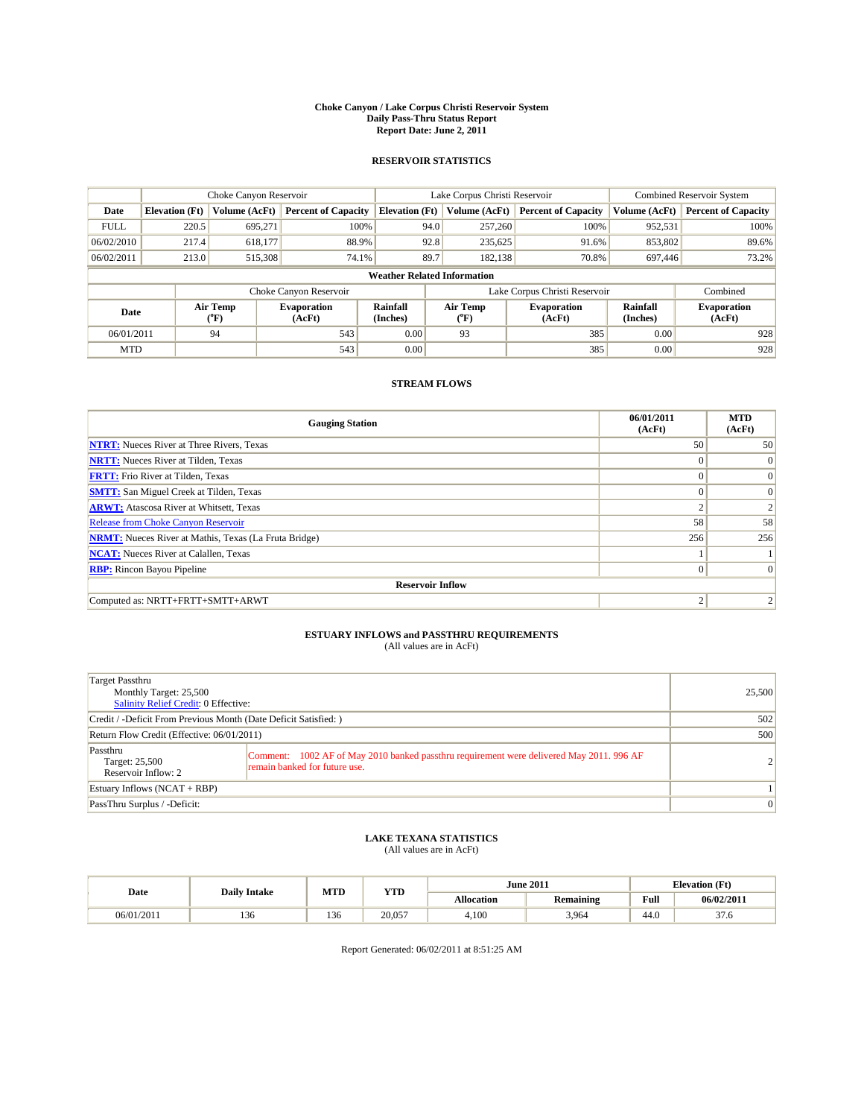#### **Choke Canyon / Lake Corpus Christi Reservoir System Daily Pass-Thru Status Report Report Date: June 2, 2011**

#### **RESERVOIR STATISTICS**

|             | Choke Canyon Reservoir             |                                           |                              |                       | Lake Corpus Christi Reservoir | <b>Combined Reservoir System</b> |                      |                              |  |  |
|-------------|------------------------------------|-------------------------------------------|------------------------------|-----------------------|-------------------------------|----------------------------------|----------------------|------------------------------|--|--|
| Date        | <b>Elevation</b> (Ft)              | Volume (AcFt)                             | <b>Percent of Capacity</b>   | <b>Elevation</b> (Ft) | Volume (AcFt)                 | <b>Percent of Capacity</b>       | Volume (AcFt)        | <b>Percent of Capacity</b>   |  |  |
| <b>FULL</b> | 220.5                              | 695.271                                   | 100%                         | 94.0                  | 257,260                       | 100%                             | 952,531              | 100%                         |  |  |
| 06/02/2010  | 217.4                              | 618,177                                   | 88.9%                        | 92.8                  | 235,625                       | 91.6%                            | 853,802              | 89.6%                        |  |  |
| 06/02/2011  | 213.0                              | 515,308                                   | 74.1%                        | 89.7                  | 182,138                       | 70.8%                            | 697,446              | 73.2%                        |  |  |
|             | <b>Weather Related Information</b> |                                           |                              |                       |                               |                                  |                      |                              |  |  |
|             |                                    |                                           | Choke Canyon Reservoir       |                       |                               | Lake Corpus Christi Reservoir    |                      | Combined                     |  |  |
| Date        |                                    | Air Temp<br>$({}^{\mathrm{o}}\mathrm{F})$ | <b>Evaporation</b><br>(AcFt) | Rainfall<br>(Inches)  | Air Temp<br>(°F)              | <b>Evaporation</b><br>(AcFt)     | Rainfall<br>(Inches) | <b>Evaporation</b><br>(AcFt) |  |  |
| 06/01/2011  |                                    | 94                                        | 543                          | 0.00                  | 93                            | 385                              | 0.00                 | 928                          |  |  |
| <b>MTD</b>  |                                    |                                           | 543                          | 0.00                  |                               | 385                              | 0.00                 | 928                          |  |  |

## **STREAM FLOWS**

| <b>Gauging Station</b>                                       | 06/01/2011<br>(AcFt) | <b>MTD</b><br>(AcFt) |
|--------------------------------------------------------------|----------------------|----------------------|
| <b>NTRT:</b> Nueces River at Three Rivers, Texas             | 50 <sup>1</sup>      | 50                   |
| <b>NRTT:</b> Nueces River at Tilden, Texas                   | $\Omega$             | $\Omega$             |
| <b>FRTT:</b> Frio River at Tilden, Texas                     | $\Omega$             | $\Omega$             |
| <b>SMTT:</b> San Miguel Creek at Tilden, Texas               | $\Omega$             | $\Omega$             |
| <b>ARWT:</b> Atascosa River at Whitsett, Texas               | $\sim$               |                      |
| Release from Choke Canyon Reservoir                          | 58                   | 58                   |
| <b>NRMT:</b> Nueces River at Mathis, Texas (La Fruta Bridge) | 256                  | 256                  |
| <b>NCAT:</b> Nueces River at Calallen, Texas                 |                      |                      |
| <b>RBP:</b> Rincon Bayou Pipeline                            | $\mathbf{0}$         | $\Omega$             |
| <b>Reservoir Inflow</b>                                      |                      |                      |
| Computed as: NRTT+FRTT+SMTT+ARWT                             | っ                    |                      |

# **ESTUARY INFLOWS and PASSTHRU REQUIREMENTS**<br>(All values are in AcFt)

| Target Passthru<br>Monthly Target: 25,500<br>Salinity Relief Credit: 0 Effective: |                                                                                                                           | 25,500          |
|-----------------------------------------------------------------------------------|---------------------------------------------------------------------------------------------------------------------------|-----------------|
| Credit / -Deficit From Previous Month (Date Deficit Satisfied: )                  |                                                                                                                           | 502             |
| Return Flow Credit (Effective: 06/01/2011)                                        | 500                                                                                                                       |                 |
| Passthru<br>Target: 25,500<br>Reservoir Inflow: 2                                 | Comment: 1002 AF of May 2010 banked passthru requirement were delivered May 2011. 996 AF<br>remain banked for future use. | $\overline{2}$  |
| Estuary Inflows $(NCAT + RBP)$                                                    |                                                                                                                           |                 |
| PassThru Surplus / -Deficit:                                                      |                                                                                                                           | $\vert 0 \vert$ |

# **LAKE TEXANA STATISTICS** (All values are in AcFt)

|            |                     | MTD | <b>YTD</b> |            | <b>June 2011</b> |      | <b>Elevation</b> (Ft) |
|------------|---------------------|-----|------------|------------|------------------|------|-----------------------|
| Date       | <b>Daily Intake</b> |     |            | Allocation | <b>Remaining</b> | Full | 06/02/2011            |
| 06/01/2011 | 150                 | 136 | 20,057     | 4,100      | 3,964            | 44.0 | $\sim$<br>57.0        |

Report Generated: 06/02/2011 at 8:51:25 AM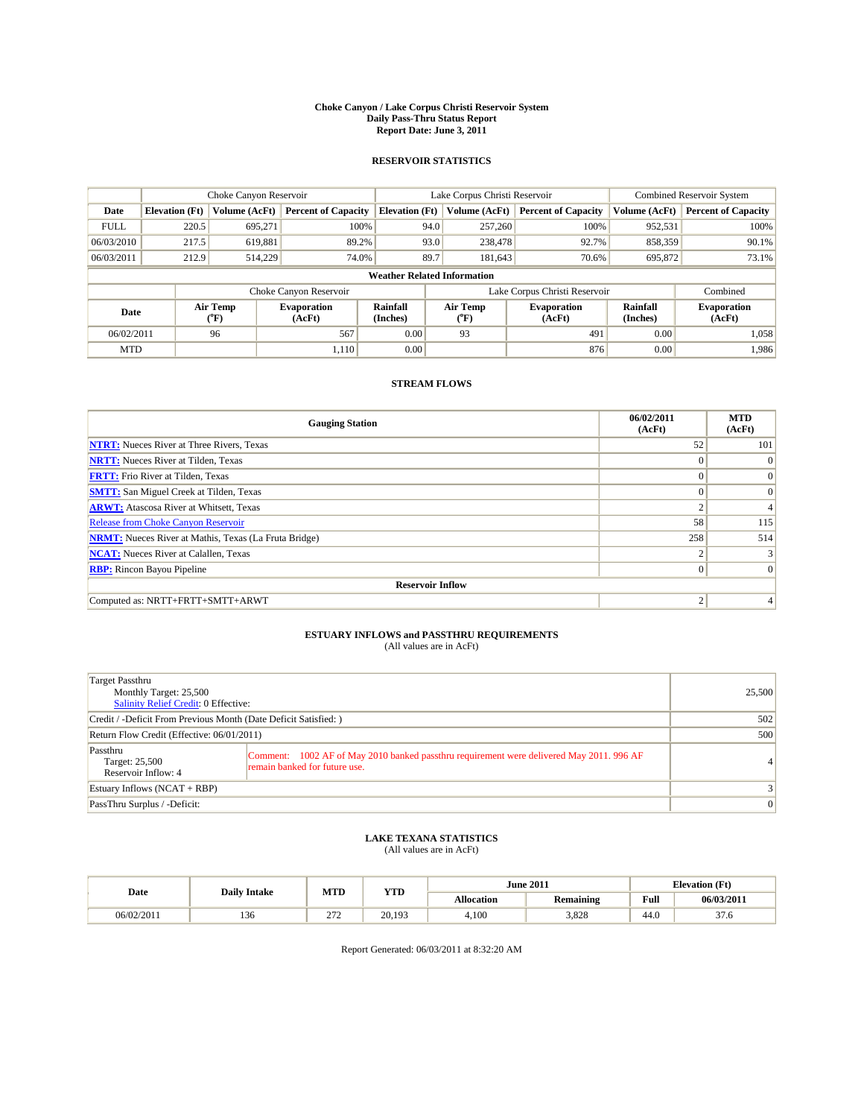#### **Choke Canyon / Lake Corpus Christi Reservoir System Daily Pass-Thru Status Report Report Date: June 3, 2011**

#### **RESERVOIR STATISTICS**

|             | Choke Canyon Reservoir             |                                           |                              |                       | Lake Corpus Christi Reservoir | <b>Combined Reservoir System</b> |                      |                              |  |  |
|-------------|------------------------------------|-------------------------------------------|------------------------------|-----------------------|-------------------------------|----------------------------------|----------------------|------------------------------|--|--|
| Date        | <b>Elevation</b> (Ft)              | Volume (AcFt)                             | <b>Percent of Capacity</b>   | <b>Elevation</b> (Ft) | Volume (AcFt)                 | <b>Percent of Capacity</b>       | Volume (AcFt)        | <b>Percent of Capacity</b>   |  |  |
| <b>FULL</b> | 220.5                              | 695.271                                   | 100%                         | 94.0                  | 257,260                       | 100%                             | 952,531              | 100%                         |  |  |
| 06/03/2010  | 217.5                              | 619,881                                   | 89.2%                        | 93.0                  | 238,478                       | 92.7%                            | 858,359              | 90.1%                        |  |  |
| 06/03/2011  | 212.9                              | 514,229                                   | 74.0%                        | 89.7                  | 181,643                       | 70.6%                            | 695,872              | 73.1%                        |  |  |
|             | <b>Weather Related Information</b> |                                           |                              |                       |                               |                                  |                      |                              |  |  |
|             |                                    |                                           | Choke Canyon Reservoir       |                       |                               | Lake Corpus Christi Reservoir    |                      | Combined                     |  |  |
| Date        |                                    | Air Temp<br>$({}^{\mathrm{o}}\mathrm{F})$ | <b>Evaporation</b><br>(AcFt) | Rainfall<br>(Inches)  | Air Temp<br>(°F)              | <b>Evaporation</b><br>(AcFt)     | Rainfall<br>(Inches) | <b>Evaporation</b><br>(AcFt) |  |  |
| 06/02/2011  |                                    | 96                                        | 567                          | 0.00                  | 93                            | 491                              | 0.00                 | 1,058                        |  |  |
| <b>MTD</b>  |                                    |                                           | 1.110                        | 0.00                  |                               | 876                              | 0.00                 | 1.986                        |  |  |

## **STREAM FLOWS**

| <b>Gauging Station</b>                                       | 06/02/2011<br>(AcFt) | <b>MTD</b><br>(AcFt) |
|--------------------------------------------------------------|----------------------|----------------------|
| <b>NTRT:</b> Nueces River at Three Rivers, Texas             | 52                   | 101                  |
| <b>NRTT:</b> Nueces River at Tilden, Texas                   | $\Omega$             | $\Omega$             |
| <b>FRTT:</b> Frio River at Tilden, Texas                     | $\Omega$             | $\vert 0 \vert$      |
| <b>SMTT:</b> San Miguel Creek at Tilden, Texas               | $\Omega$             | $\Omega$             |
| <b>ARWT:</b> Atascosa River at Whitsett, Texas               | $\sim$               | 4                    |
| Release from Choke Canyon Reservoir                          | 58                   | 115                  |
| <b>NRMT:</b> Nueces River at Mathis, Texas (La Fruta Bridge) | 258                  | 514                  |
| <b>NCAT:</b> Nueces River at Calallen, Texas                 | ◠                    |                      |
| <b>RBP:</b> Rincon Bayou Pipeline                            | $\mathbf{0}$         | $\Omega$             |
| <b>Reservoir Inflow</b>                                      |                      |                      |
| Computed as: NRTT+FRTT+SMTT+ARWT                             | 2                    |                      |

# **ESTUARY INFLOWS and PASSTHRU REQUIREMENTS**<br>(All values are in AcFt)

| Target Passthru<br>Monthly Target: 25,500<br>Salinity Relief Credit: 0 Effective: |                                                                                                                           | 25,500          |
|-----------------------------------------------------------------------------------|---------------------------------------------------------------------------------------------------------------------------|-----------------|
| Credit / -Deficit From Previous Month (Date Deficit Satisfied: )                  | 502                                                                                                                       |                 |
| Return Flow Credit (Effective: 06/01/2011)                                        | 500                                                                                                                       |                 |
| Passthru<br>Target: 25,500<br>Reservoir Inflow: 4                                 | Comment: 1002 AF of May 2010 banked passthru requirement were delivered May 2011. 996 AF<br>remain banked for future use. | 4               |
| Estuary Inflows $(NCAT + RBP)$                                                    | $\overline{3}$                                                                                                            |                 |
| PassThru Surplus / -Deficit:                                                      |                                                                                                                           | $\vert 0 \vert$ |

# **LAKE TEXANA STATISTICS** (All values are in AcFt)

|            | <b>Daily Intake</b> | MTD                  | YTD    |                   | <b>June 2011</b> |      | <b>Elevation</b> (Ft) |
|------------|---------------------|----------------------|--------|-------------------|------------------|------|-----------------------|
| Date       |                     |                      |        | <b>Allocation</b> | <b>Remaining</b> | Full | 06/03/201             |
| 06/02/2011 | 136                 | $\sim$<br><u>_ 1</u> | 20.193 | 4.100             | 3,828            | 44.0 | $\sim$<br>27.O        |

Report Generated: 06/03/2011 at 8:32:20 AM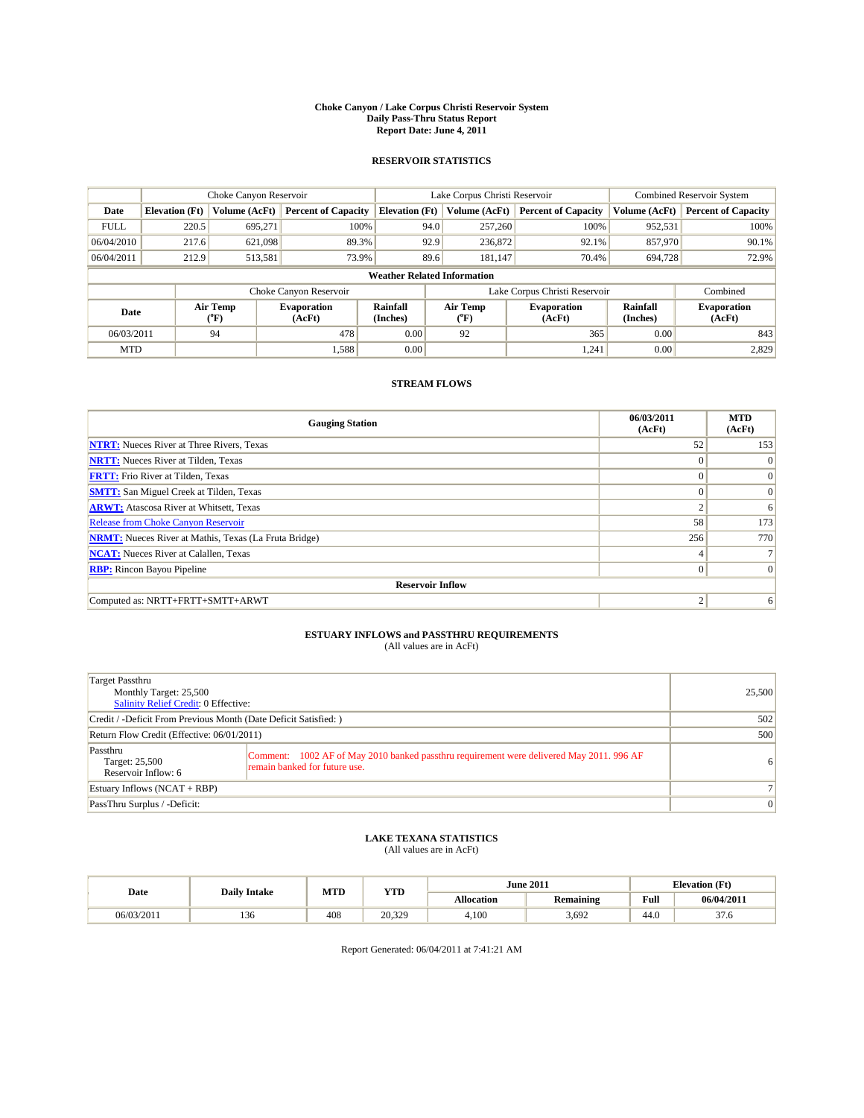#### **Choke Canyon / Lake Corpus Christi Reservoir System Daily Pass-Thru Status Report Report Date: June 4, 2011**

#### **RESERVOIR STATISTICS**

|             | Choke Canyon Reservoir             |                  |                              |                       | Lake Corpus Christi Reservoir | <b>Combined Reservoir System</b> |                             |                              |  |  |
|-------------|------------------------------------|------------------|------------------------------|-----------------------|-------------------------------|----------------------------------|-----------------------------|------------------------------|--|--|
| Date        | <b>Elevation</b> (Ft)              | Volume (AcFt)    | <b>Percent of Capacity</b>   | <b>Elevation</b> (Ft) | Volume (AcFt)                 | <b>Percent of Capacity</b>       | Volume (AcFt)               | <b>Percent of Capacity</b>   |  |  |
| <b>FULL</b> | 220.5                              | 695,271          | 100%                         | 94.0                  | 257,260                       | 100%                             | 952,531                     | 100%                         |  |  |
| 06/04/2010  | 217.6                              | 621,098          | 89.3%                        | 92.9                  | 236,872                       | 92.1%                            | 857,970                     | 90.1%                        |  |  |
| 06/04/2011  | 212.9                              | 513,581          | 73.9%                        | 89.6                  | 181,147                       | 70.4%                            | 694,728                     | 72.9%                        |  |  |
|             | <b>Weather Related Information</b> |                  |                              |                       |                               |                                  |                             |                              |  |  |
|             |                                    |                  | Choke Canyon Reservoir       |                       | Lake Corpus Christi Reservoir |                                  |                             | Combined                     |  |  |
| Date        |                                    | Air Temp<br>(°F) | <b>Evaporation</b><br>(AcFt) | Rainfall<br>(Inches)  | Air Temp<br>(°F)              | <b>Evaporation</b><br>(AcFt)     | <b>Rainfall</b><br>(Inches) | <b>Evaporation</b><br>(AcFt) |  |  |
| 06/03/2011  |                                    | 94               | 478                          | 0.00                  | 92                            | 365                              | 0.00                        | 843                          |  |  |
| <b>MTD</b>  |                                    |                  | 1,588                        | 0.00                  |                               | 1,241                            | 0.00                        | 2,829                        |  |  |

### **STREAM FLOWS**

| <b>Gauging Station</b>                                       | 06/03/2011<br>(AcFt) | <b>MTD</b><br>(AcFt) |
|--------------------------------------------------------------|----------------------|----------------------|
| <b>NTRT:</b> Nueces River at Three Rivers, Texas             | 52                   | 153                  |
| <b>NRTT:</b> Nueces River at Tilden, Texas                   | $\theta$             | $\Omega$             |
| <b>FRTT:</b> Frio River at Tilden, Texas                     | $\Omega$             | $\vert 0 \vert$      |
| <b>SMTT:</b> San Miguel Creek at Tilden, Texas               | $\theta$             | $\vert 0 \vert$      |
| <b>ARWT:</b> Atascosa River at Whitsett, Texas               | $\sim$               | 6                    |
| <b>Release from Choke Canyon Reservoir</b>                   | 58                   | 173                  |
| <b>NRMT:</b> Nueces River at Mathis, Texas (La Fruta Bridge) | 256                  | 770                  |
| <b>NCAT:</b> Nueces River at Calallen, Texas                 | 4                    |                      |
| <b>RBP:</b> Rincon Bayou Pipeline                            | $\Omega$             | $\Omega$             |
| <b>Reservoir Inflow</b>                                      |                      |                      |
| Computed as: NRTT+FRTT+SMTT+ARWT                             |                      | 6                    |

# **ESTUARY INFLOWS and PASSTHRU REQUIREMENTS**<br>(All values are in AcFt)

| Target Passthru<br>Monthly Target: 25,500<br>Salinity Relief Credit: 0 Effective: |                                                                                                                           | 25,500         |
|-----------------------------------------------------------------------------------|---------------------------------------------------------------------------------------------------------------------------|----------------|
| Credit / -Deficit From Previous Month (Date Deficit Satisfied: )                  | 502                                                                                                                       |                |
| Return Flow Credit (Effective: 06/01/2011)                                        | 500                                                                                                                       |                |
| Passthru<br>Target: 25,500<br>Reservoir Inflow: 6                                 | Comment: 1002 AF of May 2010 banked passthru requirement were delivered May 2011. 996 AF<br>remain banked for future use. | 6 <sup>1</sup> |
| Estuary Inflows $(NCAT + RBP)$                                                    |                                                                                                                           |                |
| PassThru Surplus / -Deficit:                                                      |                                                                                                                           | $\mathbf{0}$   |

## **LAKE TEXANA STATISTICS** (All values are in AcFt)

| Date       | <b>Daily Intake</b> | MTD | <b>YTD</b> |            | <b>June 2011</b> | <b>Elevation</b> (Ft) |                |
|------------|---------------------|-----|------------|------------|------------------|-----------------------|----------------|
|            |                     |     |            | Allocation | <b>Remaining</b> | Full                  | 06/04/2011     |
| 06/03/2011 | 150                 | 408 | 20,329     | 4,100      | 3.692            | 44.0                  | $\sim$<br>57.0 |

Report Generated: 06/04/2011 at 7:41:21 AM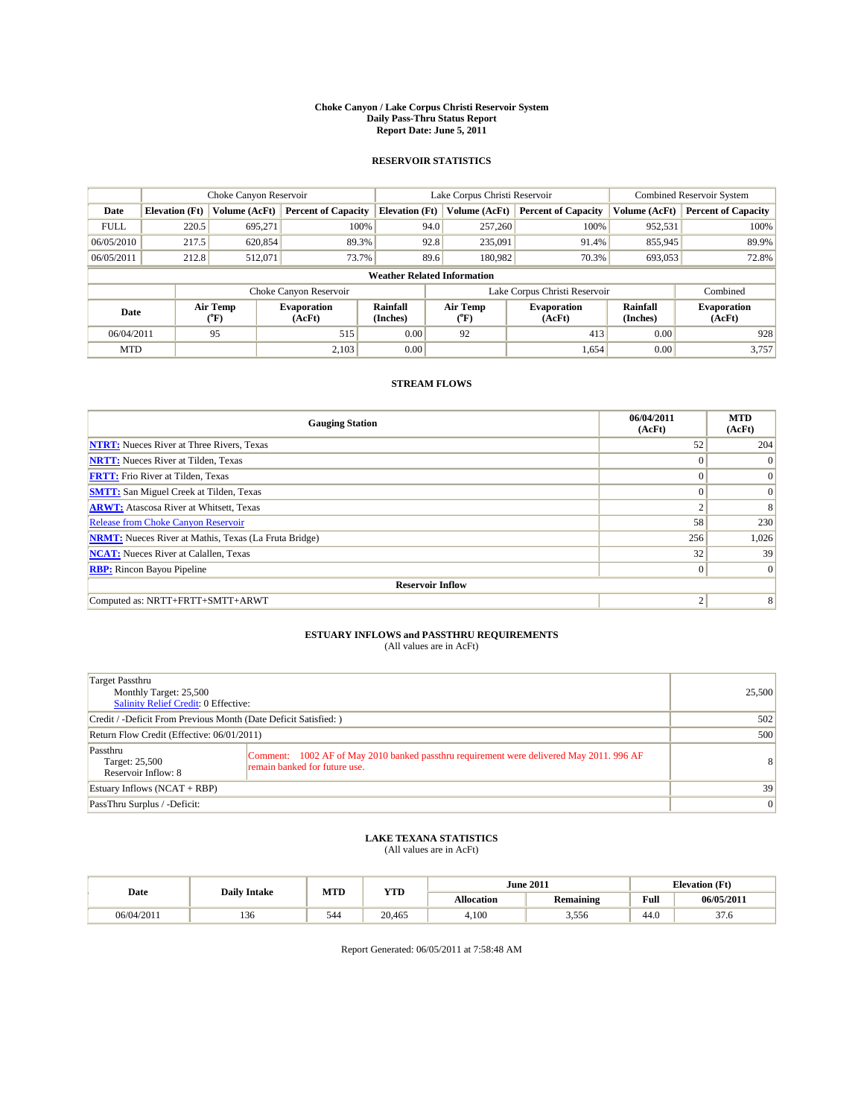#### **Choke Canyon / Lake Corpus Christi Reservoir System Daily Pass-Thru Status Report Report Date: June 5, 2011**

#### **RESERVOIR STATISTICS**

|             | Choke Canyon Reservoir             |                             |                              |                       | Lake Corpus Christi Reservoir |                                |                              |                      | <b>Combined Reservoir System</b> |  |
|-------------|------------------------------------|-----------------------------|------------------------------|-----------------------|-------------------------------|--------------------------------|------------------------------|----------------------|----------------------------------|--|
| Date        | <b>Elevation</b> (Ft)              | Volume (AcFt)               | <b>Percent of Capacity</b>   | <b>Elevation</b> (Ft) |                               | Volume (AcFt)                  | <b>Percent of Capacity</b>   | Volume (AcFt)        | <b>Percent of Capacity</b>       |  |
| <b>FULL</b> | 220.5                              | 695,271                     | 100%                         |                       | 94.0                          | 257,260                        | 100%                         | 952,531              | 100%                             |  |
| 06/05/2010  | 217.5                              | 620,854                     | 89.3%                        |                       | 92.8                          | 235,091                        | 91.4%                        | 855,945              | 89.9%                            |  |
| 06/05/2011  | 212.8                              | 512,071                     | 73.7%                        |                       | 89.6                          | 180.982                        | 70.3%                        | 693.053              | 72.8%                            |  |
|             | <b>Weather Related Information</b> |                             |                              |                       |                               |                                |                              |                      |                                  |  |
|             |                                    |                             | Choke Canyon Reservoir       |                       | Lake Corpus Christi Reservoir |                                |                              |                      | Combined                         |  |
| Date        |                                    | Air Temp<br>${}^{\circ}$ F) | <b>Evaporation</b><br>(AcFt) | Rainfall<br>(Inches)  |                               | Air Temp<br>$({}^o\mathrm{F})$ | <b>Evaporation</b><br>(AcFt) | Rainfall<br>(Inches) | <b>Evaporation</b><br>(AcFt)     |  |
| 06/04/2011  |                                    | 95                          | 515                          | 0.00                  |                               | 92                             | 413                          | 0.00                 | 928                              |  |
| <b>MTD</b>  |                                    |                             | 2,103                        | 0.00                  |                               |                                | 1,654                        | 0.00                 | 3,757                            |  |

## **STREAM FLOWS**

| <b>Gauging Station</b>                                       | 06/04/2011<br>(AcFt) | <b>MTD</b><br>(AcFt) |
|--------------------------------------------------------------|----------------------|----------------------|
| <b>NTRT:</b> Nueces River at Three Rivers, Texas             | 52                   | 204                  |
| <b>NRTT:</b> Nueces River at Tilden, Texas                   | $\Omega$             | $\theta$             |
| <b>FRTT:</b> Frio River at Tilden, Texas                     | $\Omega$             | $\Omega$             |
| <b>SMTT:</b> San Miguel Creek at Tilden, Texas               | $\Omega$             | $\Omega$             |
| <b>ARWT:</b> Atascosa River at Whitsett, Texas               | $\sim$               | 8                    |
| <b>Release from Choke Canyon Reservoir</b>                   | 58                   | 230                  |
| <b>NRMT:</b> Nueces River at Mathis, Texas (La Fruta Bridge) | 256                  | 1,026                |
| <b>NCAT:</b> Nueces River at Calallen, Texas                 | 32                   | 39                   |
| <b>RBP:</b> Rincon Bayou Pipeline                            | $\mathbf{0}$         | $\Omega$             |
| <b>Reservoir Inflow</b>                                      |                      |                      |
| Computed as: NRTT+FRTT+SMTT+ARWT                             | ◠                    | 8                    |

# **ESTUARY INFLOWS and PASSTHRU REQUIREMENTS**<br>(All values are in AcFt)

| Target Passthru<br>Monthly Target: 25,500<br>Salinity Relief Credit: 0 Effective: |                                                                                                                           | 25,500          |
|-----------------------------------------------------------------------------------|---------------------------------------------------------------------------------------------------------------------------|-----------------|
| Credit / -Deficit From Previous Month (Date Deficit Satisfied: )                  | 502                                                                                                                       |                 |
| Return Flow Credit (Effective: 06/01/2011)                                        | 500                                                                                                                       |                 |
| Passthru<br>Target: 25,500<br>Reservoir Inflow: 8                                 | Comment: 1002 AF of May 2010 banked passthru requirement were delivered May 2011. 996 AF<br>remain banked for future use. | 8               |
| Estuary Inflows $(NCAT + RBP)$                                                    |                                                                                                                           | 39              |
| PassThru Surplus / -Deficit:                                                      |                                                                                                                           | $\vert 0 \vert$ |

## **LAKE TEXANA STATISTICS** (All values are in AcFt)

|            |                     | MTD | <b>YTD</b> | <b>June 2011</b> |                  | <b>Elevation</b> (Ft) |                |
|------------|---------------------|-----|------------|------------------|------------------|-----------------------|----------------|
| Date       | <b>Daily Intake</b> |     |            | Allocation       | <b>Remaining</b> | Full                  | 06/05/2011     |
| 06/04/2011 | 136<br>1.JU         | 544 | 20.465     | 4.100            | 3,556            | $\sqrt{ }$<br>44.0    | $\sim$<br>57.0 |

Report Generated: 06/05/2011 at 7:58:48 AM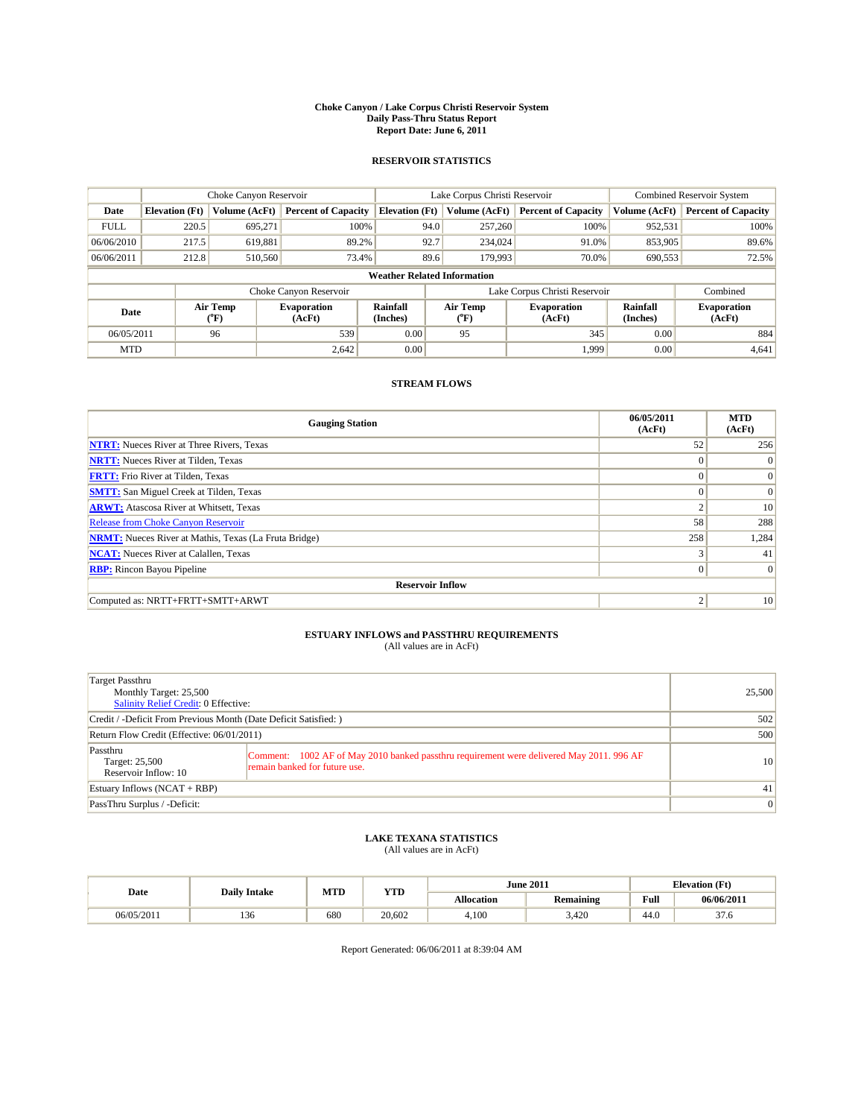#### **Choke Canyon / Lake Corpus Christi Reservoir System Daily Pass-Thru Status Report Report Date: June 6, 2011**

#### **RESERVOIR STATISTICS**

|             | Choke Canyon Reservoir             |                  |                              |                       | Lake Corpus Christi Reservoir | <b>Combined Reservoir System</b> |                      |                              |  |  |
|-------------|------------------------------------|------------------|------------------------------|-----------------------|-------------------------------|----------------------------------|----------------------|------------------------------|--|--|
| Date        | <b>Elevation</b> (Ft)              | Volume (AcFt)    | <b>Percent of Capacity</b>   | <b>Elevation</b> (Ft) | Volume (AcFt)                 | <b>Percent of Capacity</b>       | Volume (AcFt)        | <b>Percent of Capacity</b>   |  |  |
| <b>FULL</b> | 220.5                              | 695,271          | 100%                         |                       | 94.0<br>257,260               | 100%                             | 952,531              | 100%                         |  |  |
| 06/06/2010  | 217.5                              | 619,881          | 89.2%                        | 92.7                  | 234,024                       | 91.0%                            | 853,905              | 89.6%                        |  |  |
| 06/06/2011  | 212.8                              | 510,560          | 73.4%                        |                       | 89.6<br>179,993               | 70.0%                            | 690,553              | 72.5%                        |  |  |
|             | <b>Weather Related Information</b> |                  |                              |                       |                               |                                  |                      |                              |  |  |
|             |                                    |                  | Choke Canyon Reservoir       |                       | Lake Corpus Christi Reservoir |                                  |                      | Combined                     |  |  |
| Date        |                                    | Air Temp<br>(°F) | <b>Evaporation</b><br>(AcFt) | Rainfall<br>(Inches)  | Air Temp<br>(°F)              | <b>Evaporation</b><br>(AcFt)     | Rainfall<br>(Inches) | <b>Evaporation</b><br>(AcFt) |  |  |
| 06/05/2011  |                                    | 96               | 539                          | 0.00                  | 95                            | 345                              | 0.00                 | 884                          |  |  |
| <b>MTD</b>  |                                    |                  | 2,642                        | 0.00                  |                               | 1.999                            | 0.00                 | 4,641                        |  |  |

## **STREAM FLOWS**

| <b>Gauging Station</b>                                       | 06/05/2011<br>(AcFt) | <b>MTD</b><br>(AcFt) |
|--------------------------------------------------------------|----------------------|----------------------|
| <b>NTRT:</b> Nueces River at Three Rivers, Texas             | 52                   | 256                  |
| <b>NRTT:</b> Nueces River at Tilden, Texas                   | $\Omega$             |                      |
| <b>FRTT:</b> Frio River at Tilden, Texas                     | $\Omega$             | $\vert 0 \vert$      |
| <b>SMTT:</b> San Miguel Creek at Tilden, Texas               | $\Omega$             | $\Omega$             |
| <b>ARWT:</b> Atascosa River at Whitsett, Texas               | ◠                    | 10                   |
| <b>Release from Choke Canyon Reservoir</b>                   | 58                   | 288                  |
| <b>NRMT:</b> Nueces River at Mathis, Texas (La Fruta Bridge) | 258                  | 1,284                |
| <b>NCAT:</b> Nueces River at Calallen, Texas                 | $\sim$               | 41                   |
| <b>RBP:</b> Rincon Bayou Pipeline                            | $\Omega$             |                      |
| <b>Reservoir Inflow</b>                                      |                      |                      |
| Computed as: NRTT+FRTT+SMTT+ARWT                             | ∍                    | 10                   |

# **ESTUARY INFLOWS and PASSTHRU REQUIREMENTS**<br>(All values are in AcFt)

| Target Passthru<br>Monthly Target: 25,500<br>Salinity Relief Credit: 0 Effective: |                                                                                                                           | 25,500         |
|-----------------------------------------------------------------------------------|---------------------------------------------------------------------------------------------------------------------------|----------------|
| Credit / -Deficit From Previous Month (Date Deficit Satisfied: )                  | 502                                                                                                                       |                |
| Return Flow Credit (Effective: 06/01/2011)                                        | 500                                                                                                                       |                |
| Passthru<br>Target: 25,500<br>Reservoir Inflow: 10                                | Comment: 1002 AF of May 2010 banked passthru requirement were delivered May 2011. 996 AF<br>remain banked for future use. | 10             |
| Estuary Inflows $(NCAT + RBP)$                                                    |                                                                                                                           | 41             |
| PassThru Surplus / -Deficit:                                                      |                                                                                                                           | $\overline{0}$ |

## **LAKE TEXANA STATISTICS** (All values are in AcFt)

|            |                     | MTD | <b>YTD</b> |            | <b>June 2011</b> | <b>Elevation</b> (Ft)                       |                |
|------------|---------------------|-----|------------|------------|------------------|---------------------------------------------|----------------|
| Date       | <b>Daily Intake</b> |     |            | Allocation | Remaining        | Full<br>the contract of the contract of the | 06/06/2011     |
| 06/05/2011 | 1.JU                | 680 | 20.602     | 4.100      | 400<br>3.42U     | 44.0                                        | $\sim$<br>57.0 |

Report Generated: 06/06/2011 at 8:39:04 AM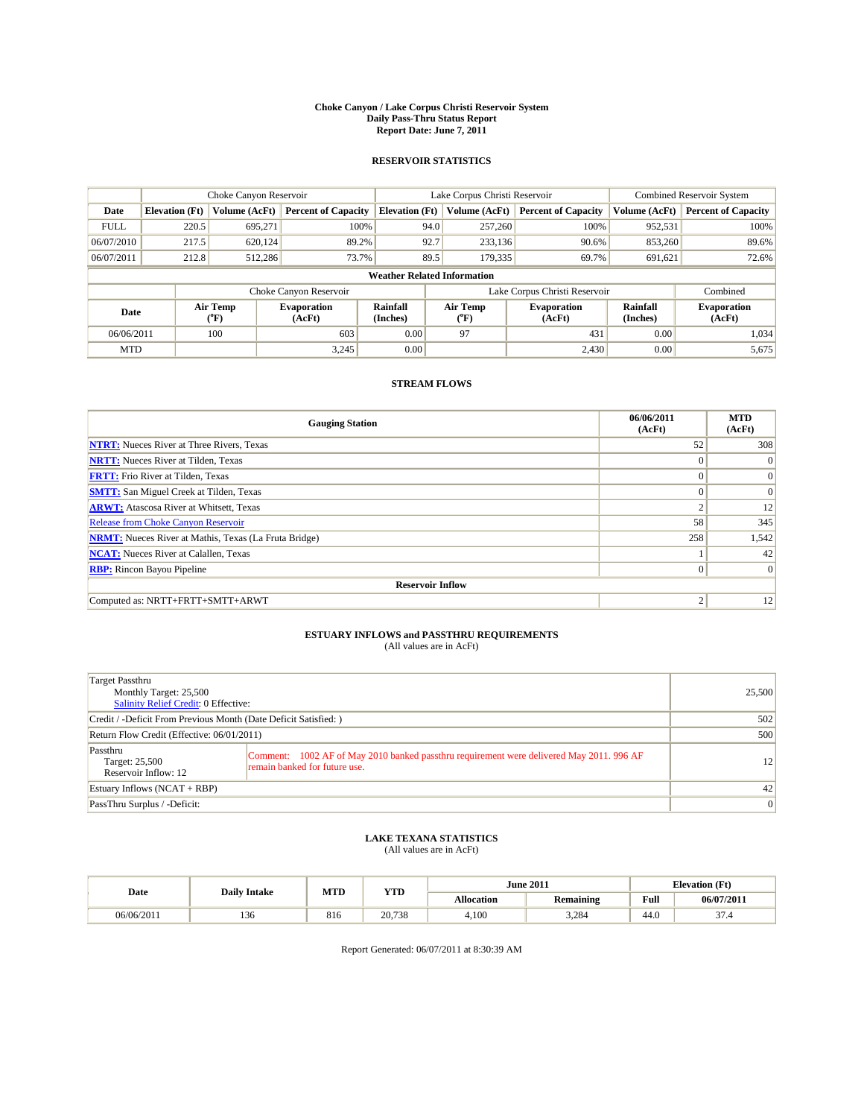#### **Choke Canyon / Lake Corpus Christi Reservoir System Daily Pass-Thru Status Report Report Date: June 7, 2011**

#### **RESERVOIR STATISTICS**

|             | Choke Canyon Reservoir             |                             |                              |                       | Lake Corpus Christi Reservoir |                           |                               |                      | <b>Combined Reservoir System</b> |  |  |
|-------------|------------------------------------|-----------------------------|------------------------------|-----------------------|-------------------------------|---------------------------|-------------------------------|----------------------|----------------------------------|--|--|
| Date        | <b>Elevation</b> (Ft)              | Volume (AcFt)               | <b>Percent of Capacity</b>   | <b>Elevation (Ft)</b> |                               | Volume (AcFt)             | <b>Percent of Capacity</b>    | Volume (AcFt)        | <b>Percent of Capacity</b>       |  |  |
| <b>FULL</b> | 220.5                              | 695,271                     | 100%                         |                       | 94.0                          | 257,260                   | 100%                          | 952,531              | 100%                             |  |  |
| 06/07/2010  | 217.5                              | 620,124                     | 89.2%                        |                       | 92.7                          | 233,136                   | 90.6%                         | 853,260              | 89.6%                            |  |  |
| 06/07/2011  | 212.8                              | 512,286                     | 73.7%                        |                       | 89.5                          | 179,335                   | 69.7%                         | 691.621              | 72.6%                            |  |  |
|             | <b>Weather Related Information</b> |                             |                              |                       |                               |                           |                               |                      |                                  |  |  |
|             |                                    |                             | Choke Canyon Reservoir       |                       |                               |                           | Lake Corpus Christi Reservoir |                      | Combined                         |  |  |
| Date        |                                    | Air Temp<br>${}^{\circ}$ F) | <b>Evaporation</b><br>(AcFt) | Rainfall<br>(Inches)  |                               | Air Temp<br>$(^{\circ}F)$ | <b>Evaporation</b><br>(AcFt)  | Rainfall<br>(Inches) | <b>Evaporation</b><br>(AcFt)     |  |  |
| 06/06/2011  |                                    | 100                         | 603                          | 0.00                  |                               | 97                        | 431                           | 0.00                 | 1,034                            |  |  |
| <b>MTD</b>  |                                    |                             | 3,245                        | 0.00                  |                               |                           | 2,430                         | 0.00                 | 5,675                            |  |  |

## **STREAM FLOWS**

| <b>Gauging Station</b>                                       | 06/06/2011<br>(AcFt) | <b>MTD</b><br>(AcFt) |
|--------------------------------------------------------------|----------------------|----------------------|
| <b>NTRT:</b> Nueces River at Three Rivers, Texas             | 52                   | 308                  |
| <b>NRTT:</b> Nueces River at Tilden, Texas                   | $\Omega$             | $\Omega$             |
| <b>FRTT:</b> Frio River at Tilden, Texas                     | $\Omega$             | $\Omega$             |
| <b>SMTT:</b> San Miguel Creek at Tilden, Texas               | $\Omega$             | $\Omega$             |
| <b>ARWT:</b> Atascosa River at Whitsett, Texas               | $\sim$               | 12                   |
| <b>Release from Choke Canyon Reservoir</b>                   | 58                   | 345                  |
| <b>NRMT:</b> Nueces River at Mathis, Texas (La Fruta Bridge) | 258                  | 1,542                |
| <b>NCAT:</b> Nueces River at Calallen, Texas                 |                      | 42                   |
| <b>RBP:</b> Rincon Bayou Pipeline                            | $\Omega$             | $\Omega$             |
| <b>Reservoir Inflow</b>                                      |                      |                      |
| Computed as: NRTT+FRTT+SMTT+ARWT                             | $\gamma$             | 12                   |

# **ESTUARY INFLOWS and PASSTHRU REQUIREMENTS**<br>(All values are in AcFt)

| Target Passthru<br>Monthly Target: 25,500<br><b>Salinity Relief Credit: 0 Effective:</b> |                                                                                                                           | 25,500          |
|------------------------------------------------------------------------------------------|---------------------------------------------------------------------------------------------------------------------------|-----------------|
| Credit / -Deficit From Previous Month (Date Deficit Satisfied: )                         |                                                                                                                           | 502             |
| Return Flow Credit (Effective: 06/01/2011)                                               | 500                                                                                                                       |                 |
| Passthru<br>Target: 25,500<br>Reservoir Inflow: 12                                       | Comment: 1002 AF of May 2010 banked passthru requirement were delivered May 2011. 996 AF<br>remain banked for future use. | 12              |
| Estuary Inflows $(NCAT + RBP)$                                                           |                                                                                                                           | 42              |
| PassThru Surplus / -Deficit:                                                             |                                                                                                                           | $\vert 0 \vert$ |

## **LAKE TEXANA STATISTICS** (All values are in AcFt)

|            |      | MTD<br><b>YTD</b><br><b>Daily Intake</b> |        |            | <b>June 2011</b> | <b>Elevation</b> (Ft)                       |            |
|------------|------|------------------------------------------|--------|------------|------------------|---------------------------------------------|------------|
| Date       |      |                                          |        | Allocation | Remaining        | Full<br>the contract of the contract of the | 06/07/2011 |
| 06/06/2011 | 1.JU | 816                                      | 20,738 | 4.100      | 3.284            | 44.0                                        | $\sim$     |

Report Generated: 06/07/2011 at 8:30:39 AM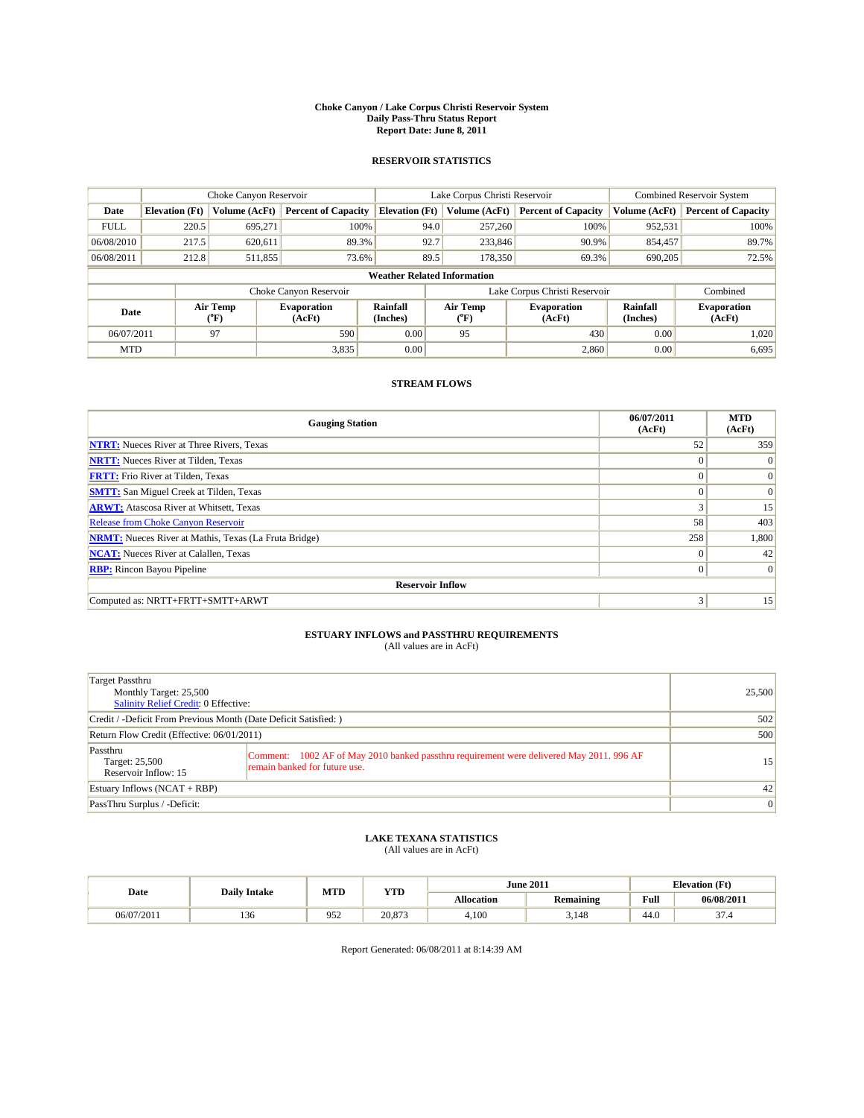#### **Choke Canyon / Lake Corpus Christi Reservoir System Daily Pass-Thru Status Report Report Date: June 8, 2011**

#### **RESERVOIR STATISTICS**

|             | Choke Canyon Reservoir             |                      |                              |                       | Lake Corpus Christi Reservoir | <b>Combined Reservoir System</b> |                             |                              |  |  |  |
|-------------|------------------------------------|----------------------|------------------------------|-----------------------|-------------------------------|----------------------------------|-----------------------------|------------------------------|--|--|--|
| Date        | <b>Elevation</b> (Ft)              | <b>Volume (AcFt)</b> | <b>Percent of Capacity</b>   | <b>Elevation</b> (Ft) | Volume (AcFt)                 | <b>Percent of Capacity</b>       | Volume (AcFt)               | <b>Percent of Capacity</b>   |  |  |  |
| <b>FULL</b> | 220.5                              | 695,271              | 100%                         | 94.0                  | 257,260                       | 100%                             | 952,531                     | 100%                         |  |  |  |
| 06/08/2010  | 217.5                              | 620,611              | 89.3%                        | 92.7                  | 233,846                       | 90.9%                            | 854,457                     | 89.7%                        |  |  |  |
| 06/08/2011  | 212.8                              | 511,855              | 73.6%                        | 89.5                  | 178,350                       | 69.3%                            | 690,205                     | 72.5%                        |  |  |  |
|             | <b>Weather Related Information</b> |                      |                              |                       |                               |                                  |                             |                              |  |  |  |
|             |                                    |                      | Choke Canyon Reservoir       |                       |                               | Lake Corpus Christi Reservoir    |                             | Combined                     |  |  |  |
| Date        |                                    | Air Temp<br>(°F)     | <b>Evaporation</b><br>(AcFt) | Rainfall<br>(Inches)  | Air Temp<br>(°F)              | <b>Evaporation</b><br>(AcFt)     | <b>Rainfall</b><br>(Inches) | <b>Evaporation</b><br>(AcFt) |  |  |  |
| 06/07/2011  |                                    | 97                   | 590                          | 0.00                  | 95                            | 430                              | 0.00                        | 1.020                        |  |  |  |
| <b>MTD</b>  |                                    |                      | 3,835                        | 0.00                  |                               | 2,860                            | 0.00                        | 6,695                        |  |  |  |

### **STREAM FLOWS**

| <b>Gauging Station</b>                                       | 06/07/2011<br>(AcFt) | <b>MTD</b><br>(AcFt) |
|--------------------------------------------------------------|----------------------|----------------------|
| <b>NTRT:</b> Nueces River at Three Rivers, Texas             | 52                   | 359                  |
| <b>NRTT:</b> Nueces River at Tilden, Texas                   | $\theta$             | $\Omega$             |
| <b>FRTT:</b> Frio River at Tilden, Texas                     | $\Omega$             | $\vert 0 \vert$      |
| <b>SMTT:</b> San Miguel Creek at Tilden, Texas               | $\theta$             | $\Omega$             |
| <b>ARWT:</b> Atascosa River at Whitsett, Texas               | 3                    | 15                   |
| <b>Release from Choke Canyon Reservoir</b>                   | 58                   | 403                  |
| <b>NRMT:</b> Nueces River at Mathis, Texas (La Fruta Bridge) | 258                  | 1,800                |
| <b>NCAT:</b> Nueces River at Calallen, Texas                 | $\theta$             | 42                   |
| <b>RBP:</b> Rincon Bayou Pipeline                            | $\mathbf{0}$         | $\Omega$             |
| <b>Reservoir Inflow</b>                                      |                      |                      |
| Computed as: NRTT+FRTT+SMTT+ARWT                             | 3                    | 15                   |

# **ESTUARY INFLOWS and PASSTHRU REQUIREMENTS**<br>(All values are in AcFt)

| Target Passthru<br>Monthly Target: 25,500<br>Salinity Relief Credit: 0 Effective: |                                                                                                                           | 25,500         |
|-----------------------------------------------------------------------------------|---------------------------------------------------------------------------------------------------------------------------|----------------|
| Credit / -Deficit From Previous Month (Date Deficit Satisfied: )                  | 502                                                                                                                       |                |
| Return Flow Credit (Effective: 06/01/2011)                                        | 500                                                                                                                       |                |
| Passthru<br>Target: 25,500<br>Reservoir Inflow: 15                                | Comment: 1002 AF of May 2010 banked passthru requirement were delivered May 2011. 996 AF<br>remain banked for future use. | 15             |
| Estuary Inflows $(NCAT + RBP)$                                                    | 42                                                                                                                        |                |
| PassThru Surplus / -Deficit:                                                      |                                                                                                                           | $\overline{0}$ |

# **LAKE TEXANA STATISTICS** (All values are in AcFt)

|            |                     | MTD | <b>YTD</b>       |            | <b>June 2011</b> |                                             | <b>Elevation</b> (Ft) |
|------------|---------------------|-----|------------------|------------|------------------|---------------------------------------------|-----------------------|
| Date       | <b>Daily Intake</b> |     |                  | Allocation | Remaining        | Full<br>the contract of the contract of the | 06/08/2011            |
| 06/07/2011 | 1.JU                | 952 | 20.072<br>20.OTJ | 4.100      | 3.148            | 44.0                                        | $\sim$                |

Report Generated: 06/08/2011 at 8:14:39 AM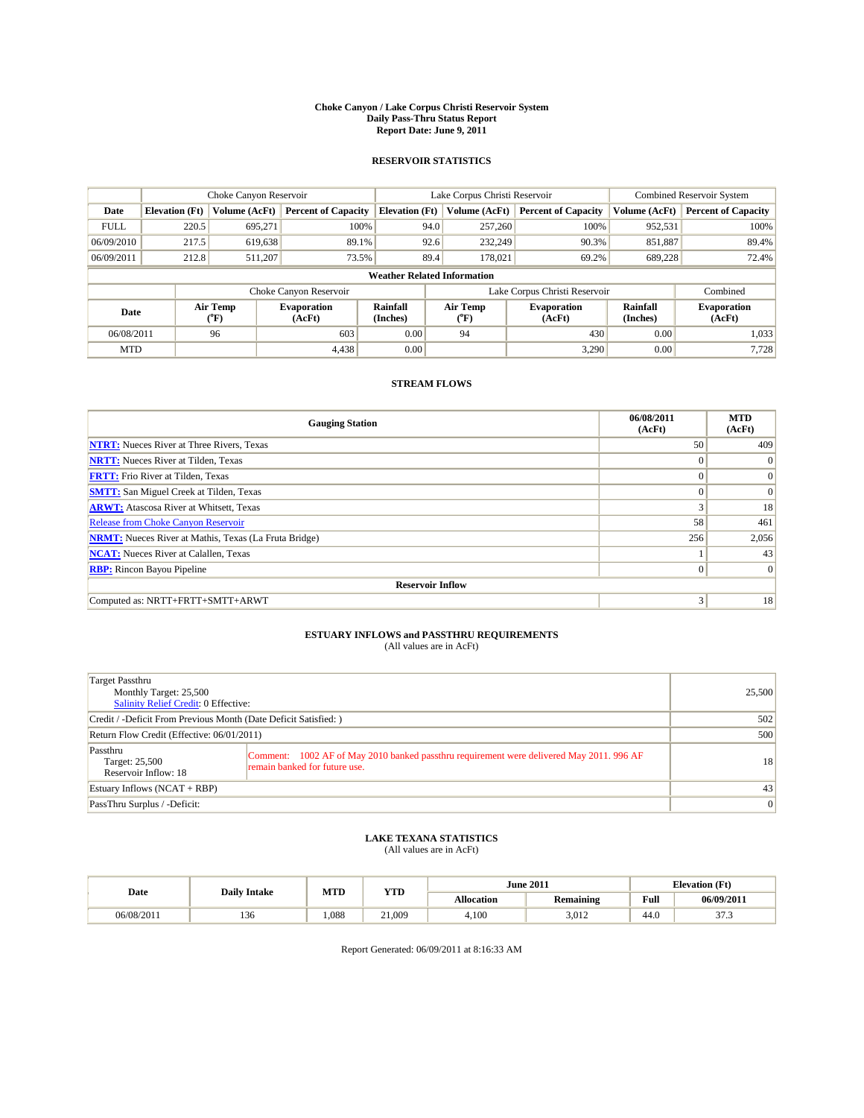#### **Choke Canyon / Lake Corpus Christi Reservoir System Daily Pass-Thru Status Report Report Date: June 9, 2011**

#### **RESERVOIR STATISTICS**

|             | Choke Canyon Reservoir             |                                    |                              |                       | Lake Corpus Christi Reservoir |                  |                               |                      | <b>Combined Reservoir System</b> |  |  |
|-------------|------------------------------------|------------------------------------|------------------------------|-----------------------|-------------------------------|------------------|-------------------------------|----------------------|----------------------------------|--|--|
| Date        | <b>Elevation</b> (Ft)              | Volume (AcFt)                      | <b>Percent of Capacity</b>   | <b>Elevation</b> (Ft) |                               | Volume (AcFt)    | <b>Percent of Capacity</b>    | Volume (AcFt)        | <b>Percent of Capacity</b>       |  |  |
| <b>FULL</b> | 220.5                              | 695,271                            | 100%                         |                       | 94.0                          | 257,260          | 100%                          | 952,531              | 100%                             |  |  |
| 06/09/2010  | 217.5                              | 619,638                            | 89.1%                        |                       | 92.6                          | 232,249          | 90.3%                         | 851,887              | 89.4%                            |  |  |
| 06/09/2011  | 212.8                              | 511,207                            | 73.5%                        |                       | 89.4                          | 178,021          | 69.2%                         | 689.228              | 72.4%                            |  |  |
|             | <b>Weather Related Information</b> |                                    |                              |                       |                               |                  |                               |                      |                                  |  |  |
|             |                                    |                                    | Choke Canyon Reservoir       |                       |                               |                  | Lake Corpus Christi Reservoir |                      | Combined                         |  |  |
| Date        |                                    | Air Temp<br>${}^{\prime\prime}$ F) | <b>Evaporation</b><br>(AcFt) | Rainfall<br>(Inches)  |                               | Air Temp<br>(°F) | <b>Evaporation</b><br>(AcFt)  | Rainfall<br>(Inches) | <b>Evaporation</b><br>(AcFt)     |  |  |
| 06/08/2011  |                                    | 96                                 | 603                          | 0.00                  |                               | 94               | 430                           | 0.00                 | 1,033                            |  |  |
| <b>MTD</b>  |                                    |                                    | 4,438                        | 0.00                  |                               |                  | 3,290                         | 0.00                 | 7,728                            |  |  |

## **STREAM FLOWS**

| <b>Gauging Station</b>                                       | 06/08/2011<br>(AcFt) | <b>MTD</b><br>(AcFt) |
|--------------------------------------------------------------|----------------------|----------------------|
| <b>NTRT:</b> Nueces River at Three Rivers, Texas             | 50 <sup>1</sup>      | 409                  |
| <b>NRTT:</b> Nueces River at Tilden, Texas                   | $\Omega$             |                      |
| <b>FRTT:</b> Frio River at Tilden, Texas                     | $\Omega$             | $\vert 0 \vert$      |
| <b>SMTT:</b> San Miguel Creek at Tilden, Texas               | $\Omega$             | $\Omega$             |
| <b>ARWT:</b> Atascosa River at Whitsett, Texas               | 3                    | 18                   |
| <b>Release from Choke Canyon Reservoir</b>                   | 58                   | 461                  |
| <b>NRMT:</b> Nueces River at Mathis, Texas (La Fruta Bridge) | 256                  | 2,056                |
| <b>NCAT:</b> Nueces River at Calallen, Texas                 |                      | 43                   |
| <b>RBP:</b> Rincon Bayou Pipeline                            | $\Omega$             | $\Omega$             |
| <b>Reservoir Inflow</b>                                      |                      |                      |
| Computed as: NRTT+FRTT+SMTT+ARWT                             | 3                    | 18                   |

# **ESTUARY INFLOWS and PASSTHRU REQUIREMENTS**<br>(All values are in AcFt)

| Target Passthru<br>Monthly Target: 25,500<br>Salinity Relief Credit: 0 Effective: |                                                                                                                           | 25,500         |
|-----------------------------------------------------------------------------------|---------------------------------------------------------------------------------------------------------------------------|----------------|
| Credit / -Deficit From Previous Month (Date Deficit Satisfied: )                  | 502                                                                                                                       |                |
| Return Flow Credit (Effective: 06/01/2011)                                        | 500                                                                                                                       |                |
| Passthru<br>Target: 25,500<br>Reservoir Inflow: 18                                | Comment: 1002 AF of May 2010 banked passthru requirement were delivered May 2011. 996 AF<br>remain banked for future use. | 18             |
| Estuary Inflows $(NCAT + RBP)$                                                    |                                                                                                                           | 43             |
| PassThru Surplus / -Deficit:                                                      |                                                                                                                           | $\overline{0}$ |

## **LAKE TEXANA STATISTICS** (All values are in AcFt)

|            | <b>Daily Intake</b> | MTD  | <b>YTD</b> |            | <b>June 2011</b> |                            | <b>Elevation</b> (Ft)   |  |
|------------|---------------------|------|------------|------------|------------------|----------------------------|-------------------------|--|
| Date       |                     |      |            | Allocation | <b>Remaining</b> | Full                       | 06/09/2011              |  |
| 06/08/2011 | 136                 | .088 | 21.009     | 4.100      | 3.012            | $\Lambda$ $\Omega$<br>44.0 | $\sim$ $\sim$<br>د. ا د |  |

Report Generated: 06/09/2011 at 8:16:33 AM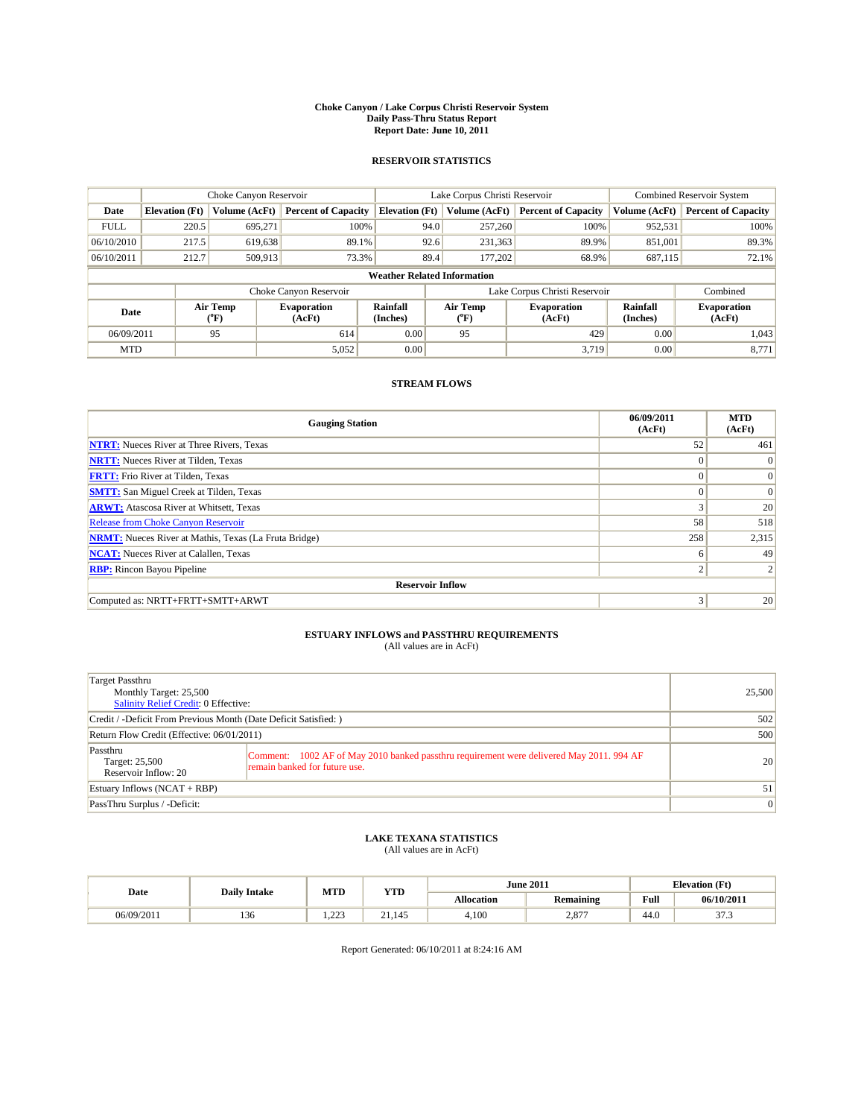#### **Choke Canyon / Lake Corpus Christi Reservoir System Daily Pass-Thru Status Report Report Date: June 10, 2011**

#### **RESERVOIR STATISTICS**

|             | Choke Canyon Reservoir             |                      |                              |                       | Lake Corpus Christi Reservoir | <b>Combined Reservoir System</b> |                             |                              |  |  |
|-------------|------------------------------------|----------------------|------------------------------|-----------------------|-------------------------------|----------------------------------|-----------------------------|------------------------------|--|--|
| Date        | <b>Elevation</b> (Ft)              | <b>Volume (AcFt)</b> | <b>Percent of Capacity</b>   | <b>Elevation</b> (Ft) | Volume (AcFt)                 | <b>Percent of Capacity</b>       | Volume (AcFt)               | <b>Percent of Capacity</b>   |  |  |
| <b>FULL</b> | 220.5                              | 695,271              | 100%                         | 94.0                  | 257,260                       | 100%                             | 952,531                     | 100%                         |  |  |
| 06/10/2010  | 217.5                              | 619,638              | 89.1%                        | 92.6                  | 231,363                       | 89.9%                            | 851,001                     | 89.3%                        |  |  |
| 06/10/2011  | 212.7                              | 509,913              | 73.3%                        | 89.4                  | 177,202                       | 68.9%                            | 687,115                     | 72.1%                        |  |  |
|             | <b>Weather Related Information</b> |                      |                              |                       |                               |                                  |                             |                              |  |  |
|             |                                    |                      | Choke Canyon Reservoir       |                       |                               | Lake Corpus Christi Reservoir    |                             | Combined                     |  |  |
| Date        |                                    | Air Temp<br>(°F)     | <b>Evaporation</b><br>(AcFt) | Rainfall<br>(Inches)  | Air Temp<br>(°F)              | <b>Evaporation</b><br>(AcFt)     | <b>Rainfall</b><br>(Inches) | <b>Evaporation</b><br>(AcFt) |  |  |
| 06/09/2011  |                                    | 95                   | 614                          | 0.00                  | 95                            | 429                              | 0.00                        | 1.043                        |  |  |
| <b>MTD</b>  |                                    |                      | 5,052                        | 0.00                  |                               | 3.719                            | 0.00                        | 8.771                        |  |  |

### **STREAM FLOWS**

| <b>Gauging Station</b>                                       | 06/09/2011<br>(AcFt) | <b>MTD</b><br>(AcFt) |
|--------------------------------------------------------------|----------------------|----------------------|
| <b>NTRT:</b> Nueces River at Three Rivers, Texas             | 52                   | 461                  |
| <b>NRTT:</b> Nueces River at Tilden, Texas                   | $\theta$             | $\Omega$             |
| <b>FRTT:</b> Frio River at Tilden, Texas                     | $\Omega$             | $\vert 0 \vert$      |
| <b>SMTT:</b> San Miguel Creek at Tilden, Texas               | $\theta$             | $\Omega$             |
| <b>ARWT:</b> Atascosa River at Whitsett, Texas               | 3                    | 20                   |
| <b>Release from Choke Canyon Reservoir</b>                   | 58                   | 518                  |
| <b>NRMT:</b> Nueces River at Mathis, Texas (La Fruta Bridge) | 258                  | 2,315                |
| <b>NCAT:</b> Nueces River at Calallen, Texas                 | 6                    | 49                   |
| <b>RBP:</b> Rincon Bayou Pipeline                            | $\overline{c}$       |                      |
| <b>Reservoir Inflow</b>                                      |                      |                      |
| Computed as: NRTT+FRTT+SMTT+ARWT                             | 3                    | 20                   |

# **ESTUARY INFLOWS and PASSTHRU REQUIREMENTS**<br>(All values are in AcFt)

| Target Passthru<br>Monthly Target: 25,500<br>Salinity Relief Credit: 0 Effective: |                                                                                                                           | 25,500         |
|-----------------------------------------------------------------------------------|---------------------------------------------------------------------------------------------------------------------------|----------------|
| Credit / -Deficit From Previous Month (Date Deficit Satisfied: )                  |                                                                                                                           | 502            |
| Return Flow Credit (Effective: 06/01/2011)                                        | 500                                                                                                                       |                |
| Passthru<br>Target: 25,500<br>Reservoir Inflow: 20                                | Comment: 1002 AF of May 2010 banked passthru requirement were delivered May 2011. 994 AF<br>remain banked for future use. | 20             |
| Estuary Inflows $(NCAT + RBP)$                                                    |                                                                                                                           | 51             |
| PassThru Surplus / -Deficit:                                                      |                                                                                                                           | $\overline{0}$ |

# **LAKE TEXANA STATISTICS** (All values are in AcFt)

|            | <b>Daily Intake</b> | MTD                  | <b>YTD</b> |                   | <b>June 2011</b> | <b>Elevation</b> (Ft) |                      |
|------------|---------------------|----------------------|------------|-------------------|------------------|-----------------------|----------------------|
| Date       |                     |                      |            | <b>Allocation</b> | <b>Remaining</b> | Full                  | 06/10/2011           |
| 06/09/2011 | $\sim$<br>150       | $\sim$<br>. <i>.</i> | 21.145     | 4,100             | 2,877            | $\sqrt{ }$<br>44.0    | $\sim$<br>. <u>.</u> |

Report Generated: 06/10/2011 at 8:24:16 AM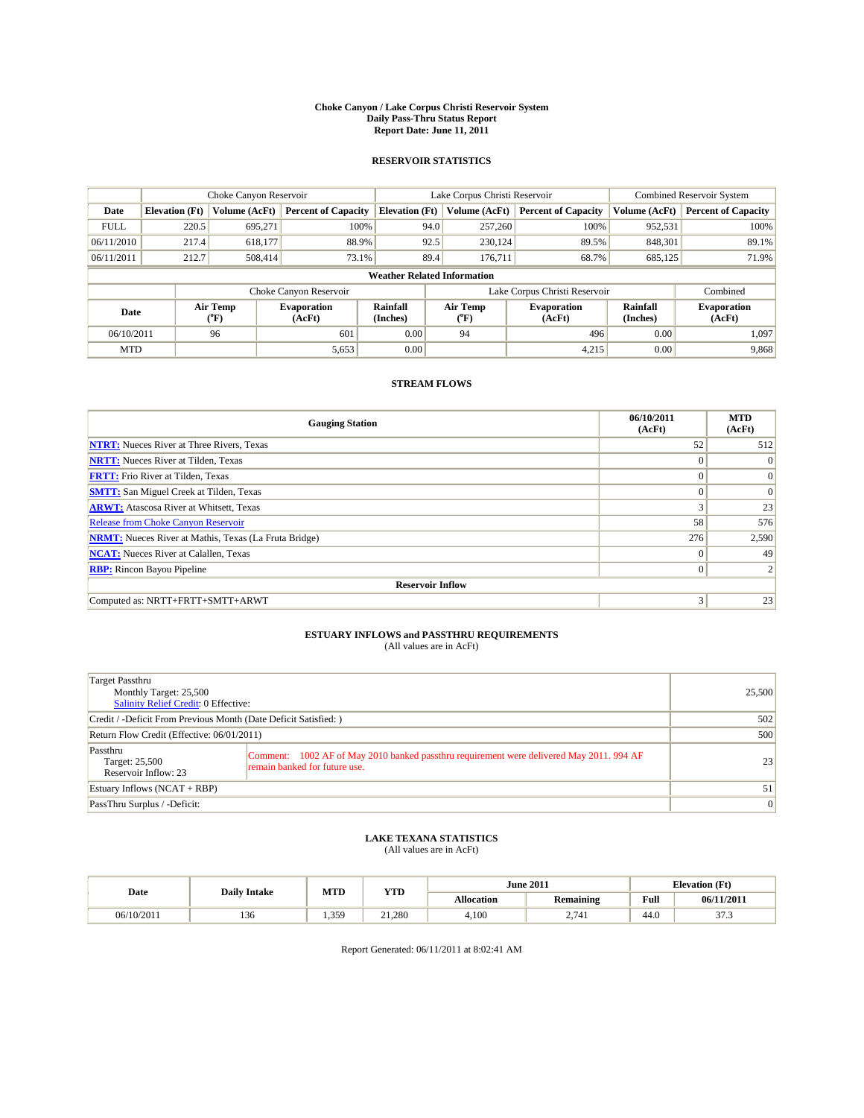#### **Choke Canyon / Lake Corpus Christi Reservoir System Daily Pass-Thru Status Report Report Date: June 11, 2011**

#### **RESERVOIR STATISTICS**

|             | Choke Canyon Reservoir             |                                           |                              |                       | Lake Corpus Christi Reservoir | <b>Combined Reservoir System</b> |                      |                              |  |  |
|-------------|------------------------------------|-------------------------------------------|------------------------------|-----------------------|-------------------------------|----------------------------------|----------------------|------------------------------|--|--|
| Date        | <b>Elevation</b> (Ft)              | Volume (AcFt)                             | <b>Percent of Capacity</b>   | <b>Elevation</b> (Ft) | Volume (AcFt)                 | <b>Percent of Capacity</b>       | Volume (AcFt)        | <b>Percent of Capacity</b>   |  |  |
| <b>FULL</b> | 220.5                              | 695,271                                   | 100%                         | 94.0                  | 257,260                       | 100%                             | 952,531              | 100%                         |  |  |
| 06/11/2010  | 217.4                              | 618,177                                   | 88.9%                        | 92.5                  | 230,124                       | 89.5%                            | 848,301              | 89.1%                        |  |  |
| 06/11/2011  | 212.7                              | 508.414                                   | 73.1%                        | 89.4                  | 176,711                       | 68.7%                            | 685,125              | 71.9%                        |  |  |
|             | <b>Weather Related Information</b> |                                           |                              |                       |                               |                                  |                      |                              |  |  |
|             |                                    |                                           | Choke Canyon Reservoir       |                       |                               | Lake Corpus Christi Reservoir    |                      | Combined                     |  |  |
| Date        |                                    | Air Temp<br>$({}^{\mathrm{o}}\mathrm{F})$ | <b>Evaporation</b><br>(AcFt) | Rainfall<br>(Inches)  | Air Temp<br>(°F)              | <b>Evaporation</b><br>(AcFt)     | Rainfall<br>(Inches) | <b>Evaporation</b><br>(AcFt) |  |  |
| 06/10/2011  |                                    | 96                                        | 601                          | 0.00                  | 94                            | 496                              | 0.00                 | 1.097                        |  |  |
| <b>MTD</b>  |                                    |                                           | 5,653                        | 0.00                  |                               | 4,215                            | 0.00                 | 9,868                        |  |  |

### **STREAM FLOWS**

| <b>Gauging Station</b>                                       | 06/10/2011<br>(AcFt) | <b>MTD</b><br>(AcFt) |
|--------------------------------------------------------------|----------------------|----------------------|
| <b>NTRT:</b> Nueces River at Three Rivers, Texas             | 52                   | 512                  |
| <b>NRTT:</b> Nueces River at Tilden, Texas                   | $\Omega$             | $\Omega$             |
| <b>FRTT:</b> Frio River at Tilden, Texas                     | $\Omega$             | $\vert 0 \vert$      |
| <b>SMTT:</b> San Miguel Creek at Tilden, Texas               | $\Omega$             | $\Omega$             |
| <b>ARWT:</b> Atascosa River at Whitsett, Texas               | 3                    | 23                   |
| <b>Release from Choke Canyon Reservoir</b>                   | 58                   | 576                  |
| <b>NRMT:</b> Nueces River at Mathis, Texas (La Fruta Bridge) | 276                  | 2,590                |
| <b>NCAT:</b> Nueces River at Calallen, Texas                 | $\Omega$             | 49                   |
| <b>RBP:</b> Rincon Bayou Pipeline                            | $\overline{0}$       |                      |
| <b>Reservoir Inflow</b>                                      |                      |                      |
| Computed as: NRTT+FRTT+SMTT+ARWT                             | 3                    | 23                   |

# **ESTUARY INFLOWS and PASSTHRU REQUIREMENTS**<br>(All values are in AcFt)

| Target Passthru<br>Monthly Target: 25,500<br>Salinity Relief Credit: 0 Effective: |                                                                                                                           | 25,500 |
|-----------------------------------------------------------------------------------|---------------------------------------------------------------------------------------------------------------------------|--------|
| Credit / -Deficit From Previous Month (Date Deficit Satisfied: )                  |                                                                                                                           | 502    |
| Return Flow Credit (Effective: 06/01/2011)                                        | 500                                                                                                                       |        |
| Passthru<br>Target: 25,500<br>Reservoir Inflow: 23                                | Comment: 1002 AF of May 2010 banked passthru requirement were delivered May 2011. 994 AF<br>remain banked for future use. | 23     |
| Estuary Inflows $(NCAT + RBP)$                                                    |                                                                                                                           | 51     |
| PassThru Surplus / -Deficit:                                                      |                                                                                                                           | 0      |

# **LAKE TEXANA STATISTICS** (All values are in AcFt)

|            | <b>Daily Intake</b> | MTD  | <b>YTD</b> | <b>June 2011</b>  |                  | <b>Elevation</b> (Ft) |              |
|------------|---------------------|------|------------|-------------------|------------------|-----------------------|--------------|
| Date       |                     |      |            | <b>Allocation</b> | <b>Remaining</b> | Full                  | 06/11/2011   |
| 06/10/2011 | 136                 | .359 | 21.280     | 4,100             | 2.741            | 44.0                  | $\sim$<br>ر. |

Report Generated: 06/11/2011 at 8:02:41 AM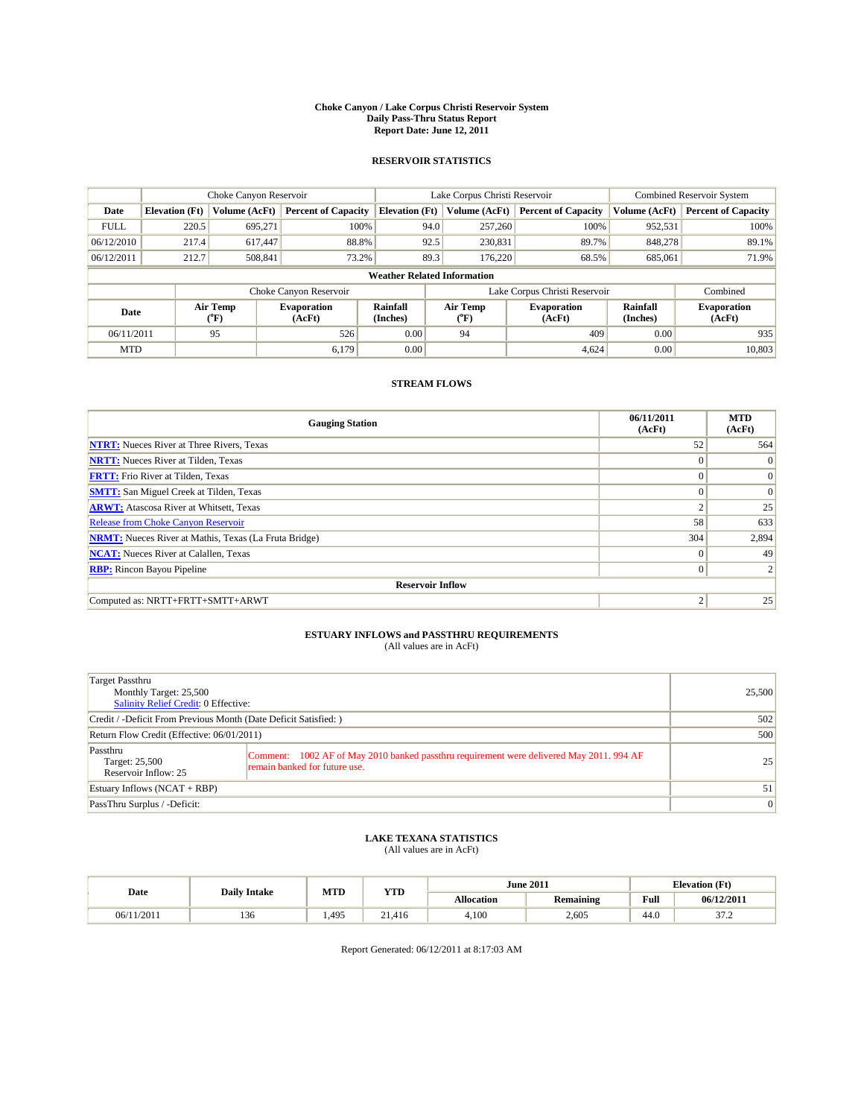#### **Choke Canyon / Lake Corpus Christi Reservoir System Daily Pass-Thru Status Report Report Date: June 12, 2011**

#### **RESERVOIR STATISTICS**

|             | Choke Canyon Reservoir             |                                           |                              |                       | Lake Corpus Christi Reservoir  | <b>Combined Reservoir System</b> |                      |                              |  |  |
|-------------|------------------------------------|-------------------------------------------|------------------------------|-----------------------|--------------------------------|----------------------------------|----------------------|------------------------------|--|--|
| Date        | <b>Elevation</b> (Ft)              | Volume (AcFt)                             | <b>Percent of Capacity</b>   | <b>Elevation</b> (Ft) | Volume (AcFt)                  | <b>Percent of Capacity</b>       | Volume (AcFt)        | <b>Percent of Capacity</b>   |  |  |
| <b>FULL</b> | 220.5                              | 695,271                                   | 100%                         | 94.0                  | 257,260                        | 100%                             | 952,531              | 100%                         |  |  |
| 06/12/2010  | 217.4                              | 617.447                                   | 88.8%                        | 92.5                  | 230,831                        | 89.7%                            | 848,278              | 89.1%                        |  |  |
| 06/12/2011  | 212.7                              | 508,841                                   | 73.2%                        | 89.3                  | 176.220                        | 68.5%                            | 685,061              | 71.9%                        |  |  |
|             | <b>Weather Related Information</b> |                                           |                              |                       |                                |                                  |                      |                              |  |  |
|             |                                    |                                           | Choke Canyon Reservoir       |                       |                                | Lake Corpus Christi Reservoir    |                      | Combined                     |  |  |
| Date        |                                    | Air Temp<br>$({}^{\mathrm{o}}\mathrm{F})$ | <b>Evaporation</b><br>(AcFt) | Rainfall<br>(Inches)  | Air Temp<br>$({}^o\mathrm{F})$ | <b>Evaporation</b><br>(AcFt)     | Rainfall<br>(Inches) | <b>Evaporation</b><br>(AcFt) |  |  |
| 06/11/2011  |                                    | 95                                        | 526                          | 0.00                  | 94                             | 409                              | 0.00                 | 935                          |  |  |
| <b>MTD</b>  |                                    |                                           | 6.179                        | 0.00                  |                                | 4.624                            | 0.00                 | 10,803                       |  |  |

### **STREAM FLOWS**

| <b>Gauging Station</b>                                       | 06/11/2011<br>(AcFt) | <b>MTD</b><br>(AcFt) |
|--------------------------------------------------------------|----------------------|----------------------|
| <b>NTRT:</b> Nueces River at Three Rivers, Texas             | 52                   | 564                  |
| <b>NRTT:</b> Nueces River at Tilden, Texas                   | $\Omega$             | $\Omega$             |
| <b>FRTT:</b> Frio River at Tilden, Texas                     | $\Omega$             | $\vert 0 \vert$      |
| <b>SMTT:</b> San Miguel Creek at Tilden, Texas               | $\Omega$             | $\Omega$             |
| <b>ARWT:</b> Atascosa River at Whitsett, Texas               | $\Delta$             | 25                   |
| <b>Release from Choke Canyon Reservoir</b>                   | 58                   | 633                  |
| <b>NRMT:</b> Nueces River at Mathis, Texas (La Fruta Bridge) | 304                  | 2,894                |
| <b>NCAT:</b> Nueces River at Calallen, Texas                 | $\Omega$             | 49                   |
| <b>RBP:</b> Rincon Bayou Pipeline                            | $\overline{0}$       |                      |
| <b>Reservoir Inflow</b>                                      |                      |                      |
| Computed as: NRTT+FRTT+SMTT+ARWT                             | 2                    | 25                   |

# **ESTUARY INFLOWS and PASSTHRU REQUIREMENTS**<br>(All values are in AcFt)

| Target Passthru<br>Monthly Target: 25,500<br>Salinity Relief Credit: 0 Effective: |                                                                                                                           | 25,500         |
|-----------------------------------------------------------------------------------|---------------------------------------------------------------------------------------------------------------------------|----------------|
| Credit / -Deficit From Previous Month (Date Deficit Satisfied: )                  | 502                                                                                                                       |                |
| Return Flow Credit (Effective: 06/01/2011)                                        | 500                                                                                                                       |                |
| Passthru<br>Target: 25,500<br>Reservoir Inflow: 25                                | Comment: 1002 AF of May 2010 banked passthru requirement were delivered May 2011. 994 AF<br>remain banked for future use. | 25             |
| Estuary Inflows $(NCAT + RBP)$                                                    |                                                                                                                           | 51             |
| PassThru Surplus / -Deficit:                                                      |                                                                                                                           | $\overline{0}$ |

# **LAKE TEXANA STATISTICS** (All values are in AcFt)

|            |                     | MTD   | <b>YTD</b> |                   | <b>June 2011</b> | <b>Elevation</b> (Ft) |                        |
|------------|---------------------|-------|------------|-------------------|------------------|-----------------------|------------------------|
| Date       | <b>Daily Intake</b> |       |            | <b>Allocation</b> | <b>Remaining</b> | Full                  | 06/12/2011             |
| 06/11/2011 | 136                 | 1.495 | 21.416     | 4,100             | 2.605            | 44.0                  | $\sim$ $\sim$<br>ے ، ر |

Report Generated: 06/12/2011 at 8:17:03 AM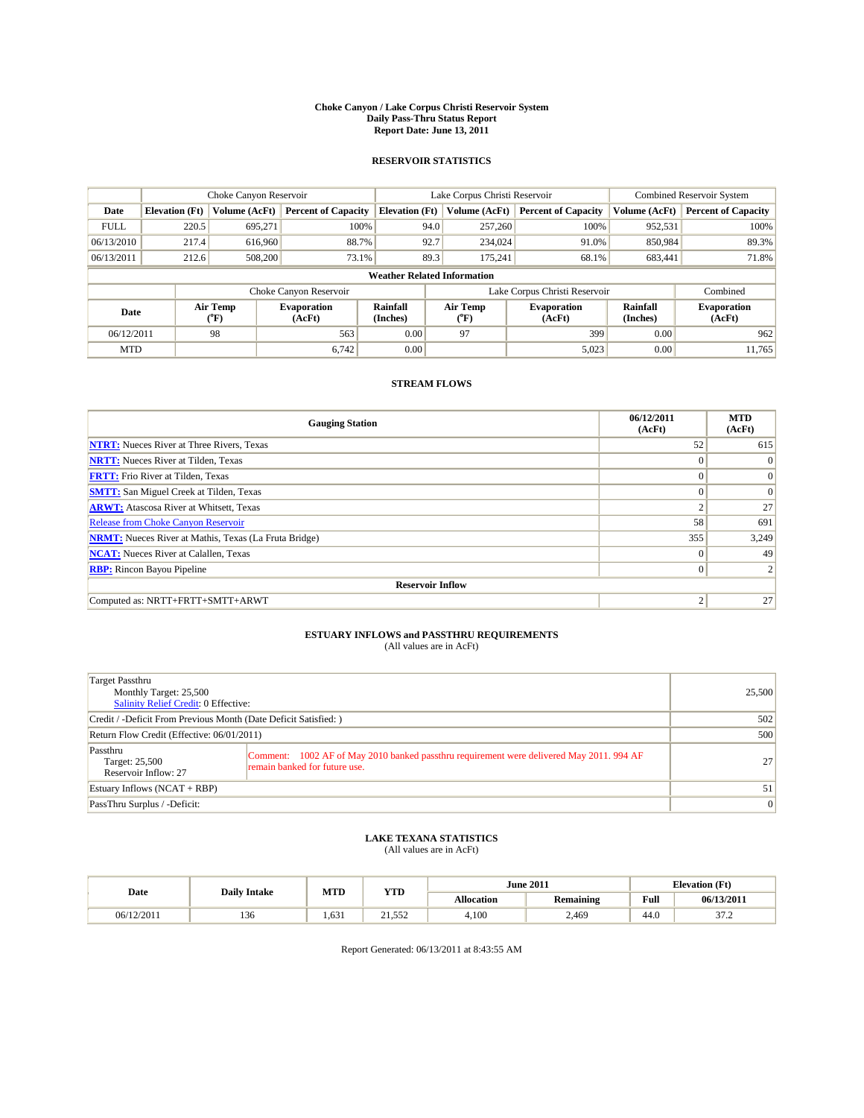#### **Choke Canyon / Lake Corpus Christi Reservoir System Daily Pass-Thru Status Report Report Date: June 13, 2011**

#### **RESERVOIR STATISTICS**

|             |                                    | Choke Canyon Reservoir         |                              | Lake Corpus Christi Reservoir |                                |         |                              | <b>Combined Reservoir System</b> |                              |  |
|-------------|------------------------------------|--------------------------------|------------------------------|-------------------------------|--------------------------------|---------|------------------------------|----------------------------------|------------------------------|--|
| Date        | <b>Elevation</b> (Ft)              | Volume (AcFt)                  | <b>Percent of Capacity</b>   | <b>Elevation</b> (Ft)         | Volume (AcFt)                  |         | <b>Percent of Capacity</b>   | Volume (AcFt)                    | <b>Percent of Capacity</b>   |  |
| <b>FULL</b> | 220.5                              | 695,271                        | 100%                         |                               | 94.0                           | 257,260 | 100%                         | 952,531                          | 100%                         |  |
| 06/13/2010  | 217.4                              | 616,960                        | 88.7%                        |                               | 92.7                           | 234,024 | 91.0%                        | 850,984                          | 89.3%                        |  |
| 06/13/2011  | 212.6                              | 508,200                        | 73.1%                        |                               | 89.3                           | 175,241 | 68.1%                        | 683,441                          | 71.8%                        |  |
|             | <b>Weather Related Information</b> |                                |                              |                               |                                |         |                              |                                  |                              |  |
|             |                                    |                                | Choke Canyon Reservoir       |                               | Lake Corpus Christi Reservoir  |         |                              |                                  | Combined                     |  |
| Date        |                                    | Air Temp<br>$({}^o\mathrm{F})$ | <b>Evaporation</b><br>(AcFt) | Rainfall<br>(Inches)          | Air Temp<br>$({}^o\mathrm{F})$ |         | <b>Evaporation</b><br>(AcFt) | Rainfall<br>(Inches)             | <b>Evaporation</b><br>(AcFt) |  |
| 06/12/2011  |                                    | 98                             | 563                          | 0.00                          | 97                             |         | 399                          | 0.00                             | 962                          |  |
| <b>MTD</b>  |                                    |                                | 6.742                        | 0.00                          |                                |         | 5,023                        | 0.00                             | 11,765                       |  |

### **STREAM FLOWS**

| <b>Gauging Station</b>                                       | 06/12/2011<br>(AcFt) | <b>MTD</b><br>(AcFt) |
|--------------------------------------------------------------|----------------------|----------------------|
| <b>NTRT:</b> Nueces River at Three Rivers, Texas             | 52                   | 615                  |
| <b>NRTT:</b> Nueces River at Tilden, Texas                   | $\theta$             | $\Omega$             |
| <b>FRTT:</b> Frio River at Tilden, Texas                     | $\Omega$             | $\vert 0 \vert$      |
| <b>SMTT:</b> San Miguel Creek at Tilden, Texas               | $\theta$             | $\Omega$             |
| <b>ARWT:</b> Atascosa River at Whitsett, Texas               | $\overline{2}$       | 27                   |
| <b>Release from Choke Canyon Reservoir</b>                   | 58                   | 691                  |
| <b>NRMT:</b> Nueces River at Mathis, Texas (La Fruta Bridge) | 355                  | 3,249                |
| <b>NCAT:</b> Nueces River at Calallen, Texas                 | $\theta$             | 49                   |
| <b>RBP:</b> Rincon Bayou Pipeline                            | $\mathbf{0}$         |                      |
| <b>Reservoir Inflow</b>                                      |                      |                      |
| Computed as: NRTT+FRTT+SMTT+ARWT                             |                      | 27                   |

# **ESTUARY INFLOWS and PASSTHRU REQUIREMENTS**<br>(All values are in AcFt)

| Target Passthru<br>Monthly Target: 25,500<br>Salinity Relief Credit: 0 Effective: |                                                                                                                           | 25,500         |
|-----------------------------------------------------------------------------------|---------------------------------------------------------------------------------------------------------------------------|----------------|
| Credit / -Deficit From Previous Month (Date Deficit Satisfied: )                  |                                                                                                                           | 502            |
| Return Flow Credit (Effective: 06/01/2011)                                        | 500                                                                                                                       |                |
| Passthru<br>Target: 25,500<br>Reservoir Inflow: 27                                | Comment: 1002 AF of May 2010 banked passthru requirement were delivered May 2011. 994 AF<br>remain banked for future use. | 27             |
| Estuary Inflows $(NCAT + RBP)$                                                    |                                                                                                                           | 51             |
| PassThru Surplus / -Deficit:                                                      |                                                                                                                           | $\overline{0}$ |

# **LAKE TEXANA STATISTICS** (All values are in AcFt)

|            |                     | MTD   | <b>YTD</b>    |                   | <b>June 2011</b> | <b>Elevation</b> (Ft) |                        |
|------------|---------------------|-------|---------------|-------------------|------------------|-----------------------|------------------------|
| Date       | <b>Daily Intake</b> |       |               | <b>Allocation</b> | <b>Remaining</b> | Full                  | 06/13/2011             |
| 06/12/2011 | 136                 | 1.631 | 552<br>21.992 | 4,100             | 2.469            | 44.0                  | $\sim$ $\sim$<br>ے ، ر |

Report Generated: 06/13/2011 at 8:43:55 AM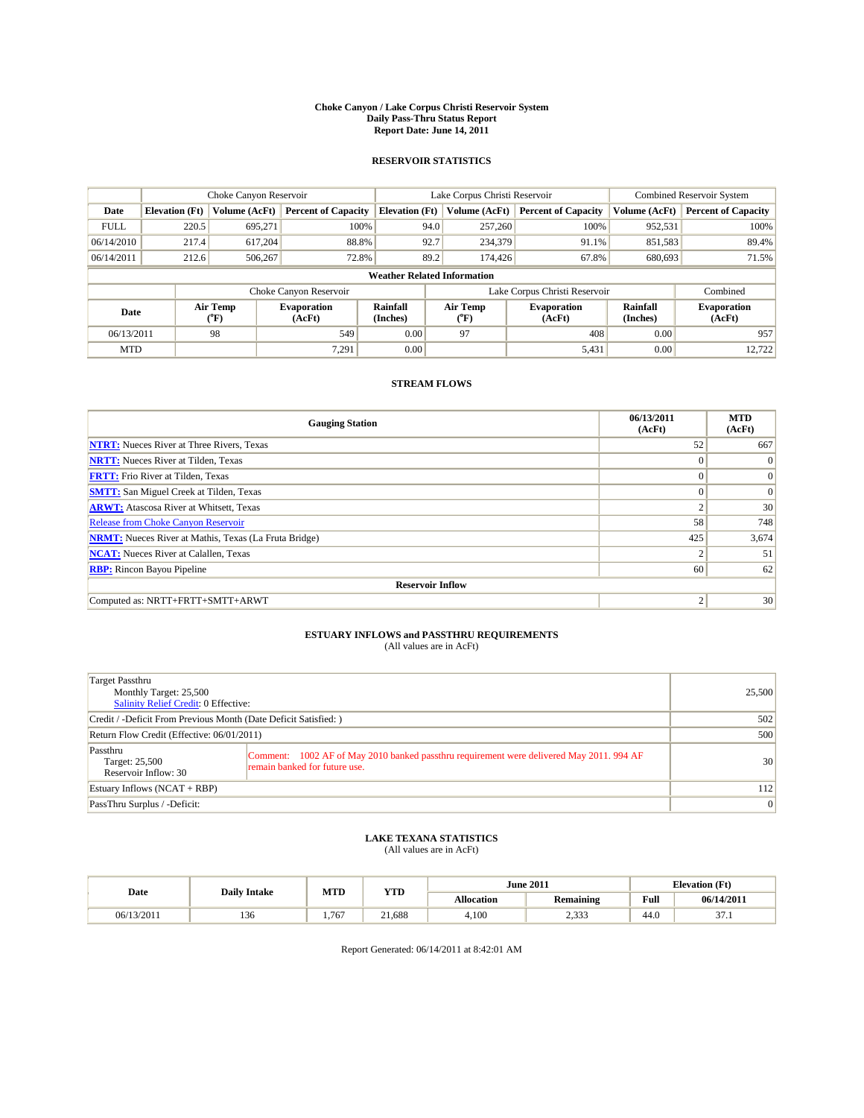#### **Choke Canyon / Lake Corpus Christi Reservoir System Daily Pass-Thru Status Report Report Date: June 14, 2011**

#### **RESERVOIR STATISTICS**

|             |                                    | Choke Canyon Reservoir         |                              |                       | Lake Corpus Christi Reservoir | <b>Combined Reservoir System</b> |                      |                              |  |  |
|-------------|------------------------------------|--------------------------------|------------------------------|-----------------------|-------------------------------|----------------------------------|----------------------|------------------------------|--|--|
| Date        | <b>Elevation</b> (Ft)              | Volume (AcFt)                  | <b>Percent of Capacity</b>   | <b>Elevation</b> (Ft) | Volume (AcFt)                 | <b>Percent of Capacity</b>       | Volume (AcFt)        | <b>Percent of Capacity</b>   |  |  |
| <b>FULL</b> | 220.5                              | 695,271                        | 100%                         | 94.0                  | 257,260                       | 100%                             | 952,531              | 100%                         |  |  |
| 06/14/2010  | 217.4                              | 617,204                        | 88.8%                        | 92.7                  | 234,379                       | 91.1%                            | 851,583              | 89.4%                        |  |  |
| 06/14/2011  | 212.6                              | 506,267                        | 72.8%                        | 89.2                  | 174,426                       | 67.8%                            | 680,693              | 71.5%                        |  |  |
|             | <b>Weather Related Information</b> |                                |                              |                       |                               |                                  |                      |                              |  |  |
|             |                                    |                                | Choke Canyon Reservoir       |                       |                               | Lake Corpus Christi Reservoir    |                      | Combined                     |  |  |
| Date        |                                    | Air Temp<br>$({}^o\mathrm{F})$ | <b>Evaporation</b><br>(AcFt) | Rainfall<br>(Inches)  | Air Temp<br>(°F)              | <b>Evaporation</b><br>(AcFt)     | Rainfall<br>(Inches) | <b>Evaporation</b><br>(AcFt) |  |  |
| 06/13/2011  |                                    | 98                             | 549                          | 0.00                  | 97                            | 408                              | 0.00                 | 957                          |  |  |
| <b>MTD</b>  |                                    |                                | 7,291                        | 0.00                  |                               | 5,431                            | 0.00                 | 12,722                       |  |  |

### **STREAM FLOWS**

| <b>Gauging Station</b>                                       | 06/13/2011<br>(AcFt) | <b>MTD</b><br>(AcFt) |
|--------------------------------------------------------------|----------------------|----------------------|
| <b>NTRT:</b> Nueces River at Three Rivers, Texas             | 52                   | 667                  |
| <b>NRTT:</b> Nueces River at Tilden, Texas                   | $\Omega$             | $\Omega$             |
| <b>FRTT:</b> Frio River at Tilden, Texas                     | $\Omega$             | $\vert 0 \vert$      |
| <b>SMTT:</b> San Miguel Creek at Tilden, Texas               | $\Omega$             | $\Omega$             |
| <b>ARWT:</b> Atascosa River at Whitsett, Texas               | $\Delta$             | 30                   |
| <b>Release from Choke Canyon Reservoir</b>                   | 58                   | 748                  |
| <b>NRMT:</b> Nueces River at Mathis, Texas (La Fruta Bridge) | 425                  | 3,674                |
| <b>NCAT:</b> Nueces River at Calallen, Texas                 |                      | 51                   |
| <b>RBP:</b> Rincon Bayou Pipeline                            | 60                   | 62                   |
| <b>Reservoir Inflow</b>                                      |                      |                      |
| Computed as: NRTT+FRTT+SMTT+ARWT                             | 2                    | 30                   |

# **ESTUARY INFLOWS and PASSTHRU REQUIREMENTS**<br>(All values are in AcFt)

| Target Passthru<br>Monthly Target: 25,500<br>Salinity Relief Credit: 0 Effective: |                                                                                                                           | 25,500          |
|-----------------------------------------------------------------------------------|---------------------------------------------------------------------------------------------------------------------------|-----------------|
| Credit / -Deficit From Previous Month (Date Deficit Satisfied: )                  | 502                                                                                                                       |                 |
| Return Flow Credit (Effective: 06/01/2011)                                        | 500                                                                                                                       |                 |
| Passthru<br>Target: 25,500<br>Reservoir Inflow: 30                                | Comment: 1002 AF of May 2010 banked passthru requirement were delivered May 2011. 994 AF<br>remain banked for future use. | 30              |
| Estuary Inflows $(NCAT + RBP)$                                                    |                                                                                                                           | 112             |
| PassThru Surplus / -Deficit:                                                      |                                                                                                                           | $\vert 0 \vert$ |

# **LAKE TEXANA STATISTICS** (All values are in AcFt)

| Date       | <b>Daily Intake</b> | MTD   | <b>YTD</b> |                   | <b>June 2011</b>   |      | <b>Elevation</b> (Ft) |
|------------|---------------------|-------|------------|-------------------|--------------------|------|-----------------------|
|            |                     |       |            | <b>Allocation</b> | <b>Remaining</b>   | Full | 06/14/2011            |
| 06/13/2011 | $\sim$<br>150       | 1.767 | 21.688     | 4,100             | 0.222<br>ر ر ر ر د | 44.0 | $\sim$<br>.           |

Report Generated: 06/14/2011 at 8:42:01 AM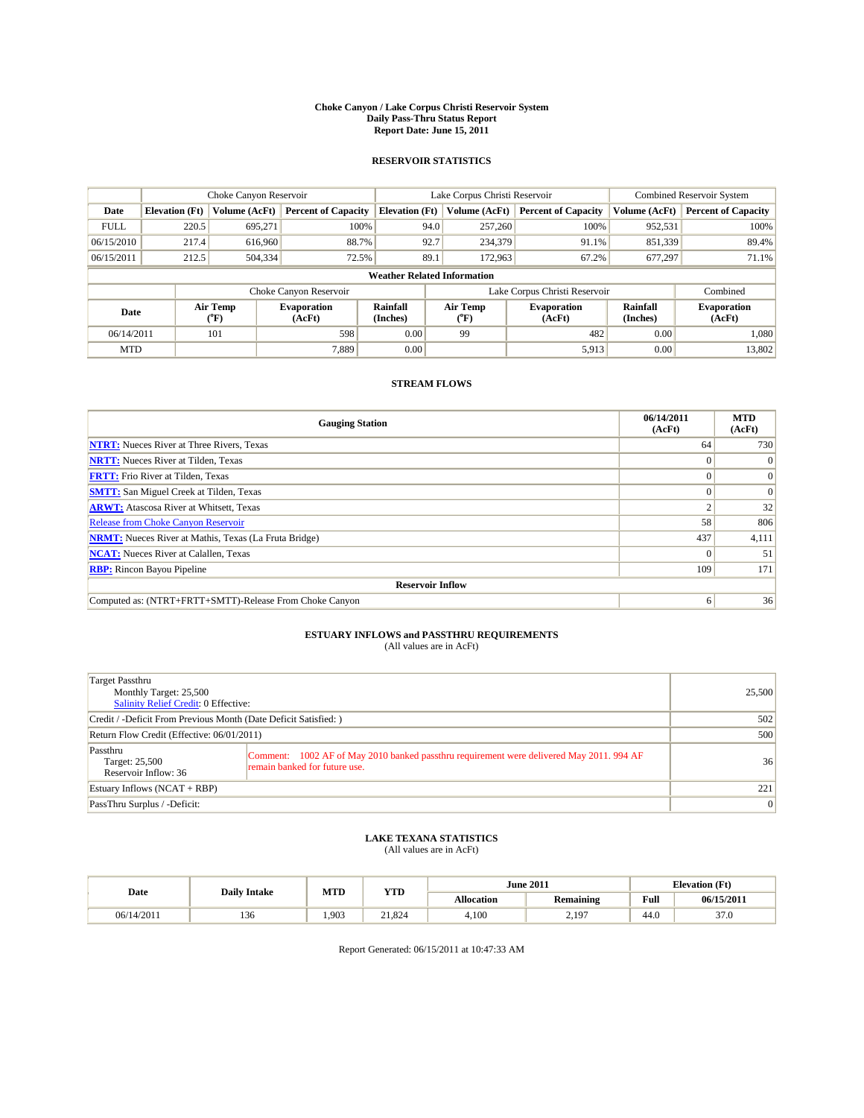#### **Choke Canyon / Lake Corpus Christi Reservoir System Daily Pass-Thru Status Report Report Date: June 15, 2011**

#### **RESERVOIR STATISTICS**

|             |                                    | Choke Canyon Reservoir         |                              |                       | Lake Corpus Christi Reservoir | <b>Combined Reservoir System</b> |                      |                              |  |  |
|-------------|------------------------------------|--------------------------------|------------------------------|-----------------------|-------------------------------|----------------------------------|----------------------|------------------------------|--|--|
| Date        | <b>Elevation</b> (Ft)              | Volume (AcFt)                  | <b>Percent of Capacity</b>   | <b>Elevation</b> (Ft) | Volume (AcFt)                 | <b>Percent of Capacity</b>       | Volume (AcFt)        | <b>Percent of Capacity</b>   |  |  |
| <b>FULL</b> | 220.5                              | 695,271                        | 100%                         |                       | 94.0<br>257,260               | 100%                             | 952,531              | 100%                         |  |  |
| 06/15/2010  | 217.4                              | 616,960                        | 88.7%                        | 92.7                  | 234,379                       | 91.1%                            | 851,339              | 89.4%                        |  |  |
| 06/15/2011  | 212.5                              | 504,334                        | 72.5%                        | 89.1                  | 172,963                       | 67.2%                            | 677,297              | 71.1%                        |  |  |
|             | <b>Weather Related Information</b> |                                |                              |                       |                               |                                  |                      |                              |  |  |
|             |                                    |                                | Choke Canyon Reservoir       |                       |                               | Lake Corpus Christi Reservoir    |                      | Combined                     |  |  |
| Date        |                                    | Air Temp<br>$({}^o\mathrm{F})$ | <b>Evaporation</b><br>(AcFt) | Rainfall<br>(Inches)  | Air Temp<br>(°F)              | <b>Evaporation</b><br>(AcFt)     | Rainfall<br>(Inches) | <b>Evaporation</b><br>(AcFt) |  |  |
| 06/14/2011  |                                    | 101                            | 598                          | 0.00                  | 99                            | 482                              | 0.00                 | 1.080                        |  |  |
| <b>MTD</b>  |                                    |                                | 7.889                        | 0.00                  |                               | 5,913                            | 0.00                 | 13,802                       |  |  |

## **STREAM FLOWS**

| <b>Gauging Station</b>                                       | 06/14/2011<br>(AcFt) | <b>MTD</b><br>(AcFt) |
|--------------------------------------------------------------|----------------------|----------------------|
| <b>NTRT:</b> Nueces River at Three Rivers, Texas             | 64                   | 730                  |
| <b>NRTT:</b> Nueces River at Tilden, Texas                   | $\Omega$             | $\Omega$             |
| <b>FRTT:</b> Frio River at Tilden, Texas                     |                      | $\Omega$             |
| <b>SMTT:</b> San Miguel Creek at Tilden, Texas               |                      | $\Omega$             |
| <b>ARWT:</b> Atascosa River at Whitsett, Texas               |                      | 32                   |
| Release from Choke Canyon Reservoir                          | 58                   | 806                  |
| <b>NRMT:</b> Nueces River at Mathis, Texas (La Fruta Bridge) | 437                  | 4,111                |
| <b>NCAT:</b> Nueces River at Calallen, Texas                 | $\Omega$             | 51                   |
| <b>RBP:</b> Rincon Bayou Pipeline                            | 109                  | 171                  |
| <b>Reservoir Inflow</b>                                      |                      |                      |
| Computed as: (NTRT+FRTT+SMTT)-Release From Choke Canyon      | 6                    | 36                   |

# **ESTUARY INFLOWS and PASSTHRU REQUIREMENTS**<br>(All values are in AcFt)

| Target Passthru<br>Monthly Target: 25,500<br>Salinity Relief Credit: 0 Effective: |                                                                                                                           | 25,500 |
|-----------------------------------------------------------------------------------|---------------------------------------------------------------------------------------------------------------------------|--------|
| Credit / -Deficit From Previous Month (Date Deficit Satisfied: )                  |                                                                                                                           | 502    |
| Return Flow Credit (Effective: 06/01/2011)                                        |                                                                                                                           | 500    |
| Passthru<br>Target: 25,500<br>Reservoir Inflow: 36                                | Comment: 1002 AF of May 2010 banked passthru requirement were delivered May 2011. 994 AF<br>remain banked for future use. | 36     |
| Estuary Inflows $(NCAT + RBP)$                                                    |                                                                                                                           | 221    |
| PassThru Surplus / -Deficit:                                                      |                                                                                                                           | 0      |

# **LAKE TEXANA STATISTICS** (All values are in AcFt)

|            | <b>Daily Intake</b> | MTD  | YTD    |            | <b>June 2011</b> | <b>Elevation</b> (Ft) |            |
|------------|---------------------|------|--------|------------|------------------|-----------------------|------------|
| Date       |                     |      |        | Allocation | <b>Remaining</b> | Full                  | 06/15/2011 |
| 06/14/2011 | 136                 | .903 | 21.824 | 4,100      | 2,197            | 44.0                  | 37.0       |

Report Generated: 06/15/2011 at 10:47:33 AM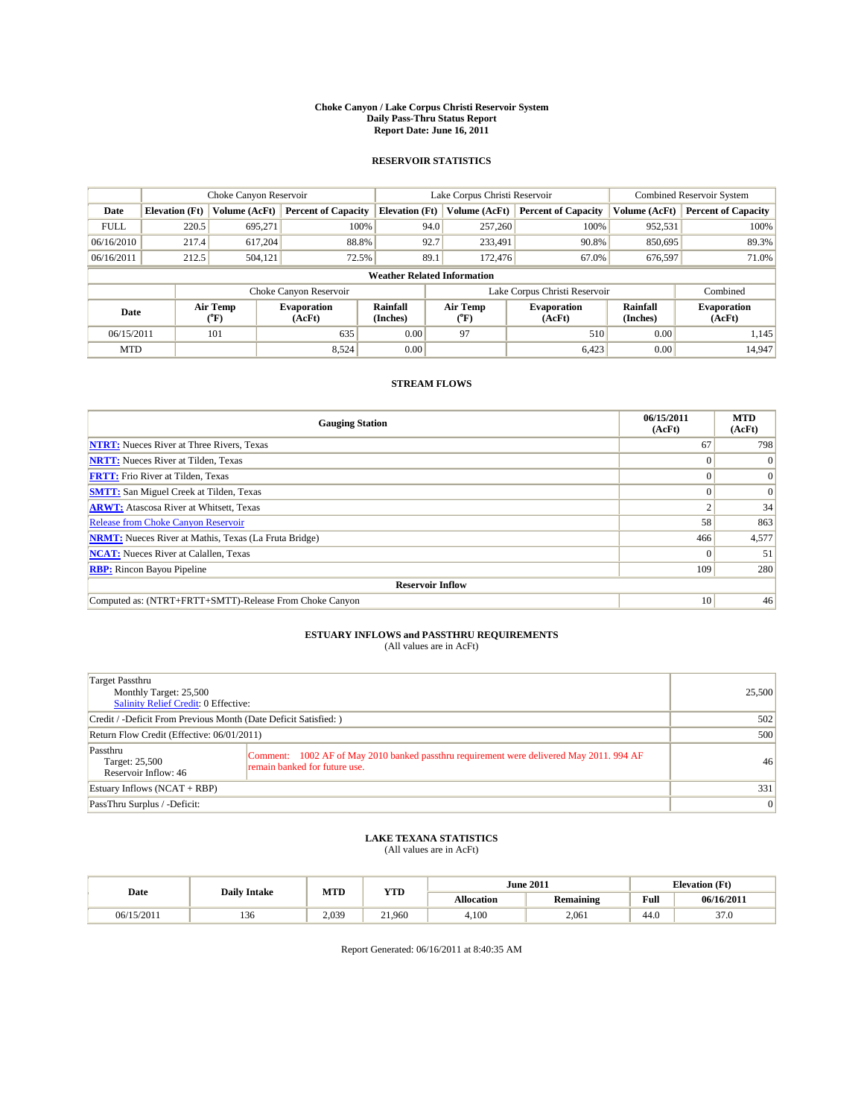#### **Choke Canyon / Lake Corpus Christi Reservoir System Daily Pass-Thru Status Report Report Date: June 16, 2011**

#### **RESERVOIR STATISTICS**

|             |                                    | Choke Canyon Reservoir                    |                              |                       | Lake Corpus Christi Reservoir | <b>Combined Reservoir System</b> |                             |                              |  |  |
|-------------|------------------------------------|-------------------------------------------|------------------------------|-----------------------|-------------------------------|----------------------------------|-----------------------------|------------------------------|--|--|
| Date        | <b>Elevation</b> (Ft)              | <b>Volume (AcFt)</b>                      | <b>Percent of Capacity</b>   | <b>Elevation</b> (Ft) | Volume (AcFt)                 | <b>Percent of Capacity</b>       | Volume (AcFt)               | <b>Percent of Capacity</b>   |  |  |
| <b>FULL</b> | 220.5                              | 695,271                                   | 100%                         | 94.0                  | 257,260                       | 100%                             | 952,531                     | 100%                         |  |  |
| 06/16/2010  | 217.4                              | 617,204                                   | 88.8%                        | 92.7                  | 233,491                       | 90.8%                            | 850,695                     | 89.3%                        |  |  |
| 06/16/2011  | 212.5                              | 504,121                                   | 72.5%                        | 89.1                  | 172,476                       | 67.0%                            | 676,597                     | 71.0%                        |  |  |
|             | <b>Weather Related Information</b> |                                           |                              |                       |                               |                                  |                             |                              |  |  |
|             |                                    |                                           | Choke Canyon Reservoir       |                       | Lake Corpus Christi Reservoir |                                  |                             | Combined                     |  |  |
| Date        |                                    | Air Temp<br>$({}^{\mathrm{o}}\mathrm{F})$ | <b>Evaporation</b><br>(AcFt) | Rainfall<br>(Inches)  | Air Temp<br>("F)              | <b>Evaporation</b><br>(AcFt)     | <b>Rainfall</b><br>(Inches) | <b>Evaporation</b><br>(AcFt) |  |  |
| 06/15/2011  |                                    | 101                                       | 635                          | 0.00                  | 97                            | 510                              | 0.00                        | 1.145                        |  |  |
| <b>MTD</b>  |                                    |                                           | 8.524                        | 0.00                  |                               | 6,423                            | 0.00                        | 14.947                       |  |  |

## **STREAM FLOWS**

| <b>Gauging Station</b>                                       | 06/15/2011<br>(AcFt) | <b>MTD</b><br>(AcFt) |
|--------------------------------------------------------------|----------------------|----------------------|
| <b>NTRT:</b> Nueces River at Three Rivers, Texas             | 67                   | 798                  |
| <b>NRTT:</b> Nueces River at Tilden, Texas                   | $\Omega$             | $\Omega$             |
| <b>FRTT:</b> Frio River at Tilden, Texas                     |                      | $\Omega$             |
| <b>SMTT:</b> San Miguel Creek at Tilden, Texas               |                      | $\Omega$             |
| <b>ARWT:</b> Atascosa River at Whitsett, Texas               |                      | 34                   |
| <b>Release from Choke Canyon Reservoir</b>                   | 58                   | 863                  |
| <b>NRMT:</b> Nueces River at Mathis, Texas (La Fruta Bridge) | 466                  | 4,577                |
| <b>NCAT:</b> Nueces River at Calallen, Texas                 | $\Omega$             | 51                   |
| <b>RBP:</b> Rincon Bayou Pipeline                            | 109                  | 280                  |
| <b>Reservoir Inflow</b>                                      |                      |                      |
| Computed as: (NTRT+FRTT+SMTT)-Release From Choke Canyon      | 10                   | 46                   |

# **ESTUARY INFLOWS and PASSTHRU REQUIREMENTS**<br>(All values are in AcFt)

| Target Passthru<br>Monthly Target: 25,500<br>Salinity Relief Credit: 0 Effective: |                                                                                                                           | 25,500 |
|-----------------------------------------------------------------------------------|---------------------------------------------------------------------------------------------------------------------------|--------|
| Credit / -Deficit From Previous Month (Date Deficit Satisfied: )                  |                                                                                                                           | 502    |
| Return Flow Credit (Effective: 06/01/2011)                                        |                                                                                                                           | 500    |
| Passthru<br>Target: 25,500<br>Reservoir Inflow: 46                                | Comment: 1002 AF of May 2010 banked passthru requirement were delivered May 2011. 994 AF<br>remain banked for future use. | 46     |
| Estuary Inflows $(NCAT + RBP)$                                                    |                                                                                                                           | 331    |
| PassThru Surplus / -Deficit:                                                      |                                                                                                                           | 0      |

## **LAKE TEXANA STATISTICS** (All values are in AcFt)

|            |                     | MTD   | <b>YTD</b> |            | <b>June 2011</b> | <b>Elevation</b> (Ft)                       |            |
|------------|---------------------|-------|------------|------------|------------------|---------------------------------------------|------------|
| Date       | <b>Daily Intake</b> |       |            | Allocation | <b>Remaining</b> | Full<br>the contract of the contract of the | 06/16/2011 |
| 06/15/2011 | 10<<br>1.JU         | 2,039 | 21.960     | 4.100      | 2,061            | 44.0                                        | 37.0       |

Report Generated: 06/16/2011 at 8:40:35 AM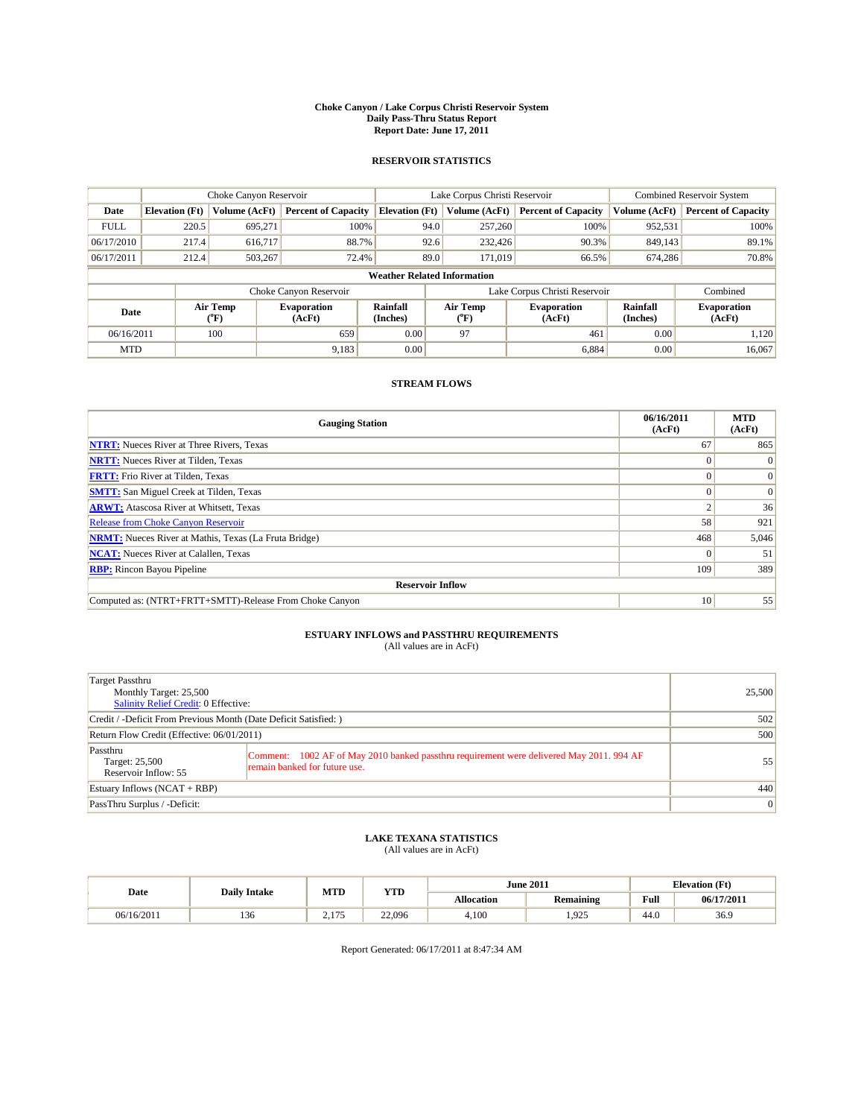#### **Choke Canyon / Lake Corpus Christi Reservoir System Daily Pass-Thru Status Report Report Date: June 17, 2011**

#### **RESERVOIR STATISTICS**

|             | Choke Canyon Reservoir             |                                           |                              |                       | Lake Corpus Christi Reservoir |                  |                              |                      | <b>Combined Reservoir System</b> |  |
|-------------|------------------------------------|-------------------------------------------|------------------------------|-----------------------|-------------------------------|------------------|------------------------------|----------------------|----------------------------------|--|
| Date        | <b>Elevation</b> (Ft)              | Volume (AcFt)                             | <b>Percent of Capacity</b>   | <b>Elevation</b> (Ft) |                               | Volume (AcFt)    | <b>Percent of Capacity</b>   | Volume (AcFt)        | <b>Percent of Capacity</b>       |  |
| <b>FULL</b> | 220.5                              | 695,271                                   | 100%                         |                       | 94.0                          | 257,260          | 100%                         | 952,531              | 100%                             |  |
| 06/17/2010  | 217.4                              | 616.717                                   | 88.7%                        |                       | 92.6                          | 232,426          | 90.3%                        | 849,143              | 89.1%                            |  |
| 06/17/2011  | 212.4                              | 503,267                                   | 72.4%                        |                       | 89.0                          | 171,019          | 66.5%                        | 674,286              | 70.8%                            |  |
|             | <b>Weather Related Information</b> |                                           |                              |                       |                               |                  |                              |                      |                                  |  |
|             |                                    |                                           | Choke Canyon Reservoir       |                       | Lake Corpus Christi Reservoir |                  |                              |                      | Combined                         |  |
| Date        |                                    | Air Temp<br>$({}^{\mathrm{o}}\mathrm{F})$ | <b>Evaporation</b><br>(AcFt) | Rainfall<br>(Inches)  |                               | Air Temp<br>(°F) | <b>Evaporation</b><br>(AcFt) | Rainfall<br>(Inches) | <b>Evaporation</b><br>(AcFt)     |  |
| 06/16/2011  |                                    | 100                                       | 659                          | 0.00                  |                               | 97               | 461                          | 0.00                 | 1.120                            |  |
| <b>MTD</b>  |                                    |                                           | 9,183                        | 0.00                  |                               |                  | 6,884                        | 0.00                 | 16,067                           |  |

## **STREAM FLOWS**

| <b>Gauging Station</b>                                       | 06/16/2011<br>(AcFt) | <b>MTD</b><br>(AcFt) |
|--------------------------------------------------------------|----------------------|----------------------|
| <b>NTRT:</b> Nueces River at Three Rivers, Texas             | 67                   | 865                  |
| <b>NRTT:</b> Nueces River at Tilden, Texas                   | $\Omega$             | $\Omega$             |
| <b>FRTT:</b> Frio River at Tilden, Texas                     |                      | $\Omega$             |
| <b>SMTT:</b> San Miguel Creek at Tilden, Texas               |                      | $\Omega$             |
| <b>ARWT:</b> Atascosa River at Whitsett, Texas               |                      | 36                   |
| <b>Release from Choke Canyon Reservoir</b>                   | 58                   | 921                  |
| <b>NRMT:</b> Nueces River at Mathis, Texas (La Fruta Bridge) | 468                  | 5,046                |
| <b>NCAT:</b> Nueces River at Calallen, Texas                 | $\Omega$             | 51                   |
| <b>RBP:</b> Rincon Bayou Pipeline                            | 109                  | 389                  |
| <b>Reservoir Inflow</b>                                      |                      |                      |
| Computed as: (NTRT+FRTT+SMTT)-Release From Choke Canyon      | 10                   | 55                   |

# **ESTUARY INFLOWS and PASSTHRU REQUIREMENTS**<br>(All values are in AcFt)

| Target Passthru<br>Monthly Target: 25,500<br>Salinity Relief Credit: 0 Effective: |                                                                                                                           | 25,500 |
|-----------------------------------------------------------------------------------|---------------------------------------------------------------------------------------------------------------------------|--------|
| Credit / -Deficit From Previous Month (Date Deficit Satisfied: )                  |                                                                                                                           | 502    |
| Return Flow Credit (Effective: 06/01/2011)                                        | 500                                                                                                                       |        |
| Passthru<br>Target: 25,500<br>Reservoir Inflow: 55                                | Comment: 1002 AF of May 2010 banked passthru requirement were delivered May 2011. 994 AF<br>remain banked for future use. | 55     |
| Estuary Inflows $(NCAT + RBP)$                                                    |                                                                                                                           | 440    |
| PassThru Surplus / -Deficit:                                                      |                                                                                                                           | 0      |

# **LAKE TEXANA STATISTICS** (All values are in AcFt)

|            | <b>Daily Intake</b> | MTD                  | <b>YTD</b> |                   | <b>June 2011</b> | <b>Elevation</b> (Ft) |            |
|------------|---------------------|----------------------|------------|-------------------|------------------|-----------------------|------------|
| Date       |                     |                      |            | <b>Allocation</b> | <b>Remaining</b> | Full                  | 06/17/2011 |
| 06/16/2011 | 10<<br>136          | 175<br><u> 2.11.</u> | 22,096     | 4,100             | .925             | 44.0                  | 36.9       |

Report Generated: 06/17/2011 at 8:47:34 AM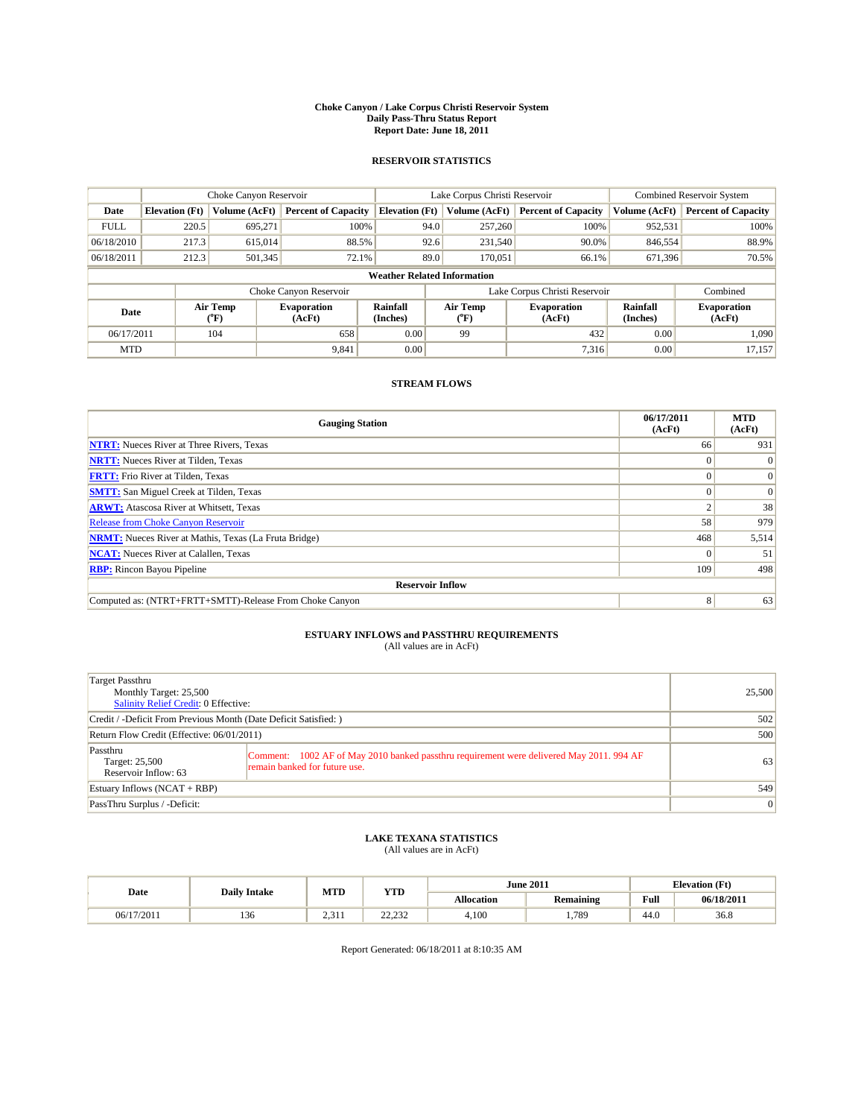#### **Choke Canyon / Lake Corpus Christi Reservoir System Daily Pass-Thru Status Report Report Date: June 18, 2011**

#### **RESERVOIR STATISTICS**

|             | Choke Canyon Reservoir             |                                           |                              |                       | Lake Corpus Christi Reservoir | <b>Combined Reservoir System</b> |                             |                              |  |  |
|-------------|------------------------------------|-------------------------------------------|------------------------------|-----------------------|-------------------------------|----------------------------------|-----------------------------|------------------------------|--|--|
| Date        | <b>Elevation</b> (Ft)              | <b>Volume (AcFt)</b>                      | <b>Percent of Capacity</b>   | <b>Elevation</b> (Ft) | Volume (AcFt)                 | <b>Percent of Capacity</b>       | Volume (AcFt)               | <b>Percent of Capacity</b>   |  |  |
| <b>FULL</b> | 220.5                              | 695,271                                   | 100%                         |                       | 94.0<br>257,260               | 100%                             | 952,531                     | 100%                         |  |  |
| 06/18/2010  | 217.3                              | 615,014                                   | 88.5%                        |                       | 92.6<br>231.540               | 90.0%                            | 846,554                     | 88.9%                        |  |  |
| 06/18/2011  | 212.3                              | 501,345                                   | 72.1%                        |                       | 89.0<br>170,051               | 66.1%                            | 671,396                     | 70.5%                        |  |  |
|             | <b>Weather Related Information</b> |                                           |                              |                       |                               |                                  |                             |                              |  |  |
|             |                                    |                                           | Choke Canyon Reservoir       |                       | Lake Corpus Christi Reservoir |                                  |                             | Combined                     |  |  |
| Date        |                                    | Air Temp<br>$({}^{\mathrm{o}}\mathrm{F})$ | <b>Evaporation</b><br>(AcFt) | Rainfall<br>(Inches)  | Air Temp<br>("F)              | <b>Evaporation</b><br>(AcFt)     | <b>Rainfall</b><br>(Inches) | <b>Evaporation</b><br>(AcFt) |  |  |
| 06/17/2011  |                                    | 104                                       | 658                          | 0.00                  | 99                            | 432                              | 0.00                        | 1.090                        |  |  |
| <b>MTD</b>  |                                    |                                           | 9,841                        | 0.00                  |                               | 7.316                            | 0.00                        | 17,157                       |  |  |

## **STREAM FLOWS**

| <b>Gauging Station</b>                                       | 06/17/2011<br>(AcFt) | <b>MTD</b><br>(AcFt) |
|--------------------------------------------------------------|----------------------|----------------------|
| <b>NTRT:</b> Nueces River at Three Rivers, Texas             | 66                   | 931                  |
| <b>NRTT:</b> Nueces River at Tilden, Texas                   |                      |                      |
| <b>FRTT:</b> Frio River at Tilden, Texas                     |                      | $\Omega$             |
| <b>SMTT:</b> San Miguel Creek at Tilden, Texas               |                      | $\Omega$             |
| <b>ARWT:</b> Atascosa River at Whitsett, Texas               |                      | 38                   |
| Release from Choke Canyon Reservoir                          | 58                   | 979                  |
| <b>NRMT:</b> Nueces River at Mathis, Texas (La Fruta Bridge) | 468                  | 5,514                |
| <b>NCAT:</b> Nueces River at Calallen, Texas                 |                      | 51                   |
| <b>RBP:</b> Rincon Bayou Pipeline                            | 109                  | 498                  |
| <b>Reservoir Inflow</b>                                      |                      |                      |
| Computed as: (NTRT+FRTT+SMTT)-Release From Choke Canyon      | 8                    | 63                   |

# **ESTUARY INFLOWS and PASSTHRU REQUIREMENTS**<br>(All values are in AcFt)

| Target Passthru<br>Monthly Target: 25,500<br>Salinity Relief Credit: 0 Effective: |                                                                                                                           | 25,500 |
|-----------------------------------------------------------------------------------|---------------------------------------------------------------------------------------------------------------------------|--------|
| Credit / -Deficit From Previous Month (Date Deficit Satisfied: )                  |                                                                                                                           | 502    |
| Return Flow Credit (Effective: 06/01/2011)                                        |                                                                                                                           | 500    |
| Passthru<br>Target: 25,500<br>Reservoir Inflow: 63                                | Comment: 1002 AF of May 2010 banked passthru requirement were delivered May 2011. 994 AF<br>remain banked for future use. | 63     |
| Estuary Inflows $(NCAT + RBP)$                                                    |                                                                                                                           | 549    |
| PassThru Surplus / -Deficit:                                                      |                                                                                                                           | 0      |

## **LAKE TEXANA STATISTICS** (All values are in AcFt)

|            |                     | MTD   | <b>YTD</b>              | <b>June 2011</b> |           |                                             | <b>Elevation</b> (Ft) |
|------------|---------------------|-------|-------------------------|------------------|-----------|---------------------------------------------|-----------------------|
| Date       | <b>Daily Intake</b> |       |                         | Allocation       | Remaining | Full<br>the contract of the contract of the | 06/18/201             |
| 06/17/2011 | 1.JU                | 2.311 | 22.22<br>_____ <i>_</i> | 4.100            | .789      | 44.0                                        | 36.8                  |

Report Generated: 06/18/2011 at 8:10:35 AM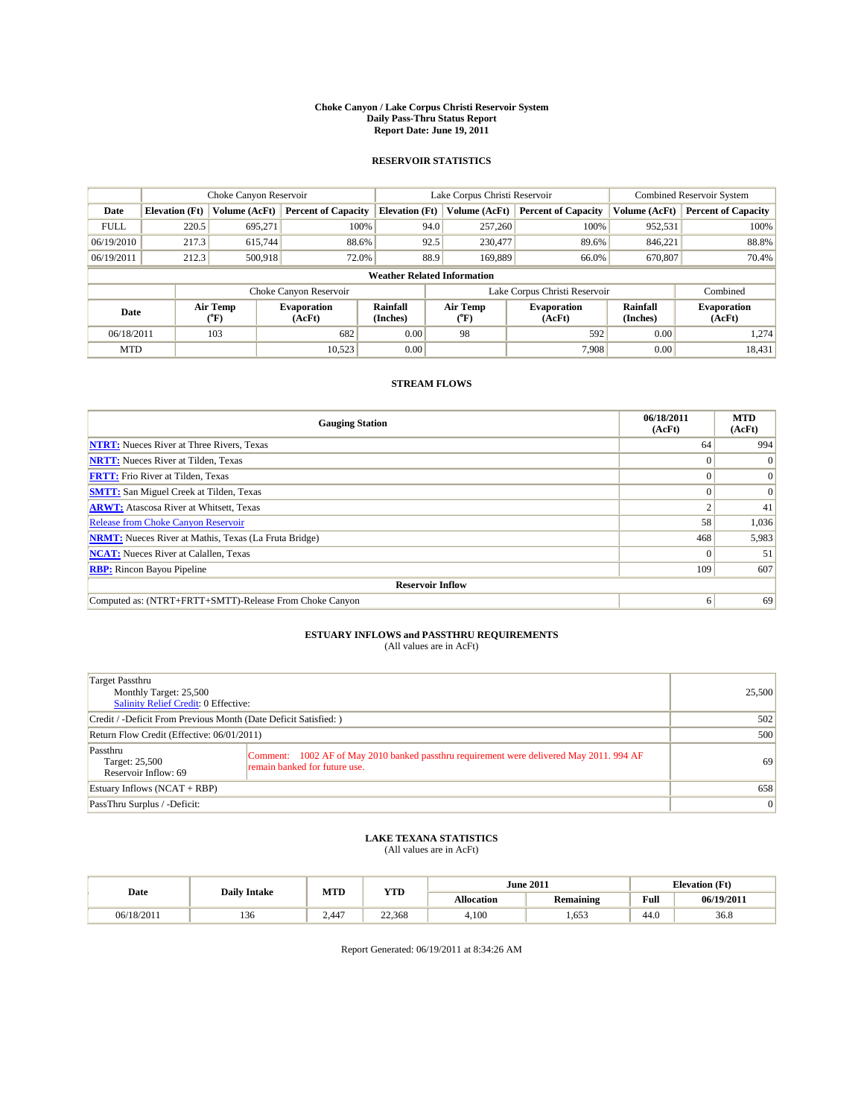#### **Choke Canyon / Lake Corpus Christi Reservoir System Daily Pass-Thru Status Report Report Date: June 19, 2011**

#### **RESERVOIR STATISTICS**

|             | Choke Canyon Reservoir             |                                           |                              |                       | Lake Corpus Christi Reservoir | <b>Combined Reservoir System</b> |                      |                              |  |
|-------------|------------------------------------|-------------------------------------------|------------------------------|-----------------------|-------------------------------|----------------------------------|----------------------|------------------------------|--|
| Date        | <b>Elevation</b> (Ft)              | Volume (AcFt)                             | <b>Percent of Capacity</b>   | <b>Elevation</b> (Ft) | Volume (AcFt)                 | <b>Percent of Capacity</b>       | Volume (AcFt)        | <b>Percent of Capacity</b>   |  |
| <b>FULL</b> | 220.5                              | 695,271                                   | 100%                         | 94.0                  | 257,260                       | 100%                             | 952,531              | 100%                         |  |
| 06/19/2010  | 217.3                              | 615.744                                   | 88.6%                        | 92.5                  | 230,477                       | 89.6%                            | 846.221              | 88.8%                        |  |
| 06/19/2011  | 212.3                              | 500,918                                   | 72.0%                        | 88.9                  | 169,889                       | 66.0%                            | 670,807              | 70.4%                        |  |
|             | <b>Weather Related Information</b> |                                           |                              |                       |                               |                                  |                      |                              |  |
|             |                                    |                                           | Choke Canyon Reservoir       |                       |                               | Lake Corpus Christi Reservoir    |                      | Combined                     |  |
| Date        |                                    | Air Temp<br>$({}^{\mathrm{o}}\mathrm{F})$ | <b>Evaporation</b><br>(AcFt) | Rainfall<br>(Inches)  | Air Temp<br>(°F)              | <b>Evaporation</b><br>(AcFt)     | Rainfall<br>(Inches) | <b>Evaporation</b><br>(AcFt) |  |
| 06/18/2011  |                                    | 103                                       | 682                          | 0.00                  | 98                            | 592                              | 0.00                 | 1.274                        |  |
| <b>MTD</b>  |                                    |                                           | 10.523                       | 0.00                  |                               | 7.908                            | 0.00                 | 18,431                       |  |

## **STREAM FLOWS**

| <b>Gauging Station</b>                                       | 06/18/2011<br>(AcFt) | <b>MTD</b><br>(AcFt) |
|--------------------------------------------------------------|----------------------|----------------------|
| <b>NTRT:</b> Nueces River at Three Rivers, Texas             | 64                   | 994                  |
| <b>NRTT:</b> Nueces River at Tilden, Texas                   | $\Omega$             | $\Omega$             |
| <b>FRTT:</b> Frio River at Tilden, Texas                     |                      | $\Omega$             |
| <b>SMTT:</b> San Miguel Creek at Tilden, Texas               |                      | $\Omega$             |
| <b>ARWT:</b> Atascosa River at Whitsett, Texas               |                      | 41                   |
| Release from Choke Canyon Reservoir                          | 58                   | 1,036                |
| <b>NRMT:</b> Nueces River at Mathis, Texas (La Fruta Bridge) | 468                  | 5,983                |
| <b>NCAT:</b> Nueces River at Calallen, Texas                 | $\Omega$             | 51                   |
| <b>RBP:</b> Rincon Bayou Pipeline                            | 109                  | 607                  |
| <b>Reservoir Inflow</b>                                      |                      |                      |
| Computed as: (NTRT+FRTT+SMTT)-Release From Choke Canyon      | 6                    | 69                   |

# **ESTUARY INFLOWS and PASSTHRU REQUIREMENTS**<br>(All values are in AcFt)

| Target Passthru<br>Monthly Target: 25,500<br>Salinity Relief Credit: 0 Effective: |                                                                                                                           | 25,500 |
|-----------------------------------------------------------------------------------|---------------------------------------------------------------------------------------------------------------------------|--------|
| Credit / -Deficit From Previous Month (Date Deficit Satisfied: )                  |                                                                                                                           | 502    |
| Return Flow Credit (Effective: 06/01/2011)                                        |                                                                                                                           | 500    |
| Passthru<br>Target: 25,500<br>Reservoir Inflow: 69                                | Comment: 1002 AF of May 2010 banked passthru requirement were delivered May 2011. 994 AF<br>remain banked for future use. | 69     |
| Estuary Inflows $(NCAT + RBP)$                                                    |                                                                                                                           | 658    |
| PassThru Surplus / -Deficit:                                                      |                                                                                                                           | 0      |

## **LAKE TEXANA STATISTICS** (All values are in AcFt)

|            | <b>Daily Intake</b> | MTD   | <b>YTD</b> | <b>June 2011</b><br><b>Elevation</b> (Ft) |           |                                                    |            |
|------------|---------------------|-------|------------|-------------------------------------------|-----------|----------------------------------------------------|------------|
| Date       |                     |       |            | Allocation                                | Remaining | <b>Full</b><br>the contract of the contract of the | 06/19/2011 |
| 06/18/2011 | 10<<br>1.JU         | 2.447 | 22.368     | 4.100                                     | 1.653     | 44.0                                               | 36.8       |

Report Generated: 06/19/2011 at 8:34:26 AM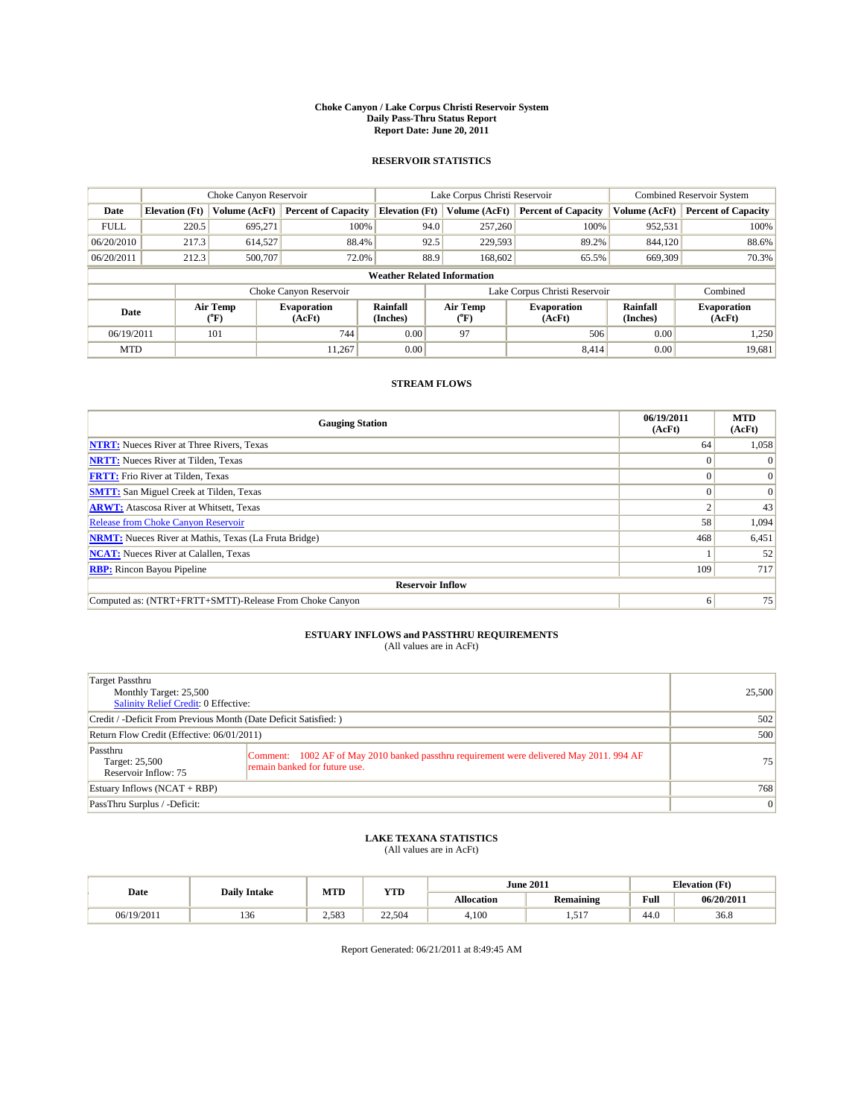#### **Choke Canyon / Lake Corpus Christi Reservoir System Daily Pass-Thru Status Report Report Date: June 20, 2011**

#### **RESERVOIR STATISTICS**

|             | Choke Canyon Reservoir             |                                |                              |                       | Lake Corpus Christi Reservoir | <b>Combined Reservoir System</b> |                      |                              |  |
|-------------|------------------------------------|--------------------------------|------------------------------|-----------------------|-------------------------------|----------------------------------|----------------------|------------------------------|--|
| Date        | <b>Elevation</b> (Ft)              | Volume (AcFt)                  | <b>Percent of Capacity</b>   | <b>Elevation</b> (Ft) | Volume (AcFt)                 | <b>Percent of Capacity</b>       | Volume (AcFt)        | <b>Percent of Capacity</b>   |  |
| <b>FULL</b> | 220.5                              | 695,271                        | 100%                         | 94.0                  | 257,260                       | 100%                             | 952,531              | 100%                         |  |
| 06/20/2010  | 217.3                              | 614,527                        | 88.4%                        | 92.5                  | 229,593                       | 89.2%                            | 844,120              | 88.6%                        |  |
| 06/20/2011  | 212.3                              | 500,707                        | 72.0%                        | 88.9                  | 168,602                       | 65.5%                            | 669,309              | 70.3%                        |  |
|             | <b>Weather Related Information</b> |                                |                              |                       |                               |                                  |                      |                              |  |
|             |                                    |                                | Choke Canyon Reservoir       |                       |                               | Lake Corpus Christi Reservoir    |                      | Combined                     |  |
| Date        |                                    | Air Temp<br>$({}^o\mathrm{F})$ | <b>Evaporation</b><br>(AcFt) | Rainfall<br>(Inches)  | Air Temp<br>(°F)              | <b>Evaporation</b><br>(AcFt)     | Rainfall<br>(Inches) | <b>Evaporation</b><br>(AcFt) |  |
| 06/19/2011  |                                    | 101                            | 744                          | 0.00                  | 97                            | 506                              | 0.00                 | 1,250                        |  |
| <b>MTD</b>  |                                    |                                | 11.267                       | 0.00                  |                               | 8.414                            | 0.00                 | 19,681                       |  |

### **STREAM FLOWS**

| <b>Gauging Station</b>                                       | 06/19/2011<br>(AcFt) | <b>MTD</b><br>(AcFt) |  |  |  |  |  |
|--------------------------------------------------------------|----------------------|----------------------|--|--|--|--|--|
| <b>NTRT:</b> Nueces River at Three Rivers, Texas             | 64                   | 1,058                |  |  |  |  |  |
| <b>NRTT:</b> Nueces River at Tilden, Texas                   | $\Omega$             |                      |  |  |  |  |  |
| <b>FRTT:</b> Frio River at Tilden, Texas                     |                      | $\Omega$             |  |  |  |  |  |
| <b>SMTT:</b> San Miguel Creek at Tilden, Texas               |                      | $\Omega$             |  |  |  |  |  |
| <b>ARWT:</b> Atascosa River at Whitsett, Texas               |                      | 43                   |  |  |  |  |  |
| <b>Release from Choke Canyon Reservoir</b>                   | 58                   | 1,094                |  |  |  |  |  |
| <b>NRMT:</b> Nueces River at Mathis, Texas (La Fruta Bridge) | 468                  | 6,451                |  |  |  |  |  |
| <b>NCAT:</b> Nueces River at Calallen, Texas                 |                      | 52                   |  |  |  |  |  |
| <b>RBP:</b> Rincon Bayou Pipeline                            | 109                  | 717                  |  |  |  |  |  |
| <b>Reservoir Inflow</b>                                      |                      |                      |  |  |  |  |  |
| Computed as: (NTRT+FRTT+SMTT)-Release From Choke Canyon      | 6                    | 75                   |  |  |  |  |  |

# **ESTUARY INFLOWS and PASSTHRU REQUIREMENTS**<br>(All values are in AcFt)

| Target Passthru<br>Monthly Target: 25,500<br>Salinity Relief Credit: 0 Effective: |                                                                                                                           | 25,500 |
|-----------------------------------------------------------------------------------|---------------------------------------------------------------------------------------------------------------------------|--------|
| Credit / -Deficit From Previous Month (Date Deficit Satisfied: )                  |                                                                                                                           | 502    |
| Return Flow Credit (Effective: 06/01/2011)                                        | 500                                                                                                                       |        |
| Passthru<br>Target: 25,500<br>Reservoir Inflow: 75                                | Comment: 1002 AF of May 2010 banked passthru requirement were delivered May 2011. 994 AF<br>remain banked for future use. | 75     |
| Estuary Inflows (NCAT + RBP)                                                      |                                                                                                                           | 768    |
| PassThru Surplus / -Deficit:                                                      |                                                                                                                           | 0      |

## **LAKE TEXANA STATISTICS** (All values are in AcFt)

|            | <b>Daily Intake</b> | MTD   | <b>YTD</b> | <b>June 2011</b>  |                  |      | <b>Elevation</b> (Ft) |
|------------|---------------------|-------|------------|-------------------|------------------|------|-----------------------|
| Date       |                     |       |            | <b>Allocation</b> | <b>Remaining</b> | Full | 06/20/2011            |
| 06/19/2011 | 136                 | 2.583 | 22,504     | 4,100             | $-1$<br>.        | 44.0 | 36.8                  |

Report Generated: 06/21/2011 at 8:49:45 AM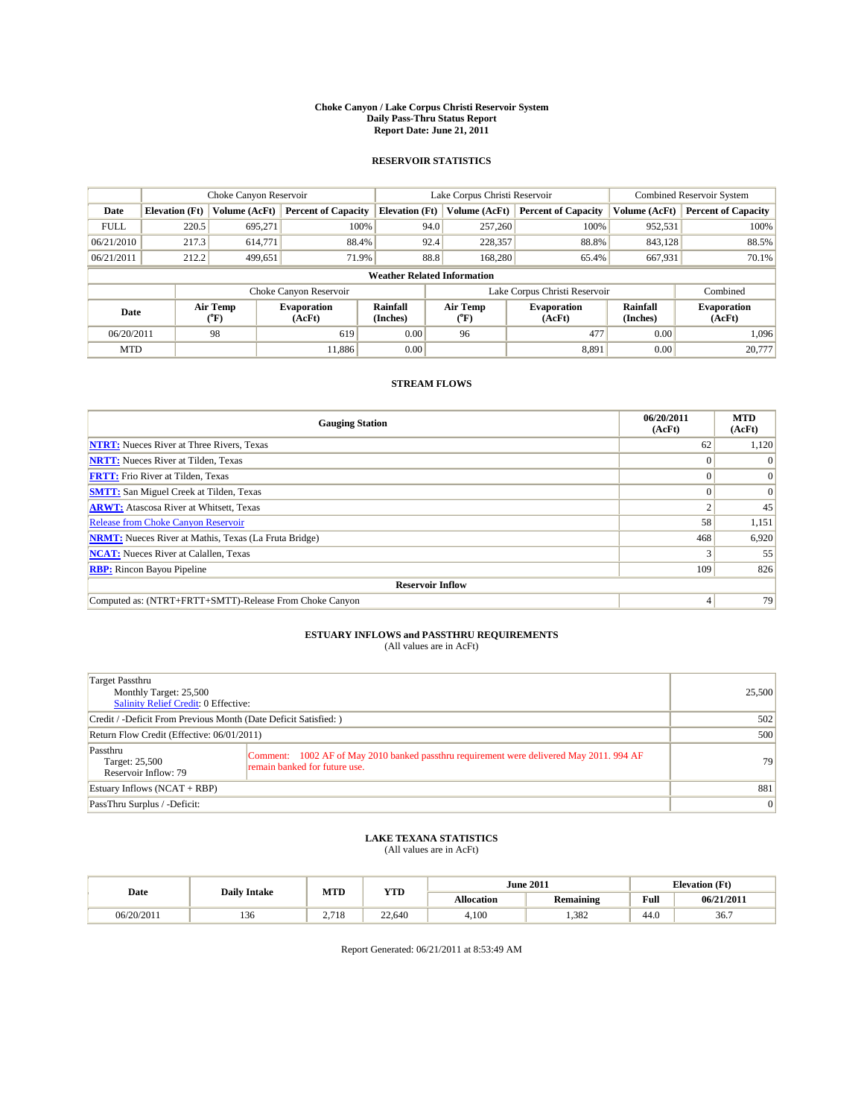#### **Choke Canyon / Lake Corpus Christi Reservoir System Daily Pass-Thru Status Report Report Date: June 21, 2011**

#### **RESERVOIR STATISTICS**

|             | Choke Canyon Reservoir             |                                |                              |                       | Lake Corpus Christi Reservoir  | <b>Combined Reservoir System</b> |                      |                              |  |
|-------------|------------------------------------|--------------------------------|------------------------------|-----------------------|--------------------------------|----------------------------------|----------------------|------------------------------|--|
| Date        | <b>Elevation</b> (Ft)              | Volume (AcFt)                  | <b>Percent of Capacity</b>   | <b>Elevation</b> (Ft) | Volume (AcFt)                  | <b>Percent of Capacity</b>       | Volume (AcFt)        | <b>Percent of Capacity</b>   |  |
| <b>FULL</b> | 220.5                              | 695,271                        | 100%                         | 94.0                  | 257,260                        | 100%                             | 952,531              | 100%                         |  |
| 06/21/2010  | 217.3                              | 614,771                        | 88.4%                        | 92.4                  | 228,357                        | 88.8%                            | 843.128              | 88.5%                        |  |
| 06/21/2011  | 212.2                              | 499,651                        | 71.9%                        | 88.8                  | 168,280                        | 65.4%                            | 667,931              | 70.1%                        |  |
|             | <b>Weather Related Information</b> |                                |                              |                       |                                |                                  |                      |                              |  |
|             |                                    |                                | Choke Canyon Reservoir       |                       |                                | Lake Corpus Christi Reservoir    |                      | Combined                     |  |
| Date        |                                    | Air Temp<br>$({}^o\mathrm{F})$ | <b>Evaporation</b><br>(AcFt) | Rainfall<br>(Inches)  | Air Temp<br>$({}^o\mathrm{F})$ | <b>Evaporation</b><br>(AcFt)     | Rainfall<br>(Inches) | <b>Evaporation</b><br>(AcFt) |  |
| 06/20/2011  |                                    | 98                             | 619                          | 0.00                  | 96                             | 477                              | 0.00                 | 1.096                        |  |
| <b>MTD</b>  |                                    |                                | 11.886                       | 0.00                  |                                | 8,891                            | 0.00                 | 20,777                       |  |

## **STREAM FLOWS**

| <b>Gauging Station</b>                                       | 06/20/2011<br>(AcFt) | <b>MTD</b><br>(AcFt) |
|--------------------------------------------------------------|----------------------|----------------------|
| <b>NTRT:</b> Nueces River at Three Rivers, Texas             | 62                   | 1,120                |
| <b>NRTT:</b> Nueces River at Tilden, Texas                   |                      |                      |
| <b>FRTT:</b> Frio River at Tilden, Texas                     |                      | $\Omega$             |
| <b>SMTT:</b> San Miguel Creek at Tilden, Texas               |                      | $\Omega$             |
| <b>ARWT:</b> Atascosa River at Whitsett, Texas               |                      | 45                   |
| Release from Choke Canyon Reservoir                          | 58                   | 1,151                |
| <b>NRMT:</b> Nueces River at Mathis, Texas (La Fruta Bridge) | 468                  | 6,920                |
| <b>NCAT:</b> Nueces River at Calallen, Texas                 |                      | 55                   |
| <b>RBP:</b> Rincon Bayou Pipeline                            | 109                  | 826                  |
| <b>Reservoir Inflow</b>                                      |                      |                      |
| Computed as: (NTRT+FRTT+SMTT)-Release From Choke Canyon      |                      | 79                   |

# **ESTUARY INFLOWS and PASSTHRU REQUIREMENTS**<br>(All values are in AcFt)

| Target Passthru<br>Monthly Target: 25,500<br>Salinity Relief Credit: 0 Effective: |                                                                                                                           | 25,500 |
|-----------------------------------------------------------------------------------|---------------------------------------------------------------------------------------------------------------------------|--------|
| Credit / -Deficit From Previous Month (Date Deficit Satisfied: )                  |                                                                                                                           | 502    |
| Return Flow Credit (Effective: 06/01/2011)                                        |                                                                                                                           | 500    |
| Passthru<br>Target: 25,500<br>Reservoir Inflow: 79                                | Comment: 1002 AF of May 2010 banked passthru requirement were delivered May 2011. 994 AF<br>remain banked for future use. | 79     |
| Estuary Inflows $(NCAT + RBP)$                                                    |                                                                                                                           | 881    |
| PassThru Surplus / -Deficit:                                                      |                                                                                                                           | 0      |

## **LAKE TEXANA STATISTICS** (All values are in AcFt)

|            | <b>Daily Intake</b> | MTD   | <b>YTD</b> |                   | <b>June 2011</b> | <b>Elevation</b> (Ft) |            |
|------------|---------------------|-------|------------|-------------------|------------------|-----------------------|------------|
| Date       |                     |       |            | <b>Allocation</b> | <b>Remaining</b> | Full                  | 06/21/2011 |
| 06/20/2011 | 136                 | 2.718 | 22,640     | 4,100             | .382             | 44.0                  | 36.7       |

Report Generated: 06/21/2011 at 8:53:49 AM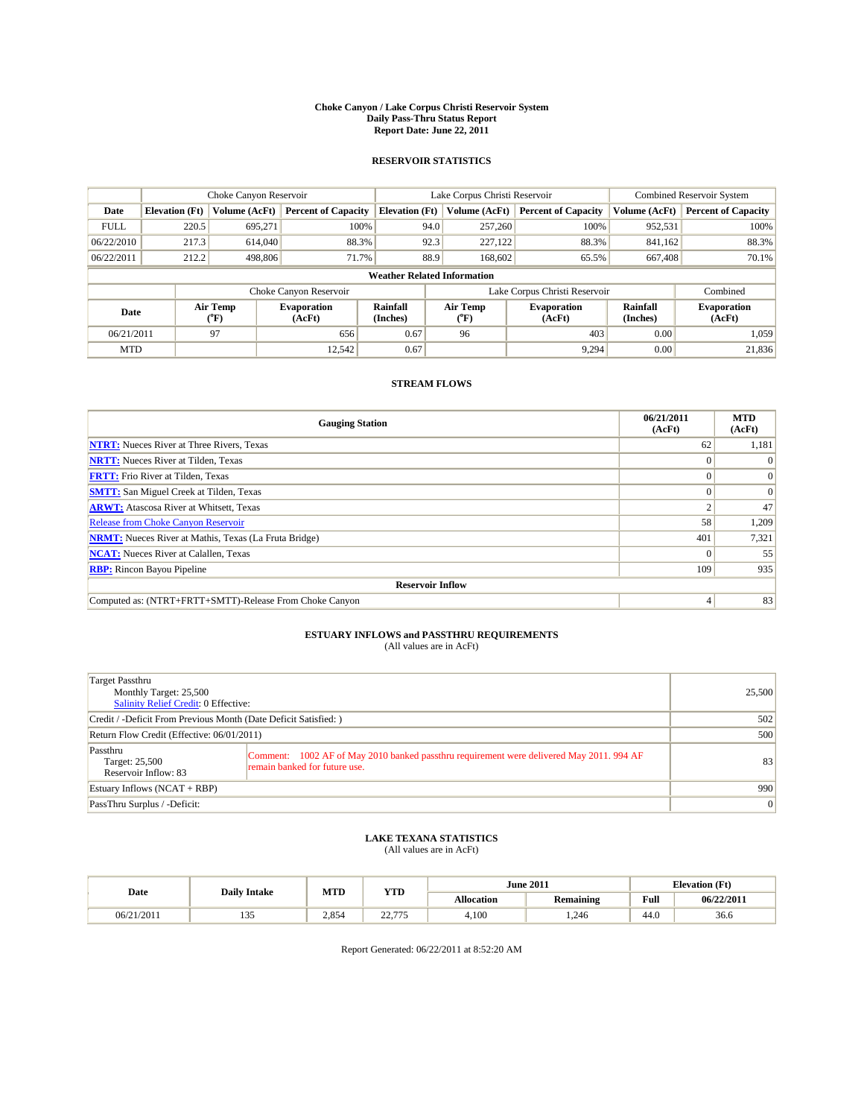#### **Choke Canyon / Lake Corpus Christi Reservoir System Daily Pass-Thru Status Report Report Date: June 22, 2011**

#### **RESERVOIR STATISTICS**

|             | Choke Canyon Reservoir             |                  |                              |                       | Lake Corpus Christi Reservoir | <b>Combined Reservoir System</b> |                      |                              |  |
|-------------|------------------------------------|------------------|------------------------------|-----------------------|-------------------------------|----------------------------------|----------------------|------------------------------|--|
| Date        | <b>Elevation</b> (Ft)              | Volume (AcFt)    | <b>Percent of Capacity</b>   | <b>Elevation</b> (Ft) | Volume (AcFt)                 | <b>Percent of Capacity</b>       | Volume (AcFt)        | <b>Percent of Capacity</b>   |  |
| <b>FULL</b> | 220.5                              | 695,271          | 100%                         | 94.0                  | 257,260                       | 100%                             | 952,531              | 100%                         |  |
| 06/22/2010  | 217.3                              | 614,040          | 88.3%                        | 92.3                  | 227,122                       | 88.3%                            | 841,162              | 88.3%                        |  |
| 06/22/2011  | 212.2                              | 498,806          | 71.7%                        | 88.9                  | 168,602                       | 65.5%                            | 667,408              | 70.1%                        |  |
|             | <b>Weather Related Information</b> |                  |                              |                       |                               |                                  |                      |                              |  |
|             |                                    |                  | Choke Canyon Reservoir       |                       |                               | Lake Corpus Christi Reservoir    |                      | Combined                     |  |
| Date        |                                    | Air Temp<br>(°F) | <b>Evaporation</b><br>(AcFt) | Rainfall<br>(Inches)  | Air Temp<br>("F)              | <b>Evaporation</b><br>(AcFt)     | Rainfall<br>(Inches) | <b>Evaporation</b><br>(AcFt) |  |
| 06/21/2011  |                                    | 97               | 656                          | 0.67                  | 96                            | 403                              | 0.00                 | 1.059                        |  |
| <b>MTD</b>  |                                    |                  | 12.542                       | 0.67                  |                               | 9,294                            | 0.00                 | 21,836                       |  |

### **STREAM FLOWS**

| <b>Gauging Station</b>                                       | 06/21/2011<br>(AcFt) | <b>MTD</b><br>(AcFt) |  |  |  |  |  |
|--------------------------------------------------------------|----------------------|----------------------|--|--|--|--|--|
| <b>NTRT:</b> Nueces River at Three Rivers, Texas             | 62                   | 1,181                |  |  |  |  |  |
| <b>NRTT:</b> Nueces River at Tilden, Texas                   |                      | $\Omega$             |  |  |  |  |  |
| <b>FRTT:</b> Frio River at Tilden, Texas                     |                      | $\Omega$             |  |  |  |  |  |
| <b>SMTT:</b> San Miguel Creek at Tilden, Texas               |                      | $\Omega$             |  |  |  |  |  |
| <b>ARWT:</b> Atascosa River at Whitsett, Texas               |                      | 47                   |  |  |  |  |  |
| <b>Release from Choke Canyon Reservoir</b>                   | 58                   | 1,209                |  |  |  |  |  |
| <b>NRMT:</b> Nueces River at Mathis, Texas (La Fruta Bridge) | 401                  | 7,321                |  |  |  |  |  |
| <b>NCAT:</b> Nueces River at Calallen, Texas                 |                      | 55                   |  |  |  |  |  |
| <b>RBP:</b> Rincon Bayou Pipeline                            | 109                  | 935                  |  |  |  |  |  |
| <b>Reservoir Inflow</b>                                      |                      |                      |  |  |  |  |  |
| Computed as: (NTRT+FRTT+SMTT)-Release From Choke Canyon      |                      | 83                   |  |  |  |  |  |

# **ESTUARY INFLOWS and PASSTHRU REQUIREMENTS**<br>(All values are in AcFt)

| Target Passthru<br>Monthly Target: 25,500<br>Salinity Relief Credit: 0 Effective: |                                                                                                                           | 25,500 |  |  |  |
|-----------------------------------------------------------------------------------|---------------------------------------------------------------------------------------------------------------------------|--------|--|--|--|
| Credit / -Deficit From Previous Month (Date Deficit Satisfied: )                  | 502                                                                                                                       |        |  |  |  |
| Return Flow Credit (Effective: 06/01/2011)                                        | 500                                                                                                                       |        |  |  |  |
| Passthru<br>Target: 25,500<br>Reservoir Inflow: 83                                | Comment: 1002 AF of May 2010 banked passthru requirement were delivered May 2011. 994 AF<br>remain banked for future use. | 83     |  |  |  |
| Estuary Inflows $(NCAT + RBP)$                                                    |                                                                                                                           | 990    |  |  |  |
| PassThru Surplus / -Deficit:                                                      |                                                                                                                           |        |  |  |  |

## **LAKE TEXANA STATISTICS** (All values are in AcFt)

|            | <b>Daily Intake</b>  | MTD   | <b>YTD</b>         | <b>June 2011</b>  |                  |      | <b>Elevation</b> (Ft) |  |
|------------|----------------------|-------|--------------------|-------------------|------------------|------|-----------------------|--|
| Date       |                      |       |                    | <b>Allocation</b> | <b>Remaining</b> | Full | 06/22/2011            |  |
| 06/21/2011 | $\sim$ $\sim$<br>ر ر | 2.854 | 22.775<br><u>.</u> | 4,100             | .246             | 44.0 | 36.6                  |  |

Report Generated: 06/22/2011 at 8:52:20 AM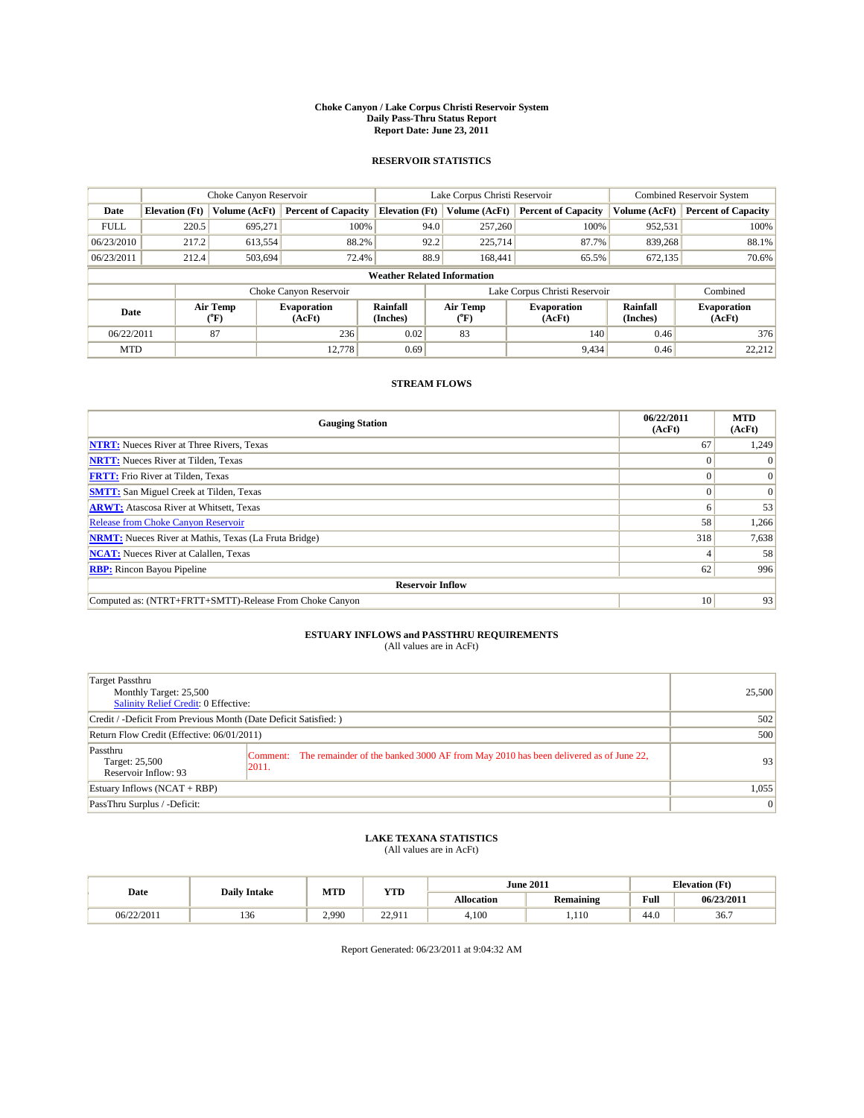#### **Choke Canyon / Lake Corpus Christi Reservoir System Daily Pass-Thru Status Report Report Date: June 23, 2011**

#### **RESERVOIR STATISTICS**

|             | Choke Canyon Reservoir             |                                           |                              |                       | Lake Corpus Christi Reservoir           | <b>Combined Reservoir System</b> |                      |                              |  |  |
|-------------|------------------------------------|-------------------------------------------|------------------------------|-----------------------|-----------------------------------------|----------------------------------|----------------------|------------------------------|--|--|
| Date        | <b>Elevation</b> (Ft)              | Volume (AcFt)                             | <b>Percent of Capacity</b>   | <b>Elevation</b> (Ft) | Volume (AcFt)                           | <b>Percent of Capacity</b>       | Volume (AcFt)        | <b>Percent of Capacity</b>   |  |  |
| <b>FULL</b> | 220.5                              | 695,271                                   | 100%                         | 94.0                  | 257,260                                 | 100%                             | 952,531              | 100%                         |  |  |
| 06/23/2010  | 217.2                              | 613,554                                   | 88.2%                        | 92.2                  | 225,714                                 | 87.7%                            | 839,268              | 88.1%                        |  |  |
| 06/23/2011  | 212.4                              | 503,694                                   | 72.4%                        | 88.9                  | 168,441                                 | 65.5%                            | 672,135              | 70.6%                        |  |  |
|             | <b>Weather Related Information</b> |                                           |                              |                       |                                         |                                  |                      |                              |  |  |
|             |                                    |                                           | Choke Canyon Reservoir       |                       |                                         | Lake Corpus Christi Reservoir    |                      | Combined                     |  |  |
| Date        |                                    | Air Temp<br>$({}^{\mathrm{o}}\mathrm{F})$ | <b>Evaporation</b><br>(AcFt) | Rainfall<br>(Inches)  | Air Temp<br>$(^{\mathrm{o}}\mathrm{F})$ | <b>Evaporation</b><br>(AcFt)     | Rainfall<br>(Inches) | <b>Evaporation</b><br>(AcFt) |  |  |
| 06/22/2011  |                                    | 87                                        | 236                          | 0.02                  | 83                                      | 140                              | 0.46                 | 376                          |  |  |
| <b>MTD</b>  |                                    |                                           | 12.778                       | 0.69                  |                                         | 9,434                            | 0.46                 | 22.212                       |  |  |

## **STREAM FLOWS**

| <b>Gauging Station</b>                                       | 06/22/2011<br>(AcFt) | <b>MTD</b><br>(AcFt) |  |  |  |  |  |
|--------------------------------------------------------------|----------------------|----------------------|--|--|--|--|--|
| <b>NTRT:</b> Nueces River at Three Rivers, Texas             | 67                   | 1,249                |  |  |  |  |  |
| <b>NRTT:</b> Nueces River at Tilden, Texas                   |                      |                      |  |  |  |  |  |
| <b>FRTT:</b> Frio River at Tilden, Texas                     |                      | $\Omega$             |  |  |  |  |  |
| <b>SMTT:</b> San Miguel Creek at Tilden, Texas               |                      | $\Omega$             |  |  |  |  |  |
| <b>ARWT:</b> Atascosa River at Whitsett, Texas               | o                    | 53                   |  |  |  |  |  |
| <b>Release from Choke Canyon Reservoir</b>                   | 58                   | 1,266                |  |  |  |  |  |
| <b>NRMT:</b> Nueces River at Mathis, Texas (La Fruta Bridge) | 318                  | 7,638                |  |  |  |  |  |
| <b>NCAT:</b> Nueces River at Calallen, Texas                 |                      | 58                   |  |  |  |  |  |
| <b>RBP:</b> Rincon Bayou Pipeline                            | 62                   | 996                  |  |  |  |  |  |
| <b>Reservoir Inflow</b>                                      |                      |                      |  |  |  |  |  |
| Computed as: (NTRT+FRTT+SMTT)-Release From Choke Canyon      | 10                   | 93                   |  |  |  |  |  |

# **ESTUARY INFLOWS and PASSTHRU REQUIREMENTS**<br>(All values are in AcFt)

| Target Passthru<br>Monthly Target: 25,500<br>Salinity Relief Credit: 0 Effective: |                                                                                                       | 25,500         |
|-----------------------------------------------------------------------------------|-------------------------------------------------------------------------------------------------------|----------------|
| Credit / -Deficit From Previous Month (Date Deficit Satisfied: )                  | 502                                                                                                   |                |
| Return Flow Credit (Effective: 06/01/2011)                                        | 500                                                                                                   |                |
| Passthru<br>Target: 25,500<br>Reservoir Inflow: 93                                | Comment: The remainder of the banked 3000 AF from May 2010 has been delivered as of June 22,<br>2011. | 93             |
| Estuary Inflows $(NCAT + RBP)$                                                    |                                                                                                       | 1,055          |
| PassThru Surplus / -Deficit:                                                      |                                                                                                       | $\overline{0}$ |

# **LAKE TEXANA STATISTICS** (All values are in AcFt)

|            |                     | MTD   | <b>YTD</b>                                 | <b>June 2011</b>  |                  |      | <b>Elevation</b> (Ft) |
|------------|---------------------|-------|--------------------------------------------|-------------------|------------------|------|-----------------------|
| Date       | <b>Daily Intake</b> |       |                                            | <b>Allocation</b> | <b>Remaining</b> | Full | 06/23/2011            |
| 06/22/2011 | 136                 | 2.990 | 22.01<br><u>.</u><br>$\lambda$ 1 $\lambda$ | 4,100             | 1.110            | 44.0 | 36.7                  |

Report Generated: 06/23/2011 at 9:04:32 AM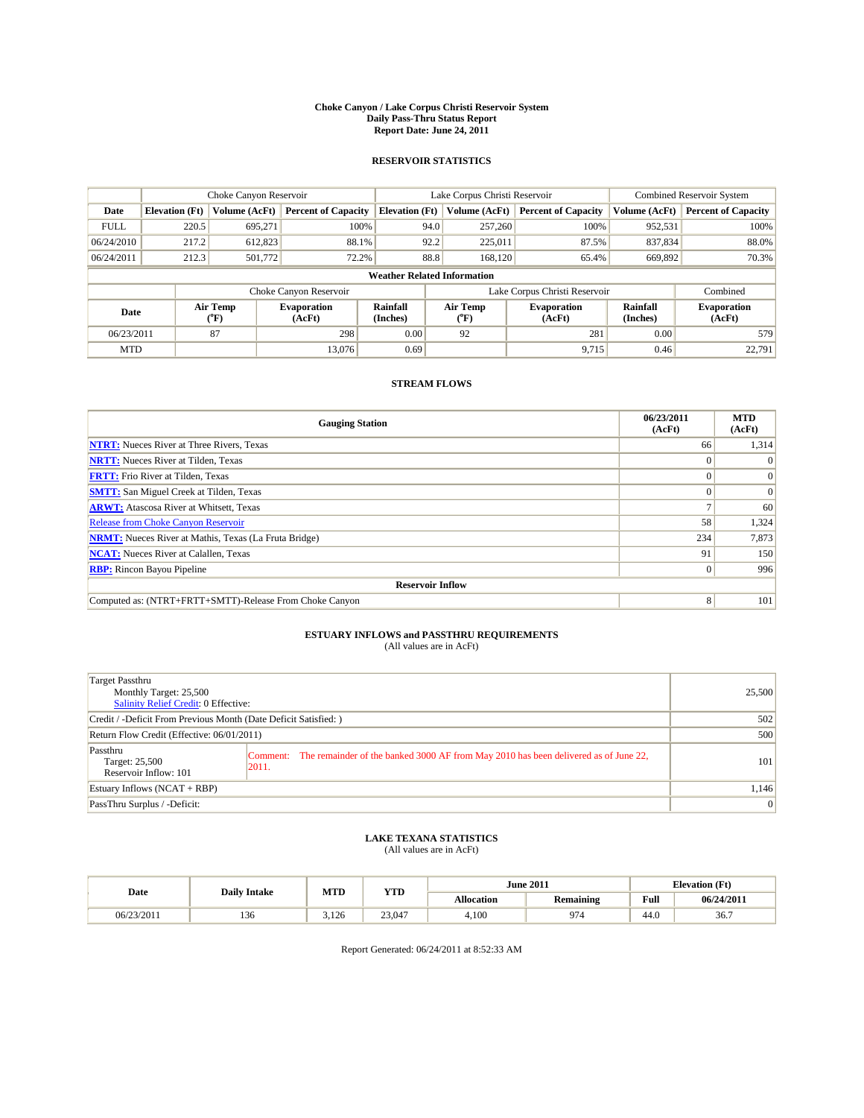#### **Choke Canyon / Lake Corpus Christi Reservoir System Daily Pass-Thru Status Report Report Date: June 24, 2011**

#### **RESERVOIR STATISTICS**

|             | Choke Canyon Reservoir             |                  |                              |                       | Lake Corpus Christi Reservoir | <b>Combined Reservoir System</b> |                      |                              |  |  |
|-------------|------------------------------------|------------------|------------------------------|-----------------------|-------------------------------|----------------------------------|----------------------|------------------------------|--|--|
| Date        | <b>Elevation</b> (Ft)              | Volume (AcFt)    | <b>Percent of Capacity</b>   | <b>Elevation</b> (Ft) | Volume (AcFt)                 | <b>Percent of Capacity</b>       | Volume (AcFt)        | <b>Percent of Capacity</b>   |  |  |
| <b>FULL</b> | 220.5                              | 695,271          | 100%                         | 94.0                  | 257,260                       | 100%                             | 952,531              | 100%                         |  |  |
| 06/24/2010  | 217.2                              | 612,823          | 88.1%                        | 92.2                  | 225,011                       | 87.5%                            | 837,834              | 88.0%                        |  |  |
| 06/24/2011  | 212.3                              | 501,772          | 72.2%                        | 88.8                  | 168,120                       | 65.4%                            | 669,892              | 70.3%                        |  |  |
|             | <b>Weather Related Information</b> |                  |                              |                       |                               |                                  |                      |                              |  |  |
|             |                                    |                  | Choke Canyon Reservoir       |                       |                               | Lake Corpus Christi Reservoir    |                      | Combined                     |  |  |
| Date        |                                    | Air Temp<br>(°F) | <b>Evaporation</b><br>(AcFt) | Rainfall<br>(Inches)  | Air Temp<br>("F)              | <b>Evaporation</b><br>(AcFt)     | Rainfall<br>(Inches) | <b>Evaporation</b><br>(AcFt) |  |  |
| 06/23/2011  |                                    | 87               | 298                          | 0.00                  | 92                            | 281                              | 0.00                 | 579                          |  |  |
| <b>MTD</b>  |                                    |                  | 13,076                       | 0.69                  |                               | 9,715                            | 0.46                 | 22.791                       |  |  |

## **STREAM FLOWS**

| <b>Gauging Station</b>                                       | 06/23/2011<br>(AcFt) | <b>MTD</b><br>(AcFt) |  |  |  |  |  |
|--------------------------------------------------------------|----------------------|----------------------|--|--|--|--|--|
| <b>NTRT:</b> Nueces River at Three Rivers, Texas             | 66                   | 1,314                |  |  |  |  |  |
| <b>NRTT:</b> Nueces River at Tilden, Texas                   |                      | $\Omega$             |  |  |  |  |  |
| <b>FRTT:</b> Frio River at Tilden, Texas                     |                      | $\Omega$             |  |  |  |  |  |
| <b>SMTT:</b> San Miguel Creek at Tilden, Texas               |                      | $\Omega$             |  |  |  |  |  |
| <b>ARWT:</b> Atascosa River at Whitsett, Texas               |                      | 60                   |  |  |  |  |  |
| <b>Release from Choke Canyon Reservoir</b>                   | 58                   | 1,324                |  |  |  |  |  |
| <b>NRMT:</b> Nueces River at Mathis, Texas (La Fruta Bridge) | 234                  | 7,873                |  |  |  |  |  |
| <b>NCAT:</b> Nueces River at Calallen, Texas                 | 91                   | 150                  |  |  |  |  |  |
| <b>RBP:</b> Rincon Bayou Pipeline                            | $\Omega$             | 996                  |  |  |  |  |  |
| <b>Reservoir Inflow</b>                                      |                      |                      |  |  |  |  |  |
| Computed as: (NTRT+FRTT+SMTT)-Release From Choke Canyon      | 8                    | 101                  |  |  |  |  |  |

# **ESTUARY INFLOWS and PASSTHRU REQUIREMENTS**<br>(All values are in AcFt)

| Target Passthru<br>Monthly Target: 25,500<br>Salinity Relief Credit: 0 Effective: |                                                                                                        | 25,500 |
|-----------------------------------------------------------------------------------|--------------------------------------------------------------------------------------------------------|--------|
| Credit / -Deficit From Previous Month (Date Deficit Satisfied: )                  |                                                                                                        | 502    |
| Return Flow Credit (Effective: 06/01/2011)                                        |                                                                                                        | 500    |
| Passthru<br>Target: 25,500<br>Reservoir Inflow: 101                               | Comment: The remainder of the banked 3000 AF from May 2010 has been delivered as of June 22,<br> 2011. | 101    |
| Estuary Inflows $(NCAT + RBP)$                                                    |                                                                                                        | 1,146  |
| PassThru Surplus / -Deficit:                                                      |                                                                                                        | 0      |

## **LAKE TEXANA STATISTICS** (All values are in AcFt)

| Date       | <b>Daily Intake</b> | MTD   | <b>YTD</b> |                   | <b>June 2011</b> | <b>Elevation</b> (Ft) |            |
|------------|---------------------|-------|------------|-------------------|------------------|-----------------------|------------|
|            |                     |       |            | <b>Allocation</b> | <b>Remaining</b> | Full                  | 06/24/2011 |
| 06/23/2011 | 136                 | 3.126 | 23,047     | 4.100             | 974              | 44.0                  | 36.7       |

Report Generated: 06/24/2011 at 8:52:33 AM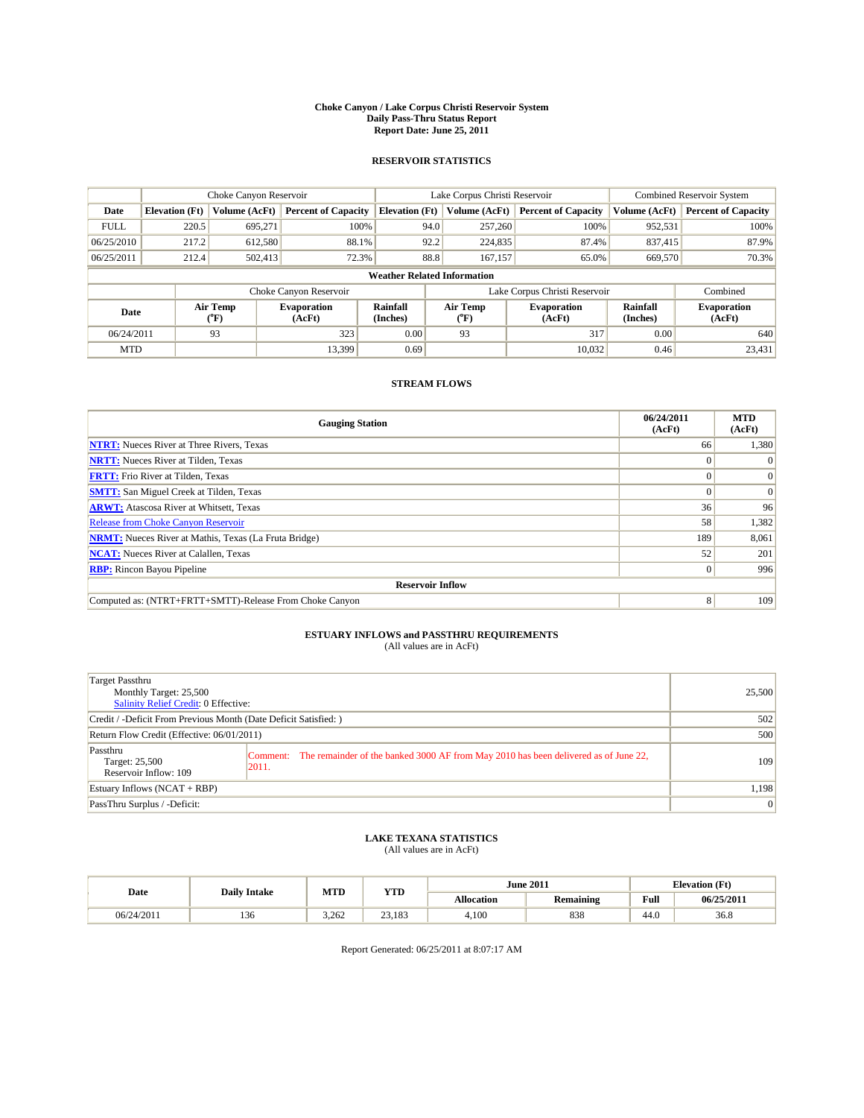#### **Choke Canyon / Lake Corpus Christi Reservoir System Daily Pass-Thru Status Report Report Date: June 25, 2011**

#### **RESERVOIR STATISTICS**

|             | Choke Canyon Reservoir             |                             |                              |                       | Lake Corpus Christi Reservoir |                               |                             | <b>Combined Reservoir System</b> |  |  |
|-------------|------------------------------------|-----------------------------|------------------------------|-----------------------|-------------------------------|-------------------------------|-----------------------------|----------------------------------|--|--|
| Date        | <b>Elevation</b> (Ft)              | Volume (AcFt)               | <b>Percent of Capacity</b>   | <b>Elevation (Ft)</b> | Volume (AcFt)                 | <b>Percent of Capacity</b>    | Volume (AcFt)               | <b>Percent of Capacity</b>       |  |  |
| <b>FULL</b> | 220.5                              | 695,271                     | 100%                         | 94.0                  | 257,260                       | 100%                          | 952,531                     | 100%                             |  |  |
| 06/25/2010  | 217.2                              | 612,580                     | 88.1%                        | 92.2                  | 224,835                       | 87.4%                         | 837.415                     | 87.9%                            |  |  |
| 06/25/2011  | 212.4                              | 502,413                     | 72.3%                        | 88.8                  | 167,157                       | 65.0%                         | 669,570                     | 70.3%                            |  |  |
|             | <b>Weather Related Information</b> |                             |                              |                       |                               |                               |                             |                                  |  |  |
|             |                                    |                             | Choke Canyon Reservoir       |                       |                               | Lake Corpus Christi Reservoir |                             | Combined                         |  |  |
| Date        |                                    | Air Temp<br>${}^{\circ}$ F) | <b>Evaporation</b><br>(AcFt) | Rainfall<br>(Inches)  | Air Temp<br>(°F)              | <b>Evaporation</b><br>(AcFt)  | <b>Rainfall</b><br>(Inches) | <b>Evaporation</b><br>(AcFt)     |  |  |
| 06/24/2011  |                                    | 93                          | 323                          | 0.00                  | 93                            | 317                           | 0.00                        | 640                              |  |  |
| <b>MTD</b>  |                                    |                             | 13.399                       | 0.69                  |                               | 10,032                        | 0.46                        | 23,431                           |  |  |

## **STREAM FLOWS**

| <b>Gauging Station</b>                                       | 06/24/2011<br>(AcFt) | <b>MTD</b><br>(AcFt) |
|--------------------------------------------------------------|----------------------|----------------------|
| <b>NTRT:</b> Nueces River at Three Rivers, Texas             | 66                   | 1,380                |
| <b>NRTT:</b> Nueces River at Tilden, Texas                   |                      |                      |
| <b>FRTT:</b> Frio River at Tilden, Texas                     |                      | $\Omega$             |
| <b>SMTT:</b> San Miguel Creek at Tilden, Texas               |                      | $\Omega$             |
| <b>ARWT:</b> Atascosa River at Whitsett, Texas               | 36                   | 96                   |
| Release from Choke Canyon Reservoir                          | 58                   | 1,382                |
| <b>NRMT:</b> Nueces River at Mathis, Texas (La Fruta Bridge) | 189                  | 8,061                |
| <b>NCAT:</b> Nueces River at Calallen, Texas                 | 52                   | 201                  |
| <b>RBP:</b> Rincon Bayou Pipeline                            | $\Omega$             | 996                  |
| <b>Reservoir Inflow</b>                                      |                      |                      |
| Computed as: (NTRT+FRTT+SMTT)-Release From Choke Canyon      | 8                    | 109                  |

# **ESTUARY INFLOWS and PASSTHRU REQUIREMENTS**<br>(All values are in AcFt)

| Target Passthru<br>Monthly Target: 25,500<br>Salinity Relief Credit: 0 Effective: |                                                                                                       | 25,500         |
|-----------------------------------------------------------------------------------|-------------------------------------------------------------------------------------------------------|----------------|
| Credit / -Deficit From Previous Month (Date Deficit Satisfied: )                  | 502                                                                                                   |                |
| Return Flow Credit (Effective: 06/01/2011)                                        | 500                                                                                                   |                |
| Passthru<br>Target: 25,500<br>Reservoir Inflow: 109                               | Comment: The remainder of the banked 3000 AF from May 2010 has been delivered as of June 22,<br>2011. | 109            |
| Estuary Inflows $(NCAT + RBP)$                                                    |                                                                                                       | 1,198          |
| PassThru Surplus / -Deficit:                                                      |                                                                                                       | $\overline{0}$ |

# **LAKE TEXANA STATISTICS** (All values are in AcFt)

| Date       | <b>Daily Intake</b> | MTD   | <b>YTD</b> | <b>June 2011</b>  |                  | <b>Elevation</b> (Ft)   |            |
|------------|---------------------|-------|------------|-------------------|------------------|-------------------------|------------|
|            |                     |       |            | <b>Allocation</b> | <b>Remaining</b> | Full                    | 06/25/2011 |
| 06/24/2011 | $\sim$<br>150       | 3.262 | 23,183     | 4,100             | 838              | .4 <sub>o</sub><br>44.U | 36.8       |

Report Generated: 06/25/2011 at 8:07:17 AM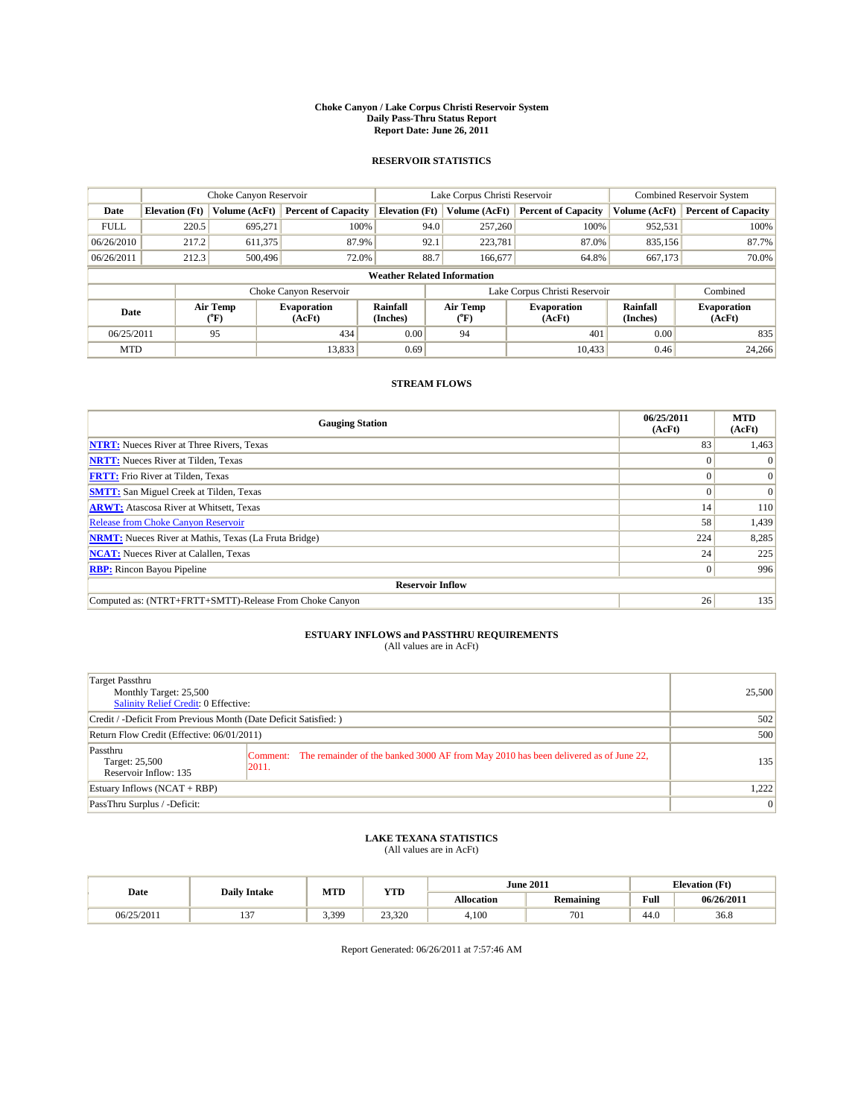#### **Choke Canyon / Lake Corpus Christi Reservoir System Daily Pass-Thru Status Report Report Date: June 26, 2011**

#### **RESERVOIR STATISTICS**

|             | Choke Canyon Reservoir             |                  |                              |                             | Lake Corpus Christi Reservoir | <b>Combined Reservoir System</b> |                      |                              |  |  |
|-------------|------------------------------------|------------------|------------------------------|-----------------------------|-------------------------------|----------------------------------|----------------------|------------------------------|--|--|
| Date        | <b>Elevation</b> (Ft)              | Volume (AcFt)    | <b>Percent of Capacity</b>   | <b>Elevation</b> (Ft)       | Volume (AcFt)                 | <b>Percent of Capacity</b>       | Volume (AcFt)        | <b>Percent of Capacity</b>   |  |  |
| <b>FULL</b> | 220.5                              | 695,271          | 100%                         | 94.0                        | 257,260                       | 100%                             | 952,531              | 100%                         |  |  |
| 06/26/2010  | 217.2                              | 611,375          | 87.9%                        | 92.1                        | 223,781                       | 87.0%                            | 835,156              | 87.7%                        |  |  |
| 06/26/2011  | 212.3                              | 500,496          | 72.0%                        | 88.7                        | 166,677                       | 64.8%                            | 667,173              | 70.0%                        |  |  |
|             | <b>Weather Related Information</b> |                  |                              |                             |                               |                                  |                      |                              |  |  |
|             |                                    |                  | Choke Canyon Reservoir       |                             |                               | Lake Corpus Christi Reservoir    |                      | Combined                     |  |  |
| Date        |                                    | Air Temp<br>(°F) | <b>Evaporation</b><br>(AcFt) | <b>Rainfall</b><br>(Inches) | Air Temp<br>(°F)              | <b>Evaporation</b><br>(AcFt)     | Rainfall<br>(Inches) | <b>Evaporation</b><br>(AcFt) |  |  |
| 06/25/2011  |                                    | 95               | 434                          | 0.00                        | 94                            | 401                              | 0.00                 | 835                          |  |  |
| <b>MTD</b>  |                                    |                  | 13,833                       | 0.69                        |                               | 10.433                           | 0.46                 | 24,266                       |  |  |

## **STREAM FLOWS**

| <b>Gauging Station</b>                                       | 06/25/2011<br>(AcFt) | <b>MTD</b><br>(AcFt) |  |  |  |  |  |
|--------------------------------------------------------------|----------------------|----------------------|--|--|--|--|--|
| <b>NTRT:</b> Nueces River at Three Rivers, Texas             | 83                   | 1,463                |  |  |  |  |  |
| <b>NRTT:</b> Nueces River at Tilden, Texas                   | $\Omega$             |                      |  |  |  |  |  |
| <b>FRTT:</b> Frio River at Tilden, Texas                     |                      | $\Omega$             |  |  |  |  |  |
| <b>SMTT:</b> San Miguel Creek at Tilden, Texas               | $\Omega$             | $\Omega$             |  |  |  |  |  |
| <b>ARWT:</b> Atascosa River at Whitsett, Texas               | 14                   | 110                  |  |  |  |  |  |
| <b>Release from Choke Canyon Reservoir</b>                   | 58                   | 1,439                |  |  |  |  |  |
| <b>NRMT:</b> Nueces River at Mathis, Texas (La Fruta Bridge) | 224                  | 8,285                |  |  |  |  |  |
| <b>NCAT:</b> Nueces River at Calallen, Texas                 | 24                   | 225                  |  |  |  |  |  |
| <b>RBP:</b> Rincon Bayou Pipeline                            | $\vert 0 \vert$      | 996                  |  |  |  |  |  |
| <b>Reservoir Inflow</b>                                      |                      |                      |  |  |  |  |  |
| Computed as: (NTRT+FRTT+SMTT)-Release From Choke Canyon      | 26                   | 135                  |  |  |  |  |  |

# **ESTUARY INFLOWS and PASSTHRU REQUIREMENTS**<br>(All values are in AcFt)

| Target Passthru<br>Monthly Target: 25,500<br>Salinity Relief Credit: 0 Effective: |                                                                                                        | 25,500          |
|-----------------------------------------------------------------------------------|--------------------------------------------------------------------------------------------------------|-----------------|
| Credit / -Deficit From Previous Month (Date Deficit Satisfied: )                  | 502                                                                                                    |                 |
| Return Flow Credit (Effective: 06/01/2011)                                        | 500                                                                                                    |                 |
| Passthru<br>Target: 25,500<br>Reservoir Inflow: 135                               | Comment: The remainder of the banked 3000 AF from May 2010 has been delivered as of June 22,<br> 2011. | 135             |
| Estuary Inflows $(NCAT + RBP)$                                                    |                                                                                                        | 1.222           |
| PassThru Surplus / -Deficit:                                                      |                                                                                                        | $\vert 0 \vert$ |

## **LAKE TEXANA STATISTICS** (All values are in AcFt)

|            | <b>Daily Intake</b> | MTD   | <b>YTD</b> |                   | <b>June 2011</b> | <b>Elevation</b> (Ft) |            |
|------------|---------------------|-------|------------|-------------------|------------------|-----------------------|------------|
| Date       |                     |       |            | <b>Allocation</b> | Remaining        | Full                  | 06/26/2011 |
| 06/25/2011 | $\sim$<br>…         | 3.399 | 23,320     | 4.100             | 701              | 44.0                  | 36.8       |

Report Generated: 06/26/2011 at 7:57:46 AM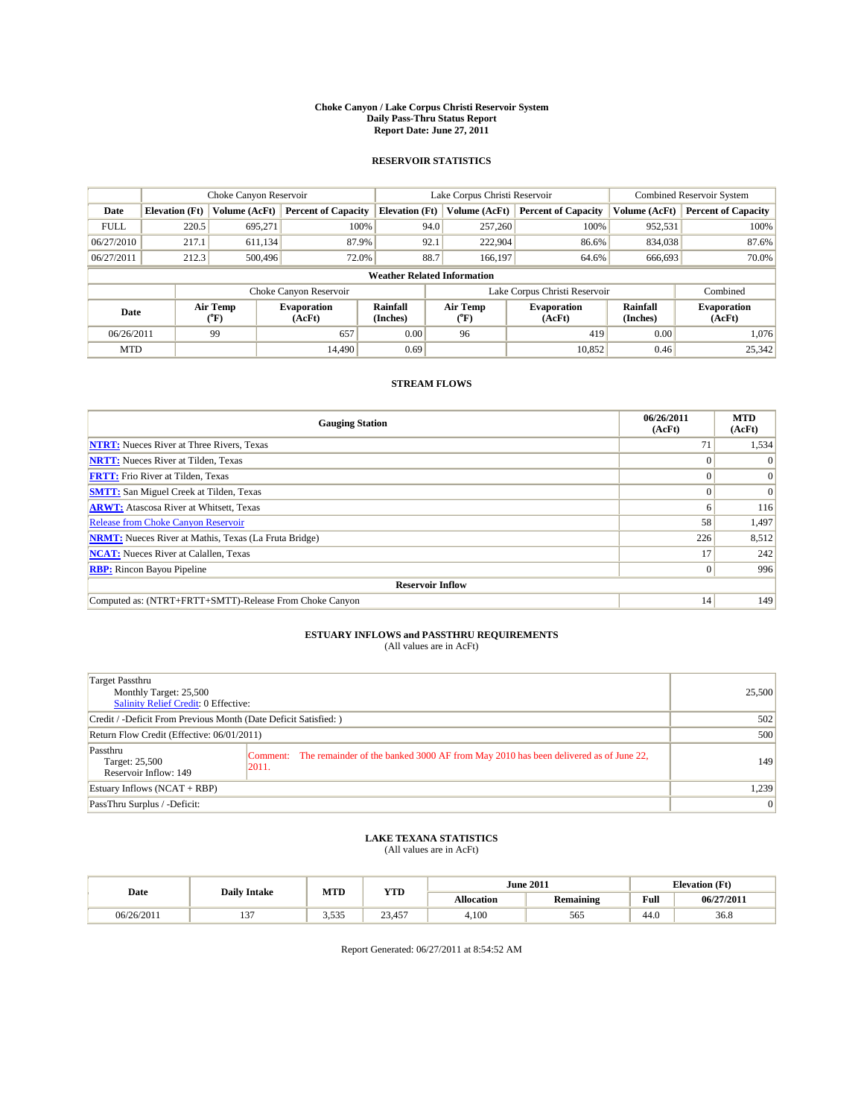#### **Choke Canyon / Lake Corpus Christi Reservoir System Daily Pass-Thru Status Report Report Date: June 27, 2011**

#### **RESERVOIR STATISTICS**

|             | Choke Canyon Reservoir             |                                           |                              |                             | Lake Corpus Christi Reservoir           |                               |                      | <b>Combined Reservoir System</b> |  |  |
|-------------|------------------------------------|-------------------------------------------|------------------------------|-----------------------------|-----------------------------------------|-------------------------------|----------------------|----------------------------------|--|--|
| Date        | <b>Elevation</b> (Ft)              | Volume (AcFt)                             | <b>Percent of Capacity</b>   | <b>Elevation</b> (Ft)       | Volume (AcFt)                           | <b>Percent of Capacity</b>    | Volume (AcFt)        | <b>Percent of Capacity</b>       |  |  |
| <b>FULL</b> | 220.5                              | 695,271                                   | 100%                         | 94.0                        | 257,260                                 | 100%                          | 952,531              | 100%                             |  |  |
| 06/27/2010  | 217.1                              | 611,134                                   | 87.9%                        | 92.1                        | 222,904                                 | 86.6%                         | 834,038              | 87.6%                            |  |  |
| 06/27/2011  | 212.3                              | 500,496                                   | 72.0%                        | 88.7                        | 166,197                                 | 64.6%                         | 666,693              | 70.0%                            |  |  |
|             | <b>Weather Related Information</b> |                                           |                              |                             |                                         |                               |                      |                                  |  |  |
|             |                                    |                                           | Choke Canyon Reservoir       |                             |                                         | Lake Corpus Christi Reservoir |                      | Combined                         |  |  |
| Date        |                                    | Air Temp<br>$({}^{\mathrm{o}}\mathrm{F})$ | <b>Evaporation</b><br>(AcFt) | <b>Rainfall</b><br>(Inches) | Air Temp<br>$(^{\mathrm{o}}\mathrm{F})$ | <b>Evaporation</b><br>(AcFt)  | Rainfall<br>(Inches) | <b>Evaporation</b><br>(AcFt)     |  |  |
| 06/26/2011  |                                    | 99                                        | 657                          | 0.00                        | 96                                      | 419                           | 0.00                 | 1.076                            |  |  |
| <b>MTD</b>  |                                    |                                           | 14.490                       | 0.69                        |                                         | 10,852                        | 0.46                 | 25,342                           |  |  |

## **STREAM FLOWS**

| <b>Gauging Station</b>                                       | 06/26/2011<br>(AcFt) | <b>MTD</b><br>(AcFt) |
|--------------------------------------------------------------|----------------------|----------------------|
| <b>NTRT:</b> Nueces River at Three Rivers, Texas             | 71                   | 1,534                |
| <b>NRTT:</b> Nueces River at Tilden, Texas                   |                      |                      |
| <b>FRTT:</b> Frio River at Tilden, Texas                     |                      | $\Omega$             |
| <b>SMTT:</b> San Miguel Creek at Tilden, Texas               | $\Omega$             | $\Omega$             |
| <b>ARWT:</b> Atascosa River at Whitsett, Texas               | 6                    | 116                  |
| <b>Release from Choke Canyon Reservoir</b>                   | 58                   | 1,497                |
| <b>NRMT:</b> Nueces River at Mathis, Texas (La Fruta Bridge) | 226                  | 8,512                |
| <b>NCAT:</b> Nueces River at Calallen, Texas                 | 17                   | 242                  |
| <b>RBP:</b> Rincon Bayou Pipeline                            | $\overline{0}$       | 996                  |
| <b>Reservoir Inflow</b>                                      |                      |                      |
| Computed as: (NTRT+FRTT+SMTT)-Release From Choke Canyon      | 14                   | 149                  |

# **ESTUARY INFLOWS and PASSTHRU REQUIREMENTS**<br>(All values are in AcFt)

| Target Passthru<br>Monthly Target: 25,500<br>Salinity Relief Credit: 0 Effective: |                                                                                                       | 25,500         |
|-----------------------------------------------------------------------------------|-------------------------------------------------------------------------------------------------------|----------------|
| Credit / -Deficit From Previous Month (Date Deficit Satisfied: )                  | 502                                                                                                   |                |
| Return Flow Credit (Effective: 06/01/2011)                                        | 500                                                                                                   |                |
| Passthru<br>Target: 25,500<br>Reservoir Inflow: 149                               | Comment: The remainder of the banked 3000 AF from May 2010 has been delivered as of June 22,<br>2011. | 149            |
| Estuary Inflows $(NCAT + RBP)$                                                    |                                                                                                       | 1,239          |
| PassThru Surplus / -Deficit:                                                      |                                                                                                       | $\overline{0}$ |

# **LAKE TEXANA STATISTICS** (All values are in AcFt)

| Date       | <b>Daily Intake</b> | MTD            | <b>YTD</b>      | <b>June 2011</b>  |                  | <b>Elevation</b> (Ft) |            |
|------------|---------------------|----------------|-----------------|-------------------|------------------|-----------------------|------------|
|            |                     |                |                 | <b>Allocation</b> | <b>Remaining</b> | Full                  | 06/27/2011 |
| 06/26/2011 | $\sim$<br>…         | 535<br>س ف ف ف | 13.45<br>2.3.73 | 4,100             | 565              | $\sqrt{ }$<br>44.U    | 36.8       |

Report Generated: 06/27/2011 at 8:54:52 AM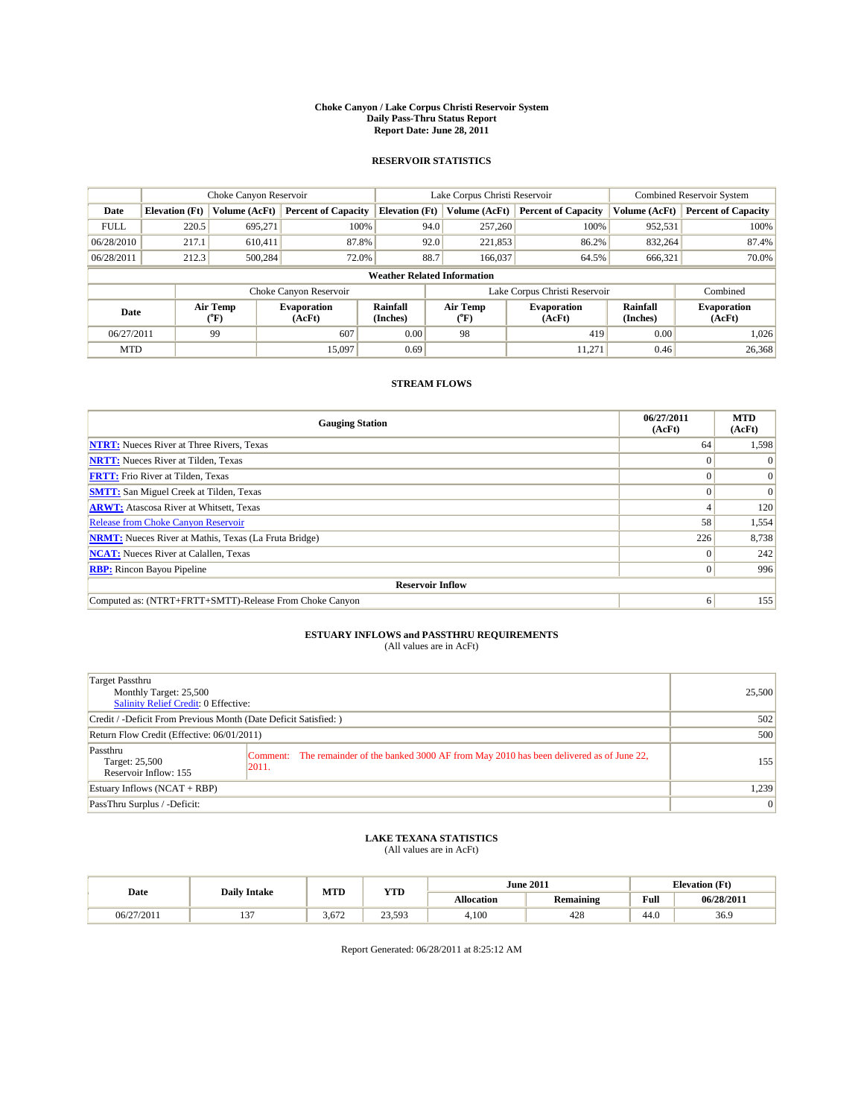#### **Choke Canyon / Lake Corpus Christi Reservoir System Daily Pass-Thru Status Report Report Date: June 28, 2011**

#### **RESERVOIR STATISTICS**

|             | Choke Canyon Reservoir             |                                           |                              |                             | Lake Corpus Christi Reservoir | <b>Combined Reservoir System</b> |                      |                              |  |
|-------------|------------------------------------|-------------------------------------------|------------------------------|-----------------------------|-------------------------------|----------------------------------|----------------------|------------------------------|--|
| Date        | <b>Elevation</b> (Ft)              | Volume (AcFt)                             | <b>Percent of Capacity</b>   | <b>Elevation</b> (Ft)       | Volume (AcFt)                 | <b>Percent of Capacity</b>       | Volume (AcFt)        | <b>Percent of Capacity</b>   |  |
| <b>FULL</b> | 220.5                              | 695,271                                   | 100%                         | 94.0                        | 257,260                       | 100%                             | 952,531              | 100%                         |  |
| 06/28/2010  | 217.1                              | 610,411                                   | 87.8%                        |                             | 92.0<br>221,853               | 86.2%                            | 832,264              | 87.4%                        |  |
| 06/28/2011  | 212.3                              | 500,284                                   | 72.0%                        | 88.7                        | 166,037                       | 64.5%                            | 666,321              | 70.0%                        |  |
|             | <b>Weather Related Information</b> |                                           |                              |                             |                               |                                  |                      |                              |  |
|             |                                    |                                           | Choke Canyon Reservoir       |                             |                               | Lake Corpus Christi Reservoir    |                      | Combined                     |  |
| Date        |                                    | Air Temp<br>$({}^{\mathrm{o}}\mathrm{F})$ | <b>Evaporation</b><br>(AcFt) | <b>Rainfall</b><br>(Inches) | Air Temp<br>("F)              | <b>Evaporation</b><br>(AcFt)     | Rainfall<br>(Inches) | <b>Evaporation</b><br>(AcFt) |  |
| 06/27/2011  |                                    | 99                                        | 607                          | 0.00                        | 98                            | 419                              | 0.00                 | 1.026                        |  |
| <b>MTD</b>  |                                    |                                           | 15,097                       | 0.69                        |                               | 11.271                           | 0.46                 | 26,368                       |  |

## **STREAM FLOWS**

| <b>Gauging Station</b>                                       | 06/27/2011<br>(AcFt) | <b>MTD</b><br>(AcFt) |  |  |  |  |  |
|--------------------------------------------------------------|----------------------|----------------------|--|--|--|--|--|
| <b>NTRT:</b> Nueces River at Three Rivers, Texas             | 64                   | 1,598                |  |  |  |  |  |
| <b>NRTT:</b> Nueces River at Tilden, Texas                   | $\Omega$             |                      |  |  |  |  |  |
| <b>FRTT:</b> Frio River at Tilden, Texas                     |                      | $\Omega$             |  |  |  |  |  |
| <b>SMTT:</b> San Miguel Creek at Tilden, Texas               |                      | $\Omega$             |  |  |  |  |  |
| <b>ARWT:</b> Atascosa River at Whitsett, Texas               |                      | 120                  |  |  |  |  |  |
| <b>Release from Choke Canyon Reservoir</b>                   | 58                   | 1,554                |  |  |  |  |  |
| <b>NRMT:</b> Nueces River at Mathis, Texas (La Fruta Bridge) | 226                  | 8,738                |  |  |  |  |  |
| <b>NCAT:</b> Nueces River at Calallen, Texas                 | $\Omega$             | 242                  |  |  |  |  |  |
| <b>RBP:</b> Rincon Bayou Pipeline                            | $\overline{0}$       | 996                  |  |  |  |  |  |
| <b>Reservoir Inflow</b>                                      |                      |                      |  |  |  |  |  |
| Computed as: (NTRT+FRTT+SMTT)-Release From Choke Canyon      | 6                    | 155                  |  |  |  |  |  |

# **ESTUARY INFLOWS and PASSTHRU REQUIREMENTS**<br>(All values are in AcFt)

| <b>Target Passthru</b><br>Monthly Target: 25,500<br>Salinity Relief Credit: 0 Effective: |                                                                                                        | 25,500 |
|------------------------------------------------------------------------------------------|--------------------------------------------------------------------------------------------------------|--------|
| Credit / -Deficit From Previous Month (Date Deficit Satisfied: )                         |                                                                                                        | 502    |
| Return Flow Credit (Effective: 06/01/2011)                                               |                                                                                                        | 500    |
| Passthru<br>Target: 25,500<br>Reservoir Inflow: 155                                      | Comment: The remainder of the banked 3000 AF from May 2010 has been delivered as of June 22,<br> 2011. | 155    |
| Estuary Inflows $(NCAT + RBP)$                                                           |                                                                                                        | 1,239  |
| PassThru Surplus / -Deficit:                                                             |                                                                                                        | 0      |

## **LAKE TEXANA STATISTICS** (All values are in AcFt)

|            | <b>Daily Intake</b> | MTD   | <b>YTD</b> | <b>June 2011</b> |           |                                                    | <b>Elevation</b> (Ft) |
|------------|---------------------|-------|------------|------------------|-----------|----------------------------------------------------|-----------------------|
| Date       |                     |       |            | Allocation       | Remaining | <b>Full</b><br>the contract of the contract of the | 06/28/2011            |
| 06/27/2011 | $\sim$<br>ιJ        | 3.672 | 23,593     | 4,100            | 428       | 44.0                                               | 36.9                  |

Report Generated: 06/28/2011 at 8:25:12 AM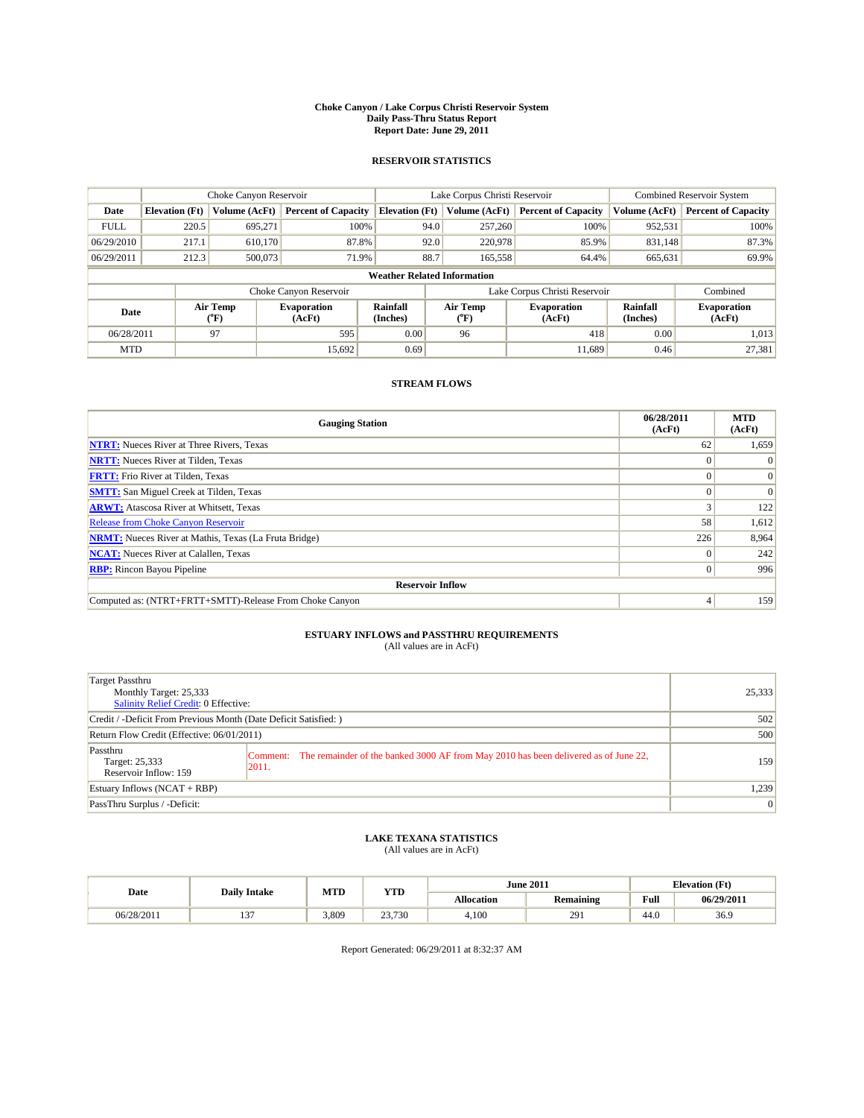#### **Choke Canyon / Lake Corpus Christi Reservoir System Daily Pass-Thru Status Report Report Date: June 29, 2011**

#### **RESERVOIR STATISTICS**

|             | Choke Canyon Reservoir             |                             |                              |                             | Lake Corpus Christi Reservoir |                               |                      | <b>Combined Reservoir System</b> |  |
|-------------|------------------------------------|-----------------------------|------------------------------|-----------------------------|-------------------------------|-------------------------------|----------------------|----------------------------------|--|
| Date        | <b>Elevation</b> (Ft)              | Volume (AcFt)               | <b>Percent of Capacity</b>   | <b>Elevation (Ft)</b>       | Volume (AcFt)                 | <b>Percent of Capacity</b>    | Volume (AcFt)        | <b>Percent of Capacity</b>       |  |
| <b>FULL</b> | 220.5                              | 695,271                     | 100%                         |                             | 257,260<br>94.0               | 100%                          | 952,531              | 100%                             |  |
| 06/29/2010  | 217.1                              | 610.170                     | 87.8%                        |                             | 92.0<br>220,978               | 85.9%                         | 831.148              | 87.3%                            |  |
| 06/29/2011  | 212.3                              | 500,073                     | 71.9%                        |                             | 88.7<br>165,558               | 64.4%                         | 665,631              | 69.9%                            |  |
|             | <b>Weather Related Information</b> |                             |                              |                             |                               |                               |                      |                                  |  |
|             |                                    |                             | Choke Canyon Reservoir       |                             |                               | Lake Corpus Christi Reservoir |                      | Combined                         |  |
| Date        |                                    | Air Temp<br>${}^{\circ}$ F) | <b>Evaporation</b><br>(AcFt) | <b>Rainfall</b><br>(Inches) | Air Temp<br>(°F)              | <b>Evaporation</b><br>(AcFt)  | Rainfall<br>(Inches) | <b>Evaporation</b><br>(AcFt)     |  |
| 06/28/2011  |                                    | 97                          | 595                          | 0.00                        | 96                            | 418                           | 0.00                 | 1,013                            |  |
| <b>MTD</b>  |                                    |                             | 15,692                       | 0.69                        |                               | 11.689                        | 0.46                 | 27,381                           |  |

## **STREAM FLOWS**

| <b>Gauging Station</b>                                       | 06/28/2011<br>(AcFt) | <b>MTD</b><br>(AcFt) |
|--------------------------------------------------------------|----------------------|----------------------|
| <b>NTRT:</b> Nueces River at Three Rivers, Texas             | 62                   | 1,659                |
| <b>NRTT:</b> Nueces River at Tilden, Texas                   |                      |                      |
| <b>FRTT:</b> Frio River at Tilden, Texas                     |                      | $\Omega$             |
| <b>SMTT:</b> San Miguel Creek at Tilden, Texas               |                      | $\Omega$             |
| <b>ARWT:</b> Atascosa River at Whitsett, Texas               |                      | 122                  |
| Release from Choke Canyon Reservoir                          | 58                   | 1,612                |
| <b>NRMT:</b> Nueces River at Mathis, Texas (La Fruta Bridge) | 226                  | 8,964                |
| <b>NCAT:</b> Nueces River at Calallen, Texas                 |                      | 242                  |
| <b>RBP:</b> Rincon Bayou Pipeline                            | $\Omega$             | 996                  |
| <b>Reservoir Inflow</b>                                      |                      |                      |
| Computed as: (NTRT+FRTT+SMTT)-Release From Choke Canyon      | 4                    | 159                  |

# **ESTUARY INFLOWS and PASSTHRU REQUIREMENTS**<br>(All values are in AcFt)

| Target Passthru<br>Monthly Target: 25,333<br>Salinity Relief Credit: 0 Effective: |                                                                                                       | 25,333         |
|-----------------------------------------------------------------------------------|-------------------------------------------------------------------------------------------------------|----------------|
| Credit / -Deficit From Previous Month (Date Deficit Satisfied: )                  | 502                                                                                                   |                |
| Return Flow Credit (Effective: 06/01/2011)                                        | 500                                                                                                   |                |
| Passthru<br>Target: 25,333<br>Reservoir Inflow: 159                               | Comment: The remainder of the banked 3000 AF from May 2010 has been delivered as of June 22,<br>2011. | 159            |
| Estuary Inflows $(NCAT + RBP)$                                                    |                                                                                                       | 1,239          |
| PassThru Surplus / -Deficit:                                                      |                                                                                                       | $\overline{0}$ |

## **LAKE TEXANA STATISTICS** (All values are in AcFt)

|            | <b>Daily Intake</b> | MTD   | <b>YTD</b> |                   | <b>June 2011</b> | <b>Elevation</b> (Ft) |            |
|------------|---------------------|-------|------------|-------------------|------------------|-----------------------|------------|
| Date       |                     |       |            | <b>Allocation</b> | <b>Remaining</b> | Full                  | 06/29/2011 |
| 06/28/2011 | $\sim$<br>1 J       | 3.809 | 23,730     | 4.100             | 291              | 44.0                  | 36.9       |

Report Generated: 06/29/2011 at 8:32:37 AM